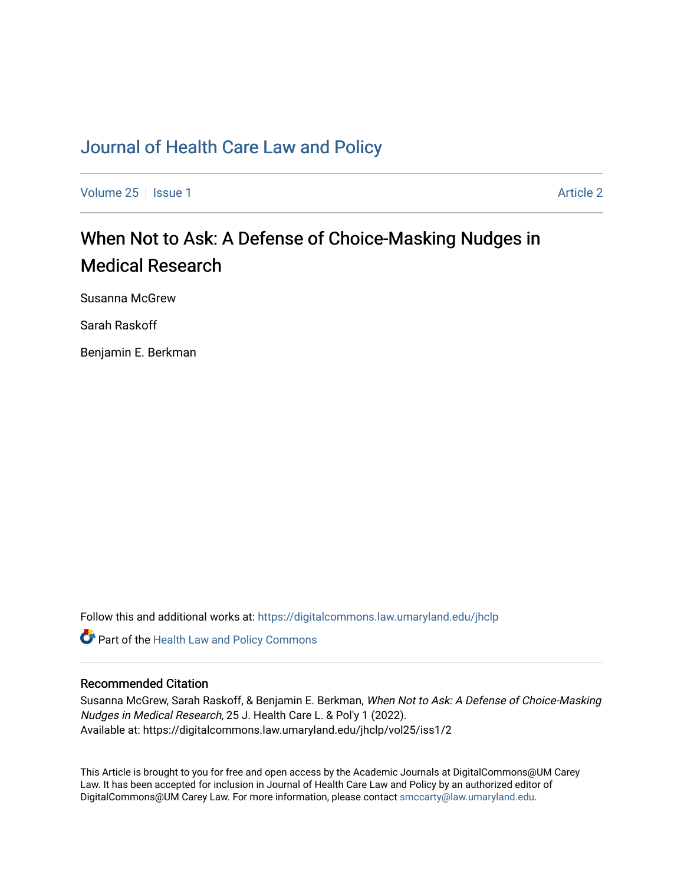# [Journal of Health Care Law and Policy](https://digitalcommons.law.umaryland.edu/jhclp)

[Volume 25](https://digitalcommons.law.umaryland.edu/jhclp/vol25) | [Issue 1](https://digitalcommons.law.umaryland.edu/jhclp/vol25/iss1) [Article 2](https://digitalcommons.law.umaryland.edu/jhclp/vol25/iss1/2) | Article 2 Article 2 | Article 2 | Article 2 | Article 2 | Article 2 | Article 2

# When Not to Ask: A Defense of Choice-Masking Nudges in Medical Research

Susanna McGrew

Sarah Raskoff

Benjamin E. Berkman

Follow this and additional works at: [https://digitalcommons.law.umaryland.edu/jhclp](https://digitalcommons.law.umaryland.edu/jhclp?utm_source=digitalcommons.law.umaryland.edu%2Fjhclp%2Fvol25%2Fiss1%2F2&utm_medium=PDF&utm_campaign=PDFCoverPages) 

**Part of the Health Law and Policy Commons** 

# Recommended Citation

Susanna McGrew, Sarah Raskoff, & Benjamin E. Berkman, When Not to Ask: A Defense of Choice-Masking Nudges in Medical Research, 25 J. Health Care L. & Pol'y 1 (2022). Available at: https://digitalcommons.law.umaryland.edu/jhclp/vol25/iss1/2

This Article is brought to you for free and open access by the Academic Journals at DigitalCommons@UM Carey Law. It has been accepted for inclusion in Journal of Health Care Law and Policy by an authorized editor of DigitalCommons@UM Carey Law. For more information, please contact [smccarty@law.umaryland.edu.](mailto:smccarty@law.umaryland.edu)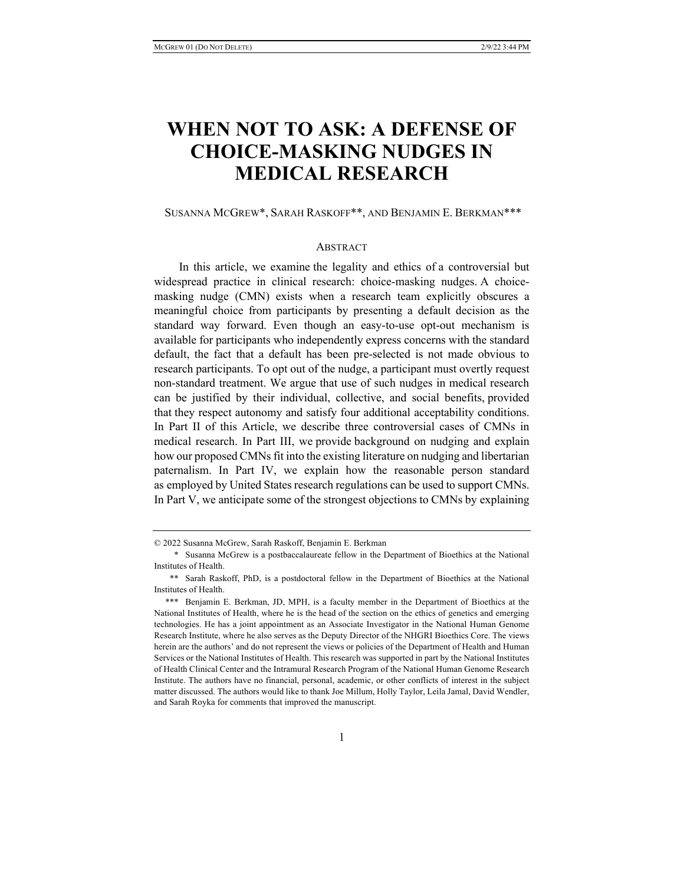# **WHEN NOT TO ASK: A DEFENSE OF CHOICE-MASKING NUDGES IN MEDICAL RESEARCH**

# SUSANNA MCGREW\*, SARAH RASKOFF\*\*, AND BENJAMIN E. BERKMAN\*\*\*

#### ABSTRACT

In this article, we examine the legality and ethics of a controversial but widespread practice in clinical research: choice-masking nudges. A choicemasking nudge (CMN) exists when a research team explicitly obscures a meaningful choice from participants by presenting a default decision as the standard way forward. Even though an easy-to-use opt-out mechanism is available for participants who independently express concerns with the standard default, the fact that a default has been pre-selected is not made obvious to research participants. To opt out of the nudge, a participant must overtly request non-standard treatment. We argue that use of such nudges in medical research can be justified by their individual, collective, and social benefits, provided that they respect autonomy and satisfy four additional acceptability conditions. In Part II of this Article, we describe three controversial cases of CMNs in medical research. In Part III, we provide background on nudging and explain how our proposed CMNs fit into the existing literature on nudging and libertarian paternalism. In Part IV, we explain how the reasonable person standard as employed by United States research regulations can be used to support CMNs. In Part V, we anticipate some of the strongest objections to CMNs by explaining

<sup>© 2022</sup> Susanna McGrew, Sarah Raskoff, Benjamin E. Berkman

<sup>\*</sup> Susanna McGrew is a postbaccalaureate fellow in the Department of Bioethics at the National Institutes of Health.

<sup>\*\*</sup> Sarah Raskoff, PhD, is a postdoctoral fellow in the Department of Bioethics at the National Institutes of Health.

<sup>\*\*\*</sup> Benjamin E. Berkman, JD, MPH, is a faculty member in the Department of Bioethics at the National Institutes of Health, where he is the head of the section on the ethics of genetics and emerging technologies. He has a joint appointment as an Associate Investigator in the National Human Genome Research Institute, where he also serves as the Deputy Director of the NHGRI Bioethics Core. The views herein are the authors' and do not represent the views or policies of the Department of Health and Human Services or the National Institutes of Health. This research was supported in part by the National Institutes of Health Clinical Center and the Intramural Research Program of the National Human Genome Research Institute. The authors have no financial, personal, academic, or other conflicts of interest in the subject matter discussed. The authors would like to thank Joe Millum, Holly Taylor, Leila Jamal, David Wendler, and Sarah Royka for comments that improved the manuscript.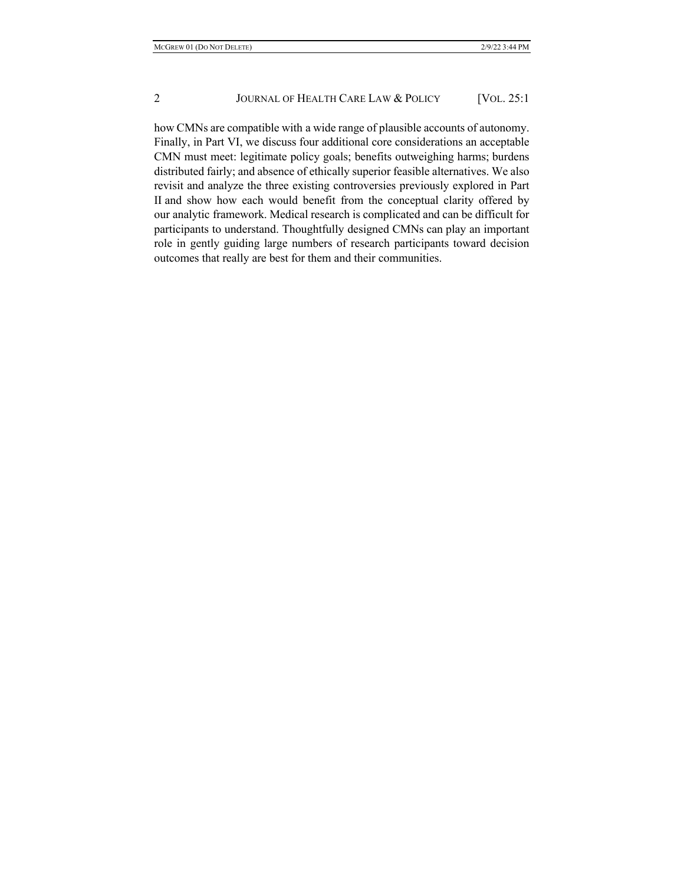how CMNs are compatible with a wide range of plausible accounts of autonomy. Finally, in Part VI, we discuss four additional core considerations an acceptable CMN must meet: legitimate policy goals; benefits outweighing harms; burdens distributed fairly; and absence of ethically superior feasible alternatives. We also revisit and analyze the three existing controversies previously explored in Part II and show how each would benefit from the conceptual clarity offered by our analytic framework. Medical research is complicated and can be difficult for participants to understand. Thoughtfully designed CMNs can play an important role in gently guiding large numbers of research participants toward decision outcomes that really are best for them and their communities.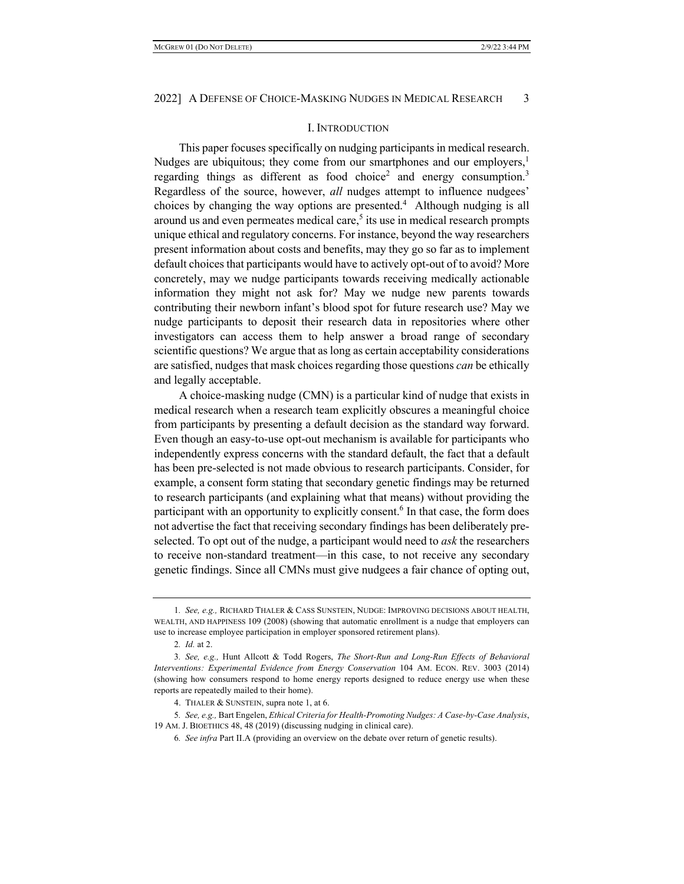### I. INTRODUCTION

This paper focuses specifically on nudging participants in medical research. Nudges are ubiquitous; they come from our smartphones and our employers, $<sup>1</sup>$ </sup> regarding things as different as food choice<sup>2</sup> and energy consumption.<sup>3</sup> Regardless of the source, however, *all* nudges attempt to influence nudgees' choices by changing the way options are presented.<sup>4</sup> Although nudging is all around us and even permeates medical care, $5$  its use in medical research prompts unique ethical and regulatory concerns. For instance, beyond the way researchers present information about costs and benefits, may they go so far as to implement default choices that participants would have to actively opt-out of to avoid? More concretely, may we nudge participants towards receiving medically actionable information they might not ask for? May we nudge new parents towards contributing their newborn infant's blood spot for future research use? May we nudge participants to deposit their research data in repositories where other investigators can access them to help answer a broad range of secondary scientific questions? We argue that as long as certain acceptability considerations are satisfied, nudges that mask choices regarding those questions *can* be ethically and legally acceptable.

A choice-masking nudge (CMN) is a particular kind of nudge that exists in medical research when a research team explicitly obscures a meaningful choice from participants by presenting a default decision as the standard way forward. Even though an easy-to-use opt-out mechanism is available for participants who independently express concerns with the standard default, the fact that a default has been pre-selected is not made obvious to research participants. Consider, for example, a consent form stating that secondary genetic findings may be returned to research participants (and explaining what that means) without providing the participant with an opportunity to explicitly consent.<sup>6</sup> In that case, the form does not advertise the fact that receiving secondary findings has been deliberately preselected. To opt out of the nudge, a participant would need to *ask* the researchers to receive non-standard treatment—in this case, to not receive any secondary genetic findings. Since all CMNs must give nudgees a fair chance of opting out,

<sup>1</sup>*. See, e.g.,* RICHARD THALER & CASS SUNSTEIN, NUDGE: IMPROVING DECISIONS ABOUT HEALTH, WEALTH, AND HAPPINESS 109 (2008) (showing that automatic enrollment is a nudge that employers can use to increase employee participation in employer sponsored retirement plans).

<sup>2</sup>*. Id.* at 2.

<sup>3</sup>*. See, e.g.,* Hunt Allcott & Todd Rogers, *The Short-Run and Long-Run Effects of Behavioral Interventions: Experimental Evidence from Energy Conservation* 104 AM. ECON. REV. 3003 (2014) (showing how consumers respond to home energy reports designed to reduce energy use when these reports are repeatedly mailed to their home).

<sup>4.</sup> THALER & SUNSTEIN, supra note 1, at 6.

<sup>5</sup>*. See, e.g.,* Bart Engelen, *Ethical Criteria for Health-Promoting Nudges: A Case-by-Case Analysis*, 19 AM. J. BIOETHICS 48, 48 (2019) (discussing nudging in clinical care).

<sup>6</sup>*. See infra* Part II.A (providing an overview on the debate over return of genetic results).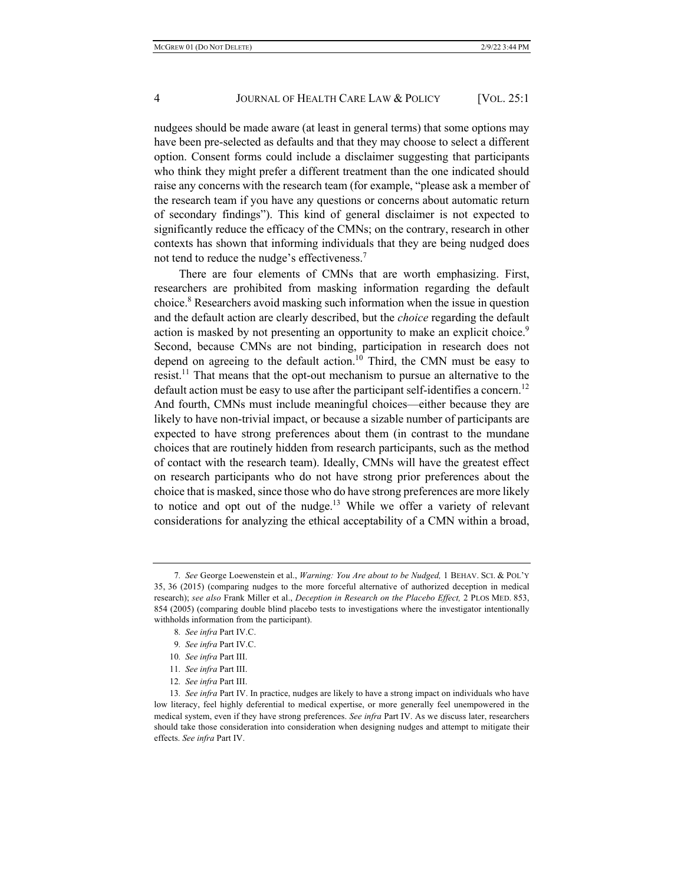nudgees should be made aware (at least in general terms) that some options may have been pre-selected as defaults and that they may choose to select a different option. Consent forms could include a disclaimer suggesting that participants who think they might prefer a different treatment than the one indicated should raise any concerns with the research team (for example, "please ask a member of the research team if you have any questions or concerns about automatic return of secondary findings"). This kind of general disclaimer is not expected to significantly reduce the efficacy of the CMNs; on the contrary, research in other contexts has shown that informing individuals that they are being nudged does not tend to reduce the nudge's effectiveness.<sup>7</sup>

There are four elements of CMNs that are worth emphasizing. First, researchers are prohibited from masking information regarding the default choice.8 Researchers avoid masking such information when the issue in question and the default action are clearly described, but the *choice* regarding the default action is masked by not presenting an opportunity to make an explicit choice.<sup>9</sup> Second, because CMNs are not binding, participation in research does not depend on agreeing to the default action.<sup>10</sup> Third, the CMN must be easy to resist.<sup>11</sup> That means that the opt-out mechanism to pursue an alternative to the default action must be easy to use after the participant self-identifies a concern.<sup>12</sup> And fourth, CMNs must include meaningful choices—either because they are likely to have non-trivial impact, or because a sizable number of participants are expected to have strong preferences about them (in contrast to the mundane choices that are routinely hidden from research participants, such as the method of contact with the research team). Ideally, CMNs will have the greatest effect on research participants who do not have strong prior preferences about the choice that is masked, since those who do have strong preferences are more likely to notice and opt out of the nudge.<sup>13</sup> While we offer a variety of relevant considerations for analyzing the ethical acceptability of a CMN within a broad,

<sup>7</sup>*. See* George Loewenstein et al., *Warning: You Are about to be Nudged,* 1 BEHAV. SCI. & POL'Y 35, 36 (2015) (comparing nudges to the more forceful alternative of authorized deception in medical research); *see also* Frank Miller et al., *Deception in Research on the Placebo Effect,* 2 PLOS MED. 853, 854 (2005) (comparing double blind placebo tests to investigations where the investigator intentionally withholds information from the participant).

<sup>8</sup>*. See infra* Part IV.C.

<sup>9</sup>*. See infra* Part IV.C.

<sup>10</sup>*. See infra* Part III.

<sup>11</sup>*. See infra* Part III.

<sup>12</sup>*. See infra* Part III.

<sup>13</sup>*. See infra* Part IV. In practice, nudges are likely to have a strong impact on individuals who have low literacy, feel highly deferential to medical expertise, or more generally feel unempowered in the medical system, even if they have strong preferences. *See infra* Part IV. As we discuss later, researchers should take those consideration into consideration when designing nudges and attempt to mitigate their effects. *See infra* Part IV.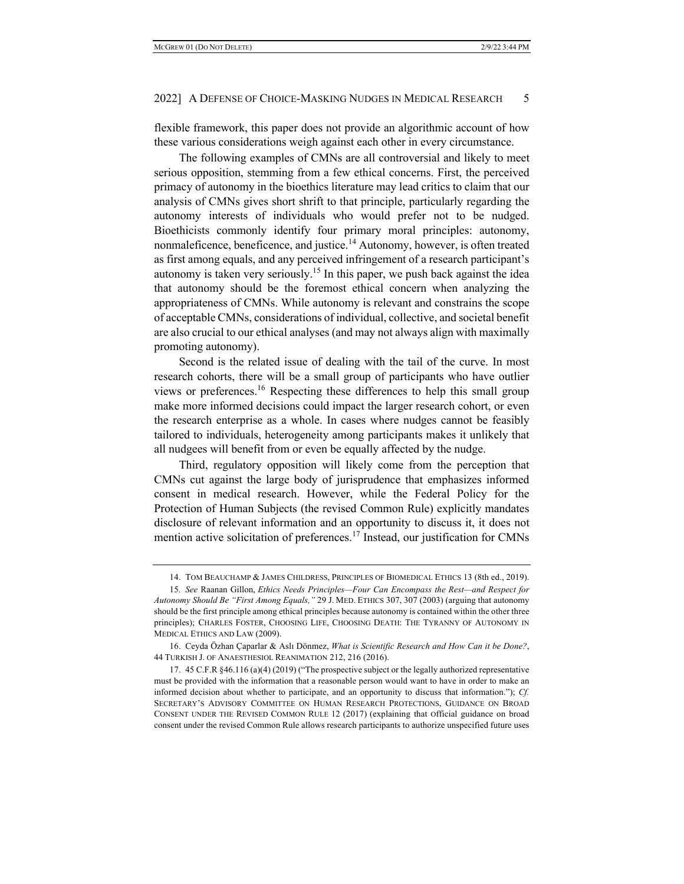flexible framework, this paper does not provide an algorithmic account of how these various considerations weigh against each other in every circumstance.

The following examples of CMNs are all controversial and likely to meet serious opposition, stemming from a few ethical concerns. First, the perceived primacy of autonomy in the bioethics literature may lead critics to claim that our analysis of CMNs gives short shrift to that principle, particularly regarding the autonomy interests of individuals who would prefer not to be nudged. Bioethicists commonly identify four primary moral principles: autonomy, nonmaleficence, beneficence, and justice.<sup>14</sup> Autonomy, however, is often treated as first among equals, and any perceived infringement of a research participant's autonomy is taken very seriously.<sup>15</sup> In this paper, we push back against the idea that autonomy should be the foremost ethical concern when analyzing the appropriateness of CMNs. While autonomy is relevant and constrains the scope of acceptable CMNs, considerations of individual, collective, and societal benefit are also crucial to our ethical analyses (and may not always align with maximally promoting autonomy).

Second is the related issue of dealing with the tail of the curve. In most research cohorts, there will be a small group of participants who have outlier views or preferences.16 Respecting these differences to help this small group make more informed decisions could impact the larger research cohort, or even the research enterprise as a whole. In cases where nudges cannot be feasibly tailored to individuals, heterogeneity among participants makes it unlikely that all nudgees will benefit from or even be equally affected by the nudge.

Third, regulatory opposition will likely come from the perception that CMNs cut against the large body of jurisprudence that emphasizes informed consent in medical research. However, while the Federal Policy for the Protection of Human Subjects (the revised Common Rule) explicitly mandates disclosure of relevant information and an opportunity to discuss it, it does not mention active solicitation of preferences.<sup>17</sup> Instead, our justification for CMNs

<sup>14.</sup> TOM BEAUCHAMP & JAMES CHILDRESS, PRINCIPLES OF BIOMEDICAL ETHICS 13 (8th ed., 2019).

<sup>15</sup>*. See* Raanan Gillon, *Ethics Needs Principles—Four Can Encompass the Rest—and Respect for Autonomy Should Be "First Among Equals,"* 29 J. MED. ETHICS 307, 307 (2003) (arguing that autonomy should be the first principle among ethical principles because autonomy is contained within the other three principles); CHARLES FOSTER, CHOOSING LIFE, CHOOSING DEATH: THE TYRANNY OF AUTONOMY IN MEDICAL ETHICS AND LAW (2009).

<sup>16.</sup> Ceyda Özhan Çaparlar & Aslı Dönmez, *What is Scientific Research and How Can it be Done?*, 44 TURKISH J. OF ANAESTHESIOL REANIMATION 212, 216 (2016).

<sup>17.</sup> 45 C.F.R §46.116 (a)(4) (2019) ("The prospective subject or the legally authorized representative must be provided with the information that a reasonable person would want to have in order to make an informed decision about whether to participate, and an opportunity to discuss that information."); *Cf.*  SECRETARY'S ADVISORY COMMITTEE ON HUMAN RESEARCH PROTECTIONS, GUIDANCE ON BROAD CONSENT UNDER THE REVISED COMMON RULE 12 (2017) (explaining that Official guidance on broad consent under the revised Common Rule allows research participants to authorize unspecified future uses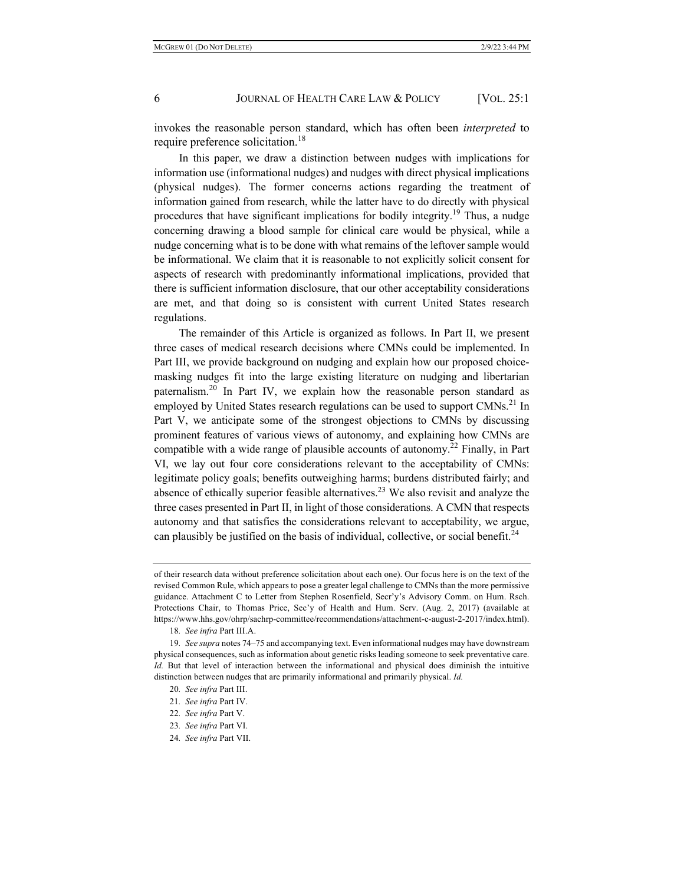invokes the reasonable person standard, which has often been *interpreted* to require preference solicitation.<sup>18</sup>

In this paper, we draw a distinction between nudges with implications for information use (informational nudges) and nudges with direct physical implications (physical nudges). The former concerns actions regarding the treatment of information gained from research, while the latter have to do directly with physical procedures that have significant implications for bodily integrity.<sup>19</sup> Thus, a nudge concerning drawing a blood sample for clinical care would be physical, while a nudge concerning what is to be done with what remains of the leftover sample would be informational. We claim that it is reasonable to not explicitly solicit consent for aspects of research with predominantly informational implications, provided that there is sufficient information disclosure, that our other acceptability considerations are met, and that doing so is consistent with current United States research regulations.

The remainder of this Article is organized as follows. In Part II, we present three cases of medical research decisions where CMNs could be implemented. In Part III, we provide background on nudging and explain how our proposed choicemasking nudges fit into the large existing literature on nudging and libertarian paternalism.<sup>20</sup> In Part IV, we explain how the reasonable person standard as employed by United States research regulations can be used to support  $CMNs<sup>21</sup>$  In Part V, we anticipate some of the strongest objections to CMNs by discussing prominent features of various views of autonomy, and explaining how CMNs are compatible with a wide range of plausible accounts of autonomy.<sup>22</sup> Finally, in Part VI, we lay out four core considerations relevant to the acceptability of CMNs: legitimate policy goals; benefits outweighing harms; burdens distributed fairly; and absence of ethically superior feasible alternatives.<sup>23</sup> We also revisit and analyze the three cases presented in Part II, in light of those considerations. A CMN that respects autonomy and that satisfies the considerations relevant to acceptability, we argue, can plausibly be justified on the basis of individual, collective, or social benefit.<sup>24</sup>

of their research data without preference solicitation about each one). Our focus here is on the text of the revised Common Rule, which appears to pose a greater legal challenge to CMNs than the more permissive guidance. Attachment C to Letter from Stephen Rosenfield, Secr'y's Advisory Comm. on Hum. Rsch. Protections Chair, to Thomas Price, Sec'y of Health and Hum. Serv. (Aug. 2, 2017) (available at https://www.hhs.gov/ohrp/sachrp-committee/recommendations/attachment-c-august-2-2017/index.html).

<sup>18</sup>*. See infra* Part III.A.

<sup>19</sup>*. See supra* notes 74–75 and accompanying text. Even informational nudges may have downstream physical consequences, such as information about genetic risks leading someone to seek preventative care. *Id.* But that level of interaction between the informational and physical does diminish the intuitive distinction between nudges that are primarily informational and primarily physical. *Id.*

<sup>20</sup>*. See infra* Part III.

<sup>21</sup>*. See infra* Part IV.

<sup>22</sup>*. See infra* Part V.

<sup>23</sup>*. See infra* Part VI.

<sup>24</sup>*. See infra* Part VII.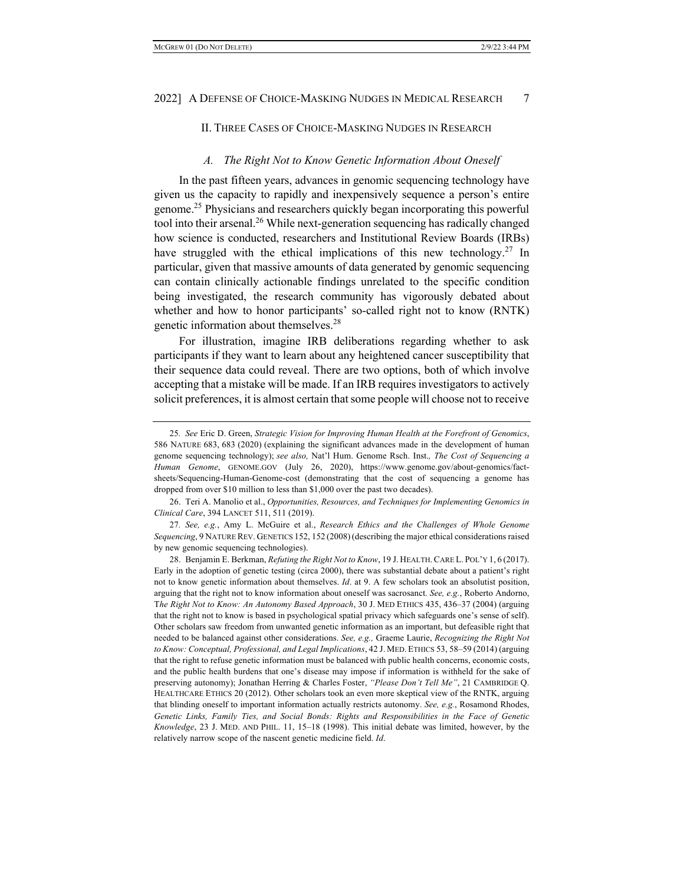### II. THREE CASES OF CHOICE-MASKING NUDGES IN RESEARCH

#### *A. The Right Not to Know Genetic Information About Oneself*

In the past fifteen years, advances in genomic sequencing technology have given us the capacity to rapidly and inexpensively sequence a person's entire genome.25 Physicians and researchers quickly began incorporating this powerful tool into their arsenal.<sup>26</sup> While next-generation sequencing has radically changed how science is conducted, researchers and Institutional Review Boards (IRBs) have struggled with the ethical implications of this new technology.<sup>27</sup> In particular, given that massive amounts of data generated by genomic sequencing can contain clinically actionable findings unrelated to the specific condition being investigated, the research community has vigorously debated about whether and how to honor participants' so-called right not to know (RNTK) genetic information about themselves.28

For illustration, imagine IRB deliberations regarding whether to ask participants if they want to learn about any heightened cancer susceptibility that their sequence data could reveal. There are two options, both of which involve accepting that a mistake will be made. If an IRB requires investigators to actively solicit preferences, it is almost certain that some people will choose not to receive

<sup>25</sup>*. See* Eric D. Green, *Strategic Vision for Improving Human Health at the Forefront of Genomics*, 586 NATURE 683, 683 (2020) (explaining the significant advances made in the development of human genome sequencing technology); *see also,* Nat'l Hum. Genome Rsch. Inst.*, The Cost of Sequencing a Human Genome*, GENOME.GOV (July 26, 2020), https://www.genome.gov/about-genomics/factsheets/Sequencing-Human-Genome-cost (demonstrating that the cost of sequencing a genome has dropped from over \$10 million to less than \$1,000 over the past two decades).

<sup>26.</sup> Teri A. Manolio et al., *Opportunities, Resources, and Techniques for Implementing Genomics in Clinical Care*, 394 LANCET 511, 511 (2019).

<sup>27</sup>*. See, e.g.*, Amy L. McGuire et al., *Research Ethics and the Challenges of Whole Genome Sequencing*, 9 NATURE REV. GENETICS 152, 152 (2008)(describing the major ethical considerations raised by new genomic sequencing technologies).

<sup>28.</sup> Benjamin E. Berkman, *Refuting the Right Not to Know*, 19 J. HEALTH.CARE L. POL'Y 1, 6 (2017). Early in the adoption of genetic testing (circa 2000), there was substantial debate about a patient's right not to know genetic information about themselves. *Id*. at 9. A few scholars took an absolutist position, arguing that the right not to know information about oneself was sacrosanct. *See, e.g.*, Roberto Andorno, T*he Right Not to Know: An Autonomy Based Approach*, 30 J. MED ETHICS 435, 436–37 (2004) (arguing that the right not to know is based in psychological spatial privacy which safeguards one's sense of self). Other scholars saw freedom from unwanted genetic information as an important, but defeasible right that needed to be balanced against other considerations. *See, e.g.,* Graeme Laurie, *Recognizing the Right Not to Know: Conceptual, Professional, and Legal Implications*, 42 J. MED. ETHICS 53, 58–59 (2014) (arguing that the right to refuse genetic information must be balanced with public health concerns, economic costs, and the public health burdens that one's disease may impose if information is withheld for the sake of preserving autonomy); Jonathan Herring & Charles Foster, *"Please Don't Tell Me"*, 21 CAMBRIDGE Q. HEALTHCARE ETHICS 20 (2012). Other scholars took an even more skeptical view of the RNTK, arguing that blinding oneself to important information actually restricts autonomy. *See, e.g.*, Rosamond Rhodes, *Genetic Links, Family Ties, and Social Bonds: Rights and Responsibilities in the Face of Genetic Knowledge*, 23 J. MED. AND PHIL. 11, 15–18 (1998). This initial debate was limited, however, by the relatively narrow scope of the nascent genetic medicine field. *Id*.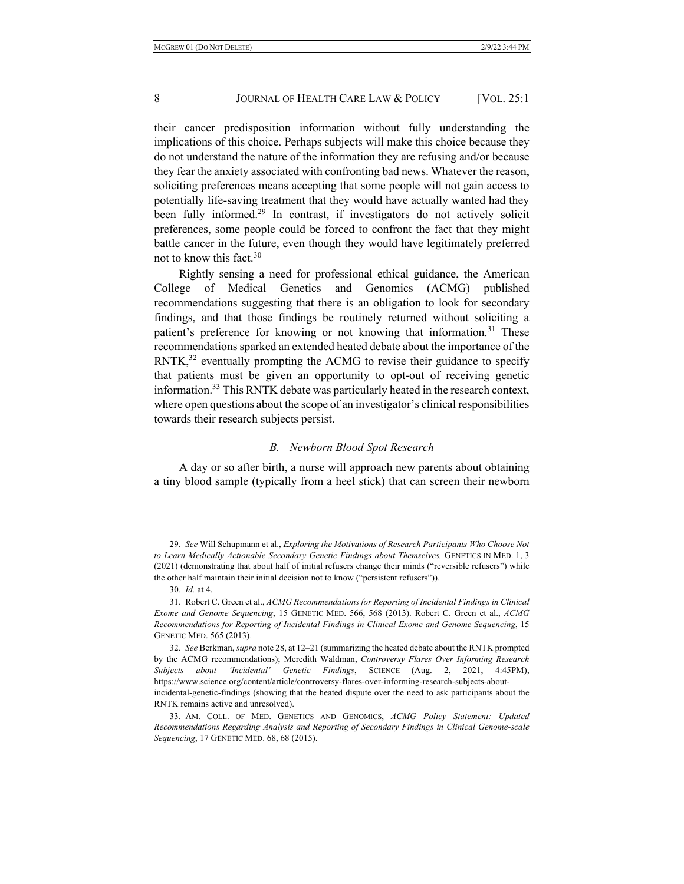their cancer predisposition information without fully understanding the implications of this choice. Perhaps subjects will make this choice because they do not understand the nature of the information they are refusing and/or because they fear the anxiety associated with confronting bad news. Whatever the reason, soliciting preferences means accepting that some people will not gain access to potentially life-saving treatment that they would have actually wanted had they been fully informed.<sup>29</sup> In contrast, if investigators do not actively solicit preferences, some people could be forced to confront the fact that they might battle cancer in the future, even though they would have legitimately preferred not to know this fact.<sup>30</sup>

Rightly sensing a need for professional ethical guidance, the American College of Medical Genetics and Genomics (ACMG) published recommendations suggesting that there is an obligation to look for secondary findings, and that those findings be routinely returned without soliciting a patient's preference for knowing or not knowing that information.<sup>31</sup> These recommendations sparked an extended heated debate about the importance of the RNTK,<sup>32</sup> eventually prompting the ACMG to revise their guidance to specify that patients must be given an opportunity to opt-out of receiving genetic information.<sup>33</sup> This RNTK debate was particularly heated in the research context, where open questions about the scope of an investigator's clinical responsibilities towards their research subjects persist.

# *B. Newborn Blood Spot Research*

A day or so after birth, a nurse will approach new parents about obtaining a tiny blood sample (typically from a heel stick) that can screen their newborn

<sup>29</sup>*. See* Will Schupmann et al., *Exploring the Motivations of Research Participants Who Choose Not*  to Learn Medically Actionable Secondary Genetic Findings about Themselves, GENETICS IN MED. 1, 3 (2021) (demonstrating that about half of initial refusers change their minds ("reversible refusers") while the other half maintain their initial decision not to know ("persistent refusers")).

<sup>30</sup>*. Id.* at 4.

<sup>31.</sup> Robert C. Green et al., *ACMG Recommendations for Reporting of Incidental Findings in Clinical Exome and Genome Sequencing*, 15 GENETIC MED. 566, 568 (2013). Robert C. Green et al., *ACMG Recommendations for Reporting of Incidental Findings in Clinical Exome and Genome Sequencing*, 15 GENETIC MED. 565 (2013).

<sup>32</sup>*. See* Berkman, *supra* note 28, at 12–21 (summarizing the heated debate about the RNTK prompted by the ACMG recommendations); Meredith Waldman, *Controversy Flares Over Informing Research Subjects about 'Incidental' Genetic Findings*, SCIENCE (Aug. 2, 2021, 4:45PM), https://www.science.org/content/article/controversy-flares-over-informing-research-subjects-aboutincidental-genetic-findings (showing that the heated dispute over the need to ask participants about the RNTK remains active and unresolved).

<sup>33.</sup> AM. COLL. OF MED. GENETICS AND GENOMICS, *ACMG Policy Statement: Updated Recommendations Regarding Analysis and Reporting of Secondary Findings in Clinical Genome-scale Sequencing*, 17 GENETIC MED. 68, 68 (2015).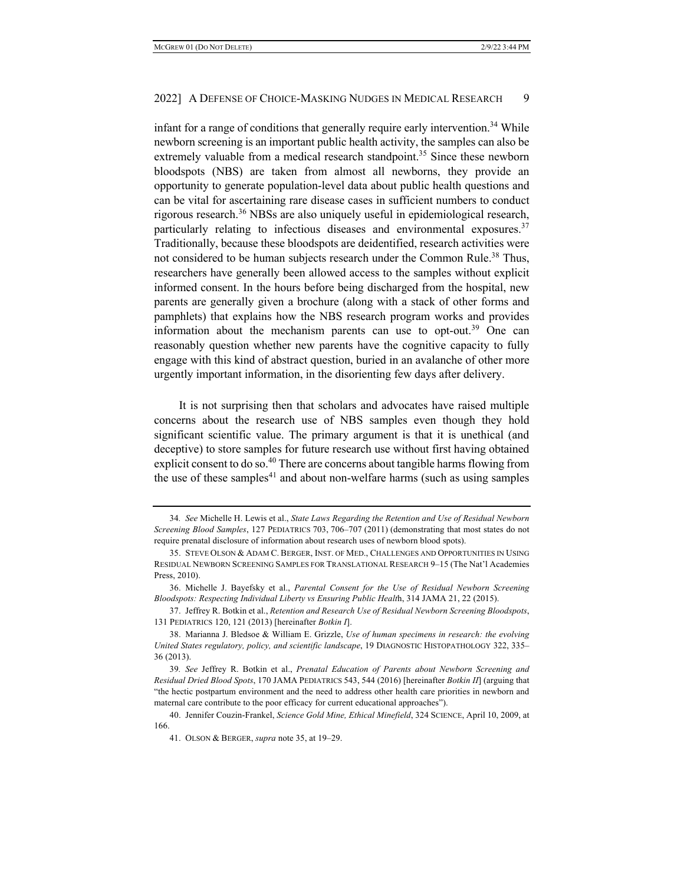infant for a range of conditions that generally require early intervention.<sup>34</sup> While newborn screening is an important public health activity, the samples can also be extremely valuable from a medical research standpoint.<sup>35</sup> Since these newborn bloodspots (NBS) are taken from almost all newborns, they provide an opportunity to generate population-level data about public health questions and can be vital for ascertaining rare disease cases in sufficient numbers to conduct rigorous research.<sup>36</sup> NBSs are also uniquely useful in epidemiological research, particularly relating to infectious diseases and environmental exposures.<sup>37</sup> Traditionally, because these bloodspots are deidentified, research activities were not considered to be human subjects research under the Common Rule.<sup>38</sup> Thus, researchers have generally been allowed access to the samples without explicit informed consent. In the hours before being discharged from the hospital, new parents are generally given a brochure (along with a stack of other forms and pamphlets) that explains how the NBS research program works and provides information about the mechanism parents can use to opt-out.<sup>39</sup> One can reasonably question whether new parents have the cognitive capacity to fully engage with this kind of abstract question, buried in an avalanche of other more urgently important information, in the disorienting few days after delivery.

It is not surprising then that scholars and advocates have raised multiple concerns about the research use of NBS samples even though they hold significant scientific value. The primary argument is that it is unethical (and deceptive) to store samples for future research use without first having obtained explicit consent to do so.<sup>40</sup> There are concerns about tangible harms flowing from the use of these samples<sup>41</sup> and about non-welfare harms (such as using samples

<sup>34</sup>*. See* Michelle H. Lewis et al., *State Laws Regarding the Retention and Use of Residual Newborn Screening Blood Samples*, 127 PEDIATRICS 703, 706–707 (2011) (demonstrating that most states do not require prenatal disclosure of information about research uses of newborn blood spots).

<sup>35.</sup> STEVE OLSON & ADAM C. BERGER, INST. OF MED., CHALLENGES AND OPPORTUNITIES IN USING RESIDUAL NEWBORN SCREENING SAMPLES FOR TRANSLATIONAL RESEARCH 9–15 (The Nat'l Academies Press, 2010).

<sup>36.</sup> Michelle J. Bayefsky et al., *Parental Consent for the Use of Residual Newborn Screening Bloodspots: Respecting Individual Liberty vs Ensuring Public Healt*h, 314 JAMA 21, 22 (2015).

<sup>37.</sup> Jeffrey R. Botkin et al., *Retention and Research Use of Residual Newborn Screening Bloodspots*, 131 PEDIATRICS 120, 121 (2013) [hereinafter *Botkin I*].

<sup>38.</sup> Marianna J. Bledsoe & William E. Grizzle, *Use of human specimens in research: the evolving United States regulatory, policy, and scientific landscape*, 19 DIAGNOSTIC HISTOPATHOLOGY 322, 335– 36 (2013).

<sup>39</sup>*. See* Jeffrey R. Botkin et al., *Prenatal Education of Parents about Newborn Screening and Residual Dried Blood Spots*, 170 JAMA PEDIATRICS 543, 544 (2016) [hereinafter *Botkin II*] (arguing that "the hectic postpartum environment and the need to address other health care priorities in newborn and maternal care contribute to the poor efficacy for current educational approaches").

<sup>40.</sup> Jennifer Couzin-Frankel, *Science Gold Mine, Ethical Minefield*, 324 SCIENCE, April 10, 2009, at 166.

<sup>41.</sup> OLSON & BERGER, *supra* note 35, at 19–29.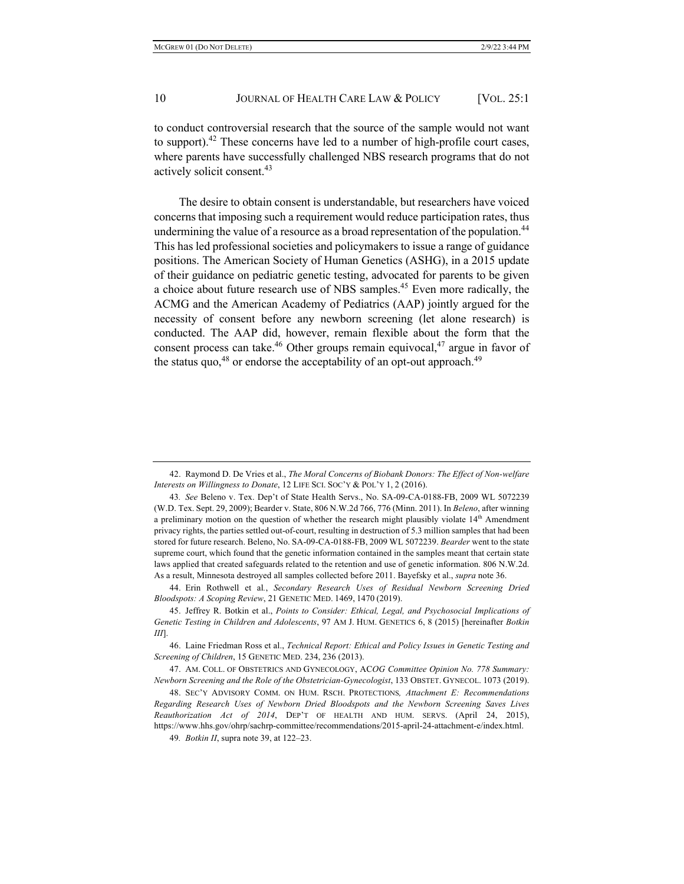to conduct controversial research that the source of the sample would not want to support).42 These concerns have led to a number of high-profile court cases, where parents have successfully challenged NBS research programs that do not actively solicit consent.<sup>43</sup>

The desire to obtain consent is understandable, but researchers have voiced concerns that imposing such a requirement would reduce participation rates, thus undermining the value of a resource as a broad representation of the population.<sup>44</sup> This has led professional societies and policymakers to issue a range of guidance positions. The American Society of Human Genetics (ASHG), in a 2015 update of their guidance on pediatric genetic testing, advocated for parents to be given a choice about future research use of NBS samples.45 Even more radically, the ACMG and the American Academy of Pediatrics (AAP) jointly argued for the necessity of consent before any newborn screening (let alone research) is conducted. The AAP did, however, remain flexible about the form that the consent process can take.<sup>46</sup> Other groups remain equivocal,<sup>47</sup> argue in favor of the status quo,<sup>48</sup> or endorse the acceptability of an opt-out approach.<sup>49</sup>

<sup>42.</sup> Raymond D. De Vries et al., *The Moral Concerns of Biobank Donors: The Effect of Non-welfare Interests on Willingness to Donate*, 12 LIFE SCI. SOC'Y & POL'Y 1, 2 (2016).

<sup>43</sup>*. See* Beleno v. Tex. Dep't of State Health Servs., No. SA-09-CA-0188-FB, 2009 WL 5072239 (W.D. Tex. Sept. 29, 2009); Bearder v. State, 806 N.W.2d 766, 776 (Minn. 2011). In *Beleno*, after winning a preliminary motion on the question of whether the research might plausibly violate  $14<sup>th</sup>$  Amendment privacy rights, the parties settled out-of-court, resulting in destruction of 5.3 million samples that had been stored for future research. Beleno, No. SA-09-CA-0188-FB, 2009 WL 5072239. *Bearder* went to the state supreme court, which found that the genetic information contained in the samples meant that certain state laws applied that created safeguards related to the retention and use of genetic information. 806 N.W.2d. As a result, Minnesota destroyed all samples collected before 2011. Bayefsky et al., *supra* note 36.

<sup>44.</sup> Erin Rothwell et al*.*, *Secondary Research Uses of Residual Newborn Screening Dried Bloodspots: A Scoping Review*, 21 GENETIC MED. 1469, 1470 (2019).

<sup>45.</sup> Jeffrey R. Botkin et al., *Points to Consider: Ethical, Legal, and Psychosocial Implications of Genetic Testing in Children and Adolescents*, 97 AM J. HUM. GENETICS 6, 8 (2015) [hereinafter *Botkin III*].

<sup>46.</sup> Laine Friedman Ross et al., *Technical Report: Ethical and Policy Issues in Genetic Testing and Screening of Children*, 15 GENETIC MED. 234, 236 (2013).

<sup>47.</sup> AM. COLL. OF OBSTETRICS AND GYNECOLOGY, AC*OG Committee Opinion No. 778 Summary: Newborn Screening and the Role of the Obstetrician-Gynecologist*, 133 OBSTET. GYNECOL. 1073 (2019).

<sup>48.</sup> SEC'Y ADVISORY COMM. ON HUM. RSCH. PROTECTIONS*, Attachment E: Recommendations Regarding Research Uses of Newborn Dried Bloodspots and the Newborn Screening Saves Lives Reauthorization Act of 2014*, DEP'T OF HEALTH AND HUM. SERVS. (April 24, 2015), https://www.hhs.gov/ohrp/sachrp-committee/recommendations/2015-april-24-attachment-e/index.html.

<sup>49</sup>*. Botkin II*, supra note 39, at 122–23.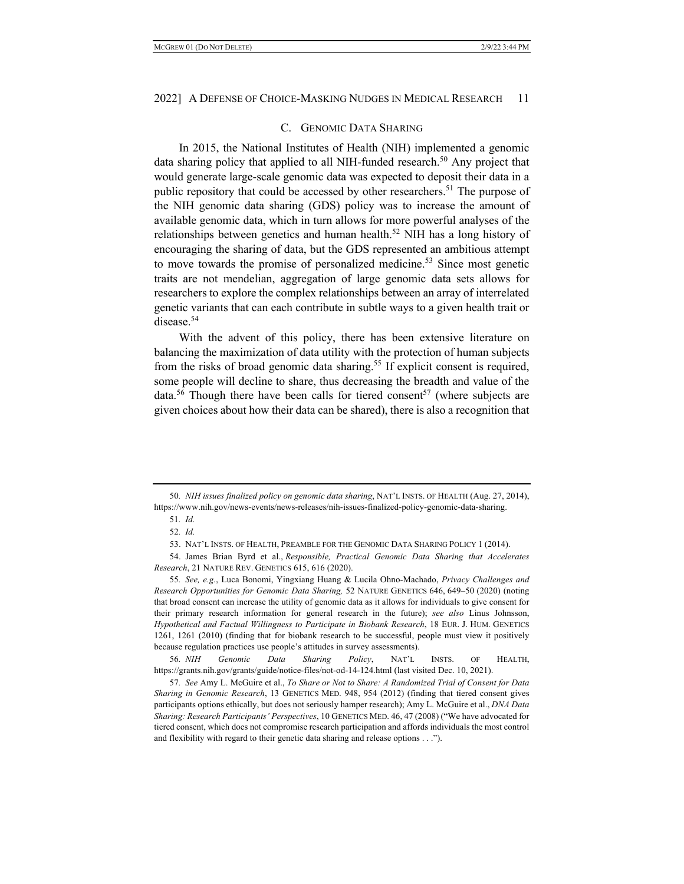### C. GENOMIC DATA SHARING

In 2015, the National Institutes of Health (NIH) implemented a genomic data sharing policy that applied to all NIH-funded research.<sup>50</sup> Any project that would generate large-scale genomic data was expected to deposit their data in a public repository that could be accessed by other researchers.<sup>51</sup> The purpose of the NIH genomic data sharing (GDS) policy was to increase the amount of available genomic data, which in turn allows for more powerful analyses of the relationships between genetics and human health.<sup>52</sup> NIH has a long history of encouraging the sharing of data, but the GDS represented an ambitious attempt to move towards the promise of personalized medicine.<sup>53</sup> Since most genetic traits are not mendelian, aggregation of large genomic data sets allows for researchers to explore the complex relationships between an array of interrelated genetic variants that can each contribute in subtle ways to a given health trait or disease.<sup>54</sup>

With the advent of this policy, there has been extensive literature on balancing the maximization of data utility with the protection of human subjects from the risks of broad genomic data sharing.<sup>55</sup> If explicit consent is required, some people will decline to share, thus decreasing the breadth and value of the data.<sup>56</sup> Though there have been calls for tiered consent<sup>57</sup> (where subjects are given choices about how their data can be shared), there is also a recognition that

<sup>50</sup>*. NIH issues finalized policy on genomic data sharing*, NAT'L INSTS. OF HEALTH (Aug. 27, 2014), https://www.nih.gov/news-events/news-releases/nih-issues-finalized-policy-genomic-data-sharing.

<sup>51</sup>*. Id.*

<sup>52</sup>*. Id.*

<sup>53.</sup> NAT'L INSTS. OF HEALTH, PREAMBLE FOR THE GENOMIC DATA SHARING POLICY 1 (2014).

<sup>54.</sup> James Brian Byrd et al., *Responsible, Practical Genomic Data Sharing that Accelerates Research*, 21 NATURE REV. GENETICS 615, 616 (2020).

<sup>55</sup>*. See, e.g.*, Luca Bonomi, Yingxiang Huang & Lucila Ohno-Machado, *Privacy Challenges and Research Opportunities for Genomic Data Sharing,* 52 NATURE GENETICS 646, 649–50 (2020) (noting that broad consent can increase the utility of genomic data as it allows for individuals to give consent for their primary research information for general research in the future); *see also* Linus Johnsson, *Hypothetical and Factual Willingness to Participate in Biobank Research*, 18 EUR. J. HUM. GENETICS 1261, 1261 (2010) (finding that for biobank research to be successful, people must view it positively because regulation practices use people's attitudes in survey assessments).

<sup>56</sup>*. NIH Genomic Data Sharing Policy*, NAT'L INSTS. OF HEALTH, https://grants.nih.gov/grants/guide/notice-files/not-od-14-124.html (last visited Dec. 10, 2021).

<sup>57</sup>*. See* Amy L. McGuire et al., *To Share or Not to Share: A Randomized Trial of Consent for Data Sharing in Genomic Research*, 13 GENETICS MED. 948, 954 (2012) (finding that tiered consent gives participants options ethically, but does not seriously hamper research); Amy L. McGuire et al., *DNA Data Sharing: Research Participants' Perspectives*, 10 GENETICS MED. 46, 47 (2008) ("We have advocated for tiered consent, which does not compromise research participation and affords individuals the most control and flexibility with regard to their genetic data sharing and release options . . .").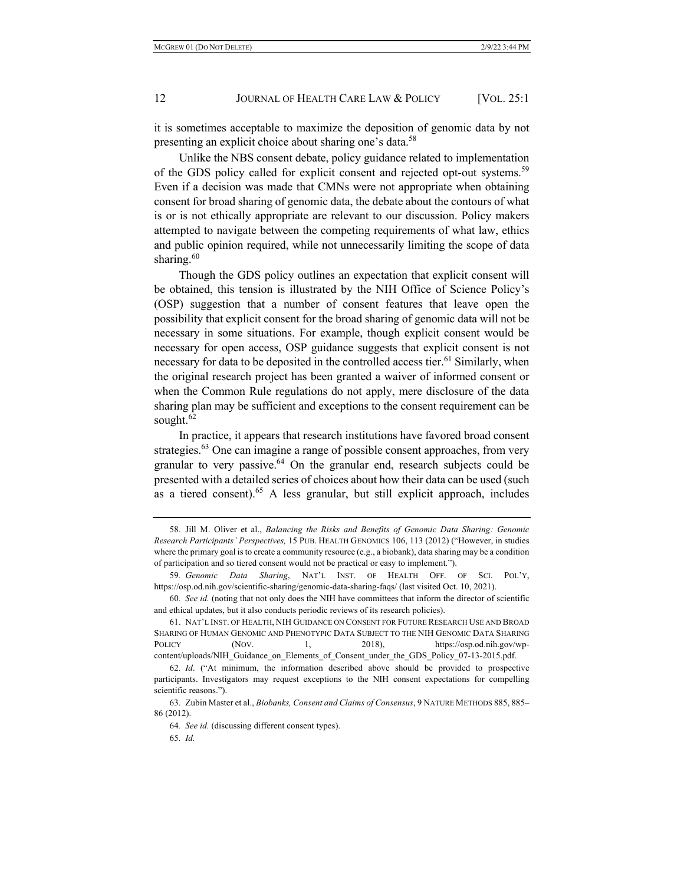it is sometimes acceptable to maximize the deposition of genomic data by not presenting an explicit choice about sharing one's data.<sup>58</sup>

Unlike the NBS consent debate, policy guidance related to implementation of the GDS policy called for explicit consent and rejected opt-out systems.<sup>59</sup> Even if a decision was made that CMNs were not appropriate when obtaining consent for broad sharing of genomic data, the debate about the contours of what is or is not ethically appropriate are relevant to our discussion. Policy makers attempted to navigate between the competing requirements of what law, ethics and public opinion required, while not unnecessarily limiting the scope of data sharing. $60$ 

Though the GDS policy outlines an expectation that explicit consent will be obtained, this tension is illustrated by the NIH Office of Science Policy's (OSP) suggestion that a number of consent features that leave open the possibility that explicit consent for the broad sharing of genomic data will not be necessary in some situations. For example, though explicit consent would be necessary for open access, OSP guidance suggests that explicit consent is not necessary for data to be deposited in the controlled access tier.<sup>61</sup> Similarly, when the original research project has been granted a waiver of informed consent or when the Common Rule regulations do not apply, mere disclosure of the data sharing plan may be sufficient and exceptions to the consent requirement can be sought.<sup>62</sup>

In practice, it appears that research institutions have favored broad consent strategies.<sup>63</sup> One can imagine a range of possible consent approaches, from very granular to very passive.<sup>64</sup> On the granular end, research subjects could be presented with a detailed series of choices about how their data can be used (such as a tiered consent).<sup>65</sup> A less granular, but still explicit approach, includes

<sup>58.</sup> Jill M. Oliver et al., *Balancing the Risks and Benefits of Genomic Data Sharing: Genomic Research Participants' Perspectives,* 15 PUB. HEALTH GENOMICS 106, 113 (2012) ("However, in studies where the primary goal is to create a community resource (e.g., a biobank), data sharing may be a condition of participation and so tiered consent would not be practical or easy to implement.").

<sup>59</sup>*. Genomic Data Sharing*, NAT'L INST. OF HEALTH OFF. OF SCI. POL'Y, https://osp.od.nih.gov/scientific-sharing/genomic-data-sharing-faqs/ (last visited Oct. 10, 2021).

<sup>60</sup>*. See id.* (noting that not only does the NIH have committees that inform the director of scientific and ethical updates, but it also conducts periodic reviews of its research policies).

<sup>61.</sup> NAT'L INST. OF HEALTH, NIH GUIDANCE ON CONSENT FOR FUTURE RESEARCH USE AND BROAD SHARING OF HUMAN GENOMIC AND PHENOTYPIC DATA SUBJECT TO THE NIH GENOMIC DATA SHARING POLICY (NOV. 1, 2018), https://osp.od.nih.gov/wpcontent/uploads/NIH\_Guidance\_on\_Elements\_of\_Consent\_under\_the\_GDS\_Policy\_07-13-2015.pdf.

<sup>62</sup>*. Id*. ("At minimum, the information described above should be provided to prospective participants. Investigators may request exceptions to the NIH consent expectations for compelling scientific reasons.").

<sup>63.</sup> Zubin Master et al., *Biobanks, Consent and Claims of Consensus*, 9 NATURE METHODS 885, 885– 86 (2012).

<sup>64</sup>*. See id.* (discussing different consent types).

<sup>65</sup>*. Id.*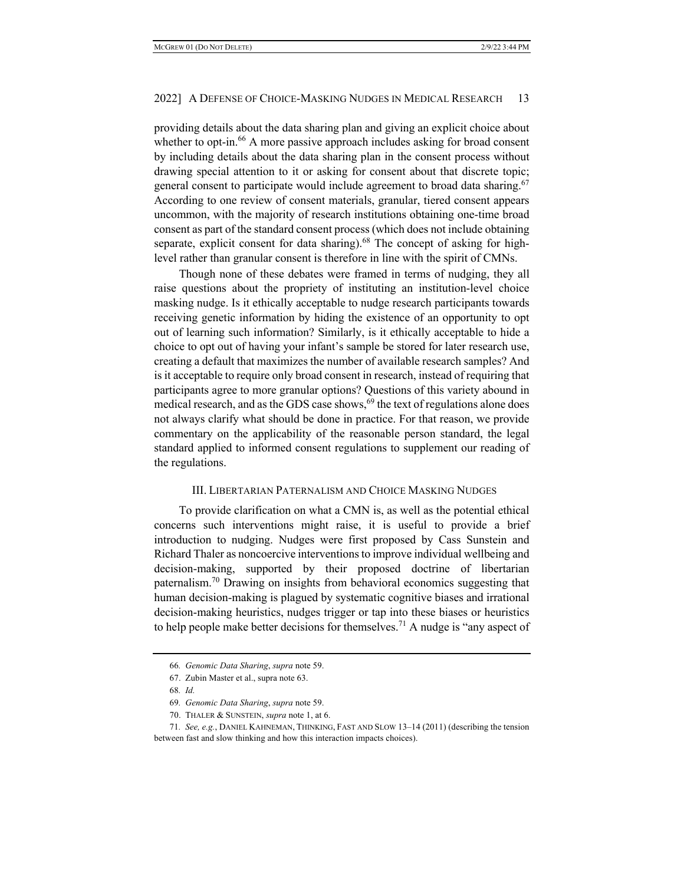providing details about the data sharing plan and giving an explicit choice about whether to opt-in.<sup>66</sup> A more passive approach includes asking for broad consent by including details about the data sharing plan in the consent process without drawing special attention to it or asking for consent about that discrete topic; general consent to participate would include agreement to broad data sharing.<sup>67</sup> According to one review of consent materials, granular, tiered consent appears uncommon, with the majority of research institutions obtaining one-time broad consent as part of the standard consent process (which does not include obtaining separate, explicit consent for data sharing).<sup>68</sup> The concept of asking for highlevel rather than granular consent is therefore in line with the spirit of CMNs.

Though none of these debates were framed in terms of nudging, they all raise questions about the propriety of instituting an institution-level choice masking nudge. Is it ethically acceptable to nudge research participants towards receiving genetic information by hiding the existence of an opportunity to opt out of learning such information? Similarly, is it ethically acceptable to hide a choice to opt out of having your infant's sample be stored for later research use, creating a default that maximizes the number of available research samples? And is it acceptable to require only broad consent in research, instead of requiring that participants agree to more granular options? Questions of this variety abound in medical research, and as the GDS case shows, $69$  the text of regulations alone does not always clarify what should be done in practice. For that reason, we provide commentary on the applicability of the reasonable person standard, the legal standard applied to informed consent regulations to supplement our reading of the regulations.

### III. LIBERTARIAN PATERNALISM AND CHOICE MASKING NUDGES

To provide clarification on what a CMN is, as well as the potential ethical concerns such interventions might raise, it is useful to provide a brief introduction to nudging. Nudges were first proposed by Cass Sunstein and Richard Thaler as noncoercive interventions to improve individual wellbeing and decision-making, supported by their proposed doctrine of libertarian paternalism.70 Drawing on insights from behavioral economics suggesting that human decision-making is plagued by systematic cognitive biases and irrational decision-making heuristics, nudges trigger or tap into these biases or heuristics to help people make better decisions for themselves.<sup>71</sup> A nudge is "any aspect of

<sup>66</sup>*. Genomic Data Sharing*, *supra* note 59.

<sup>67.</sup> Zubin Master et al., supra note 63.

<sup>68</sup>*. Id.*

<sup>69</sup>*. Genomic Data Sharing*, *supra* note 59.

<sup>70.</sup> THALER & SUNSTEIN, *supra* note 1, at 6.

<sup>71</sup>*. See, e.g.*, DANIEL KAHNEMAN, THINKING, FAST AND SLOW 13–14 (2011) (describing the tension between fast and slow thinking and how this interaction impacts choices).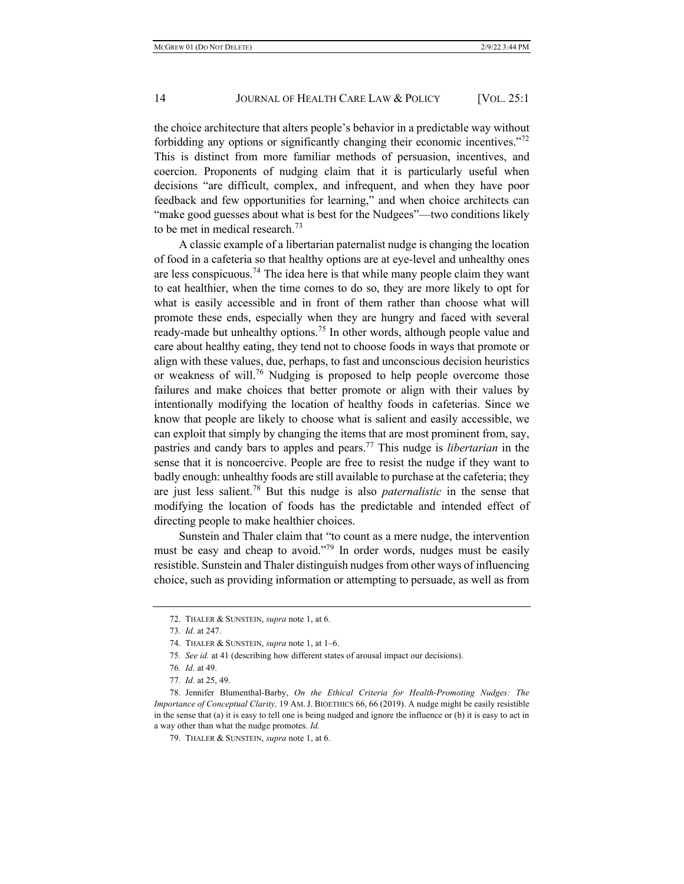the choice architecture that alters people's behavior in a predictable way without forbidding any options or significantly changing their economic incentives."<sup>72</sup> This is distinct from more familiar methods of persuasion, incentives, and coercion. Proponents of nudging claim that it is particularly useful when decisions "are difficult, complex, and infrequent, and when they have poor feedback and few opportunities for learning," and when choice architects can "make good guesses about what is best for the Nudgees"—two conditions likely to be met in medical research.<sup>73</sup>

A classic example of a libertarian paternalist nudge is changing the location of food in a cafeteria so that healthy options are at eye-level and unhealthy ones are less conspicuous.<sup>74</sup> The idea here is that while many people claim they want to eat healthier, when the time comes to do so, they are more likely to opt for what is easily accessible and in front of them rather than choose what will promote these ends, especially when they are hungry and faced with several ready-made but unhealthy options.<sup>75</sup> In other words, although people value and care about healthy eating, they tend not to choose foods in ways that promote or align with these values, due, perhaps, to fast and unconscious decision heuristics or weakness of will.<sup>76</sup> Nudging is proposed to help people overcome those failures and make choices that better promote or align with their values by intentionally modifying the location of healthy foods in cafeterias. Since we know that people are likely to choose what is salient and easily accessible, we can exploit that simply by changing the items that are most prominent from, say, pastries and candy bars to apples and pears.77 This nudge is *libertarian* in the sense that it is noncoercive. People are free to resist the nudge if they want to badly enough: unhealthy foods are still available to purchase at the cafeteria; they are just less salient.<sup>78</sup> But this nudge is also *paternalistic* in the sense that modifying the location of foods has the predictable and intended effect of directing people to make healthier choices.

Sunstein and Thaler claim that "to count as a mere nudge, the intervention must be easy and cheap to avoid."<sup>79</sup> In order words, nudges must be easily resistible. Sunstein and Thaler distinguish nudges from other ways of influencing choice, such as providing information or attempting to persuade, as well as from

<sup>72.</sup> THALER & SUNSTEIN, *supra* note 1, at 6.

<sup>73</sup>*. Id.* at 247.

<sup>74.</sup> THALER & SUNSTEIN, *supra* note 1, at 1–6.

<sup>75</sup>*. See id.* at 41 (describing how different states of arousal impact our decisions).

<sup>76</sup>*. Id.* at 49.

<sup>77</sup>*. Id.* at 25, 49.

<sup>78.</sup> Jennifer Blumenthal-Barby, *On the Ethical Criteria for Health-Promoting Nudges: The Importance of Conceptual Clarity,* 19 AM.J. BIOETHICS 66, 66 (2019). A nudge might be easily resistible in the sense that (a) it is easy to tell one is being nudged and ignore the influence or (b) it is easy to act in a way other than what the nudge promotes. *Id.*

<sup>79.</sup> THALER & SUNSTEIN, *supra* note 1, at 6.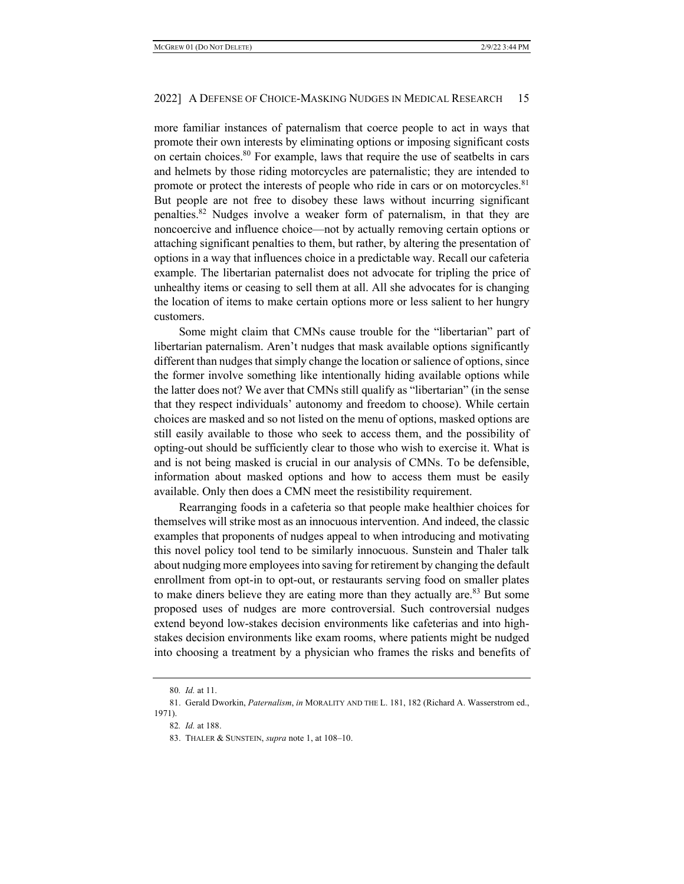more familiar instances of paternalism that coerce people to act in ways that promote their own interests by eliminating options or imposing significant costs on certain choices.80 For example, laws that require the use of seatbelts in cars and helmets by those riding motorcycles are paternalistic; they are intended to promote or protect the interests of people who ride in cars or on motorcycles.<sup>81</sup> But people are not free to disobey these laws without incurring significant penalties.82 Nudges involve a weaker form of paternalism, in that they are noncoercive and influence choice—not by actually removing certain options or attaching significant penalties to them, but rather, by altering the presentation of options in a way that influences choice in a predictable way. Recall our cafeteria example. The libertarian paternalist does not advocate for tripling the price of unhealthy items or ceasing to sell them at all. All she advocates for is changing the location of items to make certain options more or less salient to her hungry customers.

Some might claim that CMNs cause trouble for the "libertarian" part of libertarian paternalism. Aren't nudges that mask available options significantly different than nudges that simply change the location or salience of options, since the former involve something like intentionally hiding available options while the latter does not? We aver that CMNs still qualify as "libertarian" (in the sense that they respect individuals' autonomy and freedom to choose). While certain choices are masked and so not listed on the menu of options, masked options are still easily available to those who seek to access them, and the possibility of opting-out should be sufficiently clear to those who wish to exercise it. What is and is not being masked is crucial in our analysis of CMNs. To be defensible, information about masked options and how to access them must be easily available. Only then does a CMN meet the resistibility requirement.

Rearranging foods in a cafeteria so that people make healthier choices for themselves will strike most as an innocuous intervention. And indeed, the classic examples that proponents of nudges appeal to when introducing and motivating this novel policy tool tend to be similarly innocuous. Sunstein and Thaler talk about nudging more employees into saving for retirement by changing the default enrollment from opt-in to opt-out, or restaurants serving food on smaller plates to make diners believe they are eating more than they actually are.<sup>83</sup> But some proposed uses of nudges are more controversial. Such controversial nudges extend beyond low-stakes decision environments like cafeterias and into highstakes decision environments like exam rooms, where patients might be nudged into choosing a treatment by a physician who frames the risks and benefits of

<sup>80</sup>*. Id.* at 11.

<sup>81.</sup> Gerald Dworkin, *Paternalism*, *in* MORALITY AND THE L. 181, 182 (Richard A. Wasserstrom ed., 1971).

<sup>82</sup>*. Id.* at 188.

<sup>83.</sup> THALER & SUNSTEIN, *supra* note 1, at 108–10.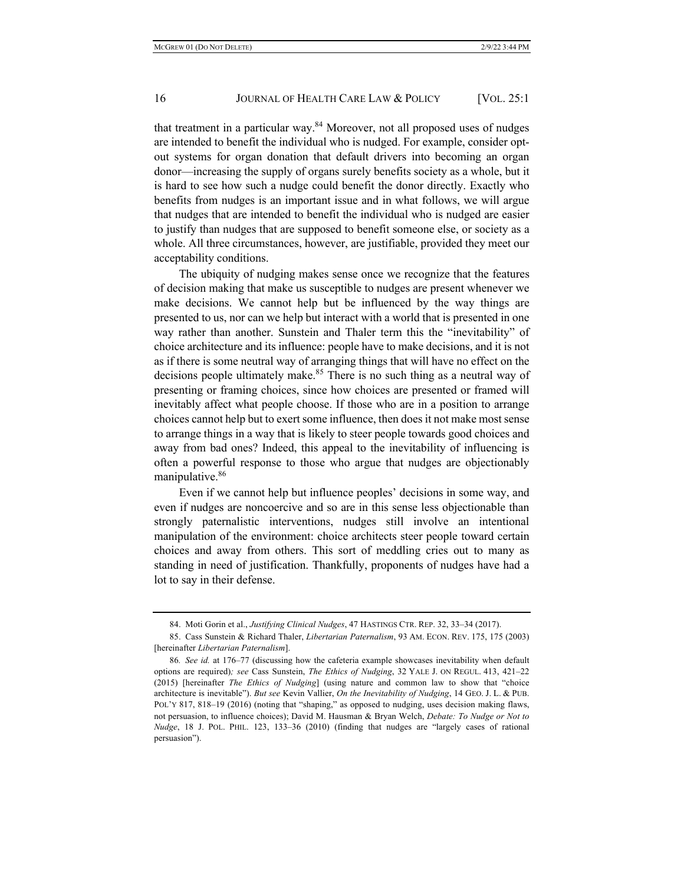that treatment in a particular way.<sup>84</sup> Moreover, not all proposed uses of nudges are intended to benefit the individual who is nudged. For example, consider optout systems for organ donation that default drivers into becoming an organ donor—increasing the supply of organs surely benefits society as a whole, but it is hard to see how such a nudge could benefit the donor directly. Exactly who benefits from nudges is an important issue and in what follows, we will argue that nudges that are intended to benefit the individual who is nudged are easier to justify than nudges that are supposed to benefit someone else, or society as a whole. All three circumstances, however, are justifiable, provided they meet our acceptability conditions.

The ubiquity of nudging makes sense once we recognize that the features of decision making that make us susceptible to nudges are present whenever we make decisions. We cannot help but be influenced by the way things are presented to us, nor can we help but interact with a world that is presented in one way rather than another. Sunstein and Thaler term this the "inevitability" of choice architecture and its influence: people have to make decisions, and it is not as if there is some neutral way of arranging things that will have no effect on the decisions people ultimately make.<sup>85</sup> There is no such thing as a neutral way of presenting or framing choices, since how choices are presented or framed will inevitably affect what people choose. If those who are in a position to arrange choices cannot help but to exert some influence, then does it not make most sense to arrange things in a way that is likely to steer people towards good choices and away from bad ones? Indeed, this appeal to the inevitability of influencing is often a powerful response to those who argue that nudges are objectionably manipulative.<sup>86</sup>

Even if we cannot help but influence peoples' decisions in some way, and even if nudges are noncoercive and so are in this sense less objectionable than strongly paternalistic interventions, nudges still involve an intentional manipulation of the environment: choice architects steer people toward certain choices and away from others. This sort of meddling cries out to many as standing in need of justification. Thankfully, proponents of nudges have had a lot to say in their defense.

<sup>84.</sup> Moti Gorin et al., *Justifying Clinical Nudges*, 47 HASTINGS CTR. REP. 32, 33–34 (2017).

<sup>85.</sup> Cass Sunstein & Richard Thaler, *Libertarian Paternalism*, 93 AM. ECON. REV. 175, 175 (2003) [hereinafter *Libertarian Paternalism*].

<sup>86</sup>*. See id.* at 176–77 (discussing how the cafeteria example showcases inevitability when default options are required)*; see* Cass Sunstein, *The Ethics of Nudging*, 32 YALE J. ON REGUL. 413, 421–22 (2015) [hereinafter *The Ethics of Nudging*] (using nature and common law to show that "choice architecture is inevitable"). *But see* Kevin Vallier, *On the Inevitability of Nudging*, 14 GEO. J. L. & PUB. POL'Y 817, 818–19 (2016) (noting that "shaping," as opposed to nudging, uses decision making flaws, not persuasion, to influence choices); David M. Hausman & Bryan Welch, *Debate: To Nudge or Not to Nudge*, 18 J. POL. PHIL. 123, 133–36 (2010) (finding that nudges are "largely cases of rational persuasion").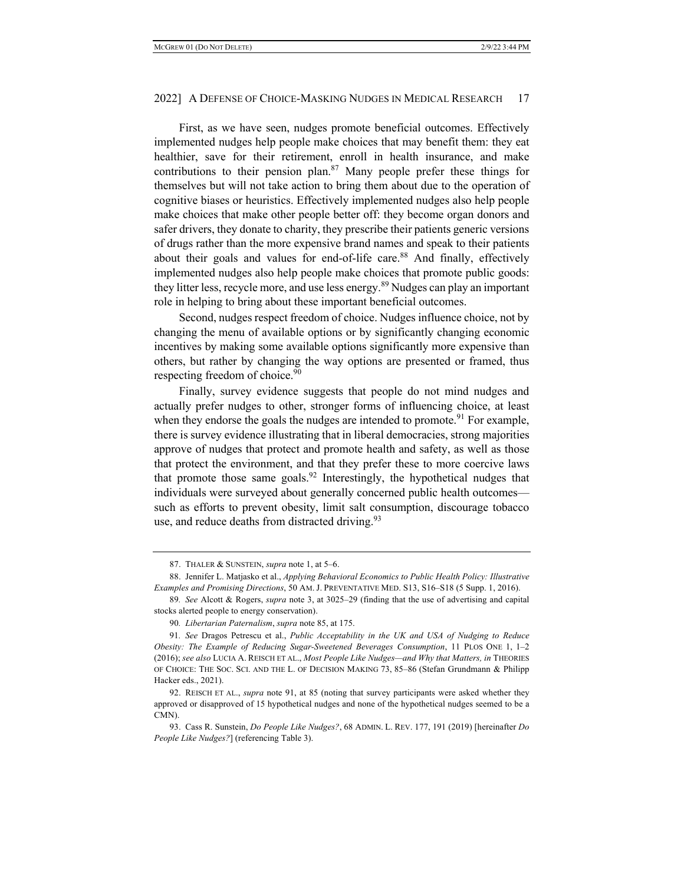First, as we have seen, nudges promote beneficial outcomes. Effectively implemented nudges help people make choices that may benefit them: they eat healthier, save for their retirement, enroll in health insurance, and make contributions to their pension plan.<sup>87</sup> Many people prefer these things for themselves but will not take action to bring them about due to the operation of cognitive biases or heuristics. Effectively implemented nudges also help people make choices that make other people better off: they become organ donors and safer drivers, they donate to charity, they prescribe their patients generic versions of drugs rather than the more expensive brand names and speak to their patients about their goals and values for end-of-life care.<sup>88</sup> And finally, effectively implemented nudges also help people make choices that promote public goods: they litter less, recycle more, and use less energy.<sup>89</sup> Nudges can play an important role in helping to bring about these important beneficial outcomes.

Second, nudges respect freedom of choice. Nudges influence choice, not by changing the menu of available options or by significantly changing economic incentives by making some available options significantly more expensive than others, but rather by changing the way options are presented or framed, thus respecting freedom of choice.<sup>90</sup>

Finally, survey evidence suggests that people do not mind nudges and actually prefer nudges to other, stronger forms of influencing choice, at least when they endorse the goals the nudges are intended to promote.<sup>91</sup> For example, there is survey evidence illustrating that in liberal democracies, strong majorities approve of nudges that protect and promote health and safety, as well as those that protect the environment, and that they prefer these to more coercive laws that promote those same goals.<sup>92</sup> Interestingly, the hypothetical nudges that individuals were surveyed about generally concerned public health outcomes such as efforts to prevent obesity, limit salt consumption, discourage tobacco use, and reduce deaths from distracted driving.<sup>93</sup>

<sup>87.</sup> THALER & SUNSTEIN, *supra* note 1, at 5–6.

<sup>88.</sup> Jennifer L. Matjasko et al., *Applying Behavioral Economics to Public Health Policy: Illustrative Examples and Promising Directions*, 50 AM. J. PREVENTATIVE MED. S13, S16–S18 (5 Supp. 1, 2016).

<sup>89</sup>*. See* Alcott & Rogers, *supra* note 3, at 3025–29 (finding that the use of advertising and capital stocks alerted people to energy conservation).

<sup>90</sup>*. Libertarian Paternalism*, *supra* note 85, at 175.

<sup>91</sup>*. See* Dragos Petrescu et al., *Public Acceptability in the UK and USA of Nudging to Reduce Obesity: The Example of Reducing Sugar-Sweetened Beverages Consumption*, 11 PLOS ONE 1, 1–2 (2016); *see also* LUCIA A. REISCH ET AL., *Most People Like Nudges—and Why that Matters, in* THEORIES OF CHOICE: THE SOC. SCI. AND THE L. OF DECISION MAKING 73, 85–86 (Stefan Grundmann & Philipp Hacker eds., 2021).

<sup>92.</sup> REISCH ET AL., *supra* note 91, at 85 (noting that survey participants were asked whether they approved or disapproved of 15 hypothetical nudges and none of the hypothetical nudges seemed to be a CMN).

<sup>93.</sup> Cass R. Sunstein, *Do People Like Nudges?*, 68 ADMIN. L. REV. 177, 191 (2019) [hereinafter *Do People Like Nudges?*] (referencing Table 3).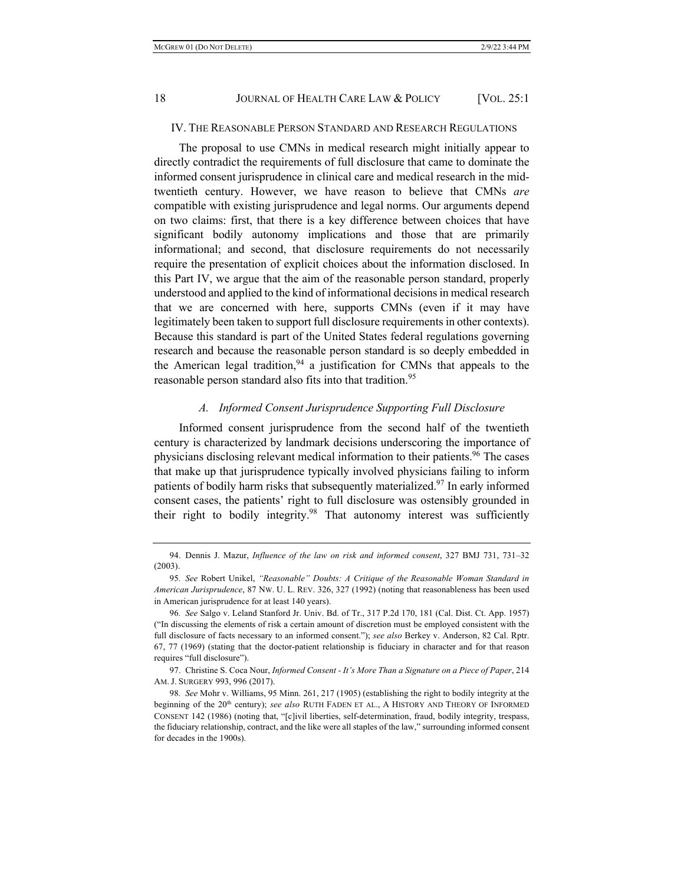# IV. THE REASONABLE PERSON STANDARD AND RESEARCH REGULATIONS

The proposal to use CMNs in medical research might initially appear to directly contradict the requirements of full disclosure that came to dominate the informed consent jurisprudence in clinical care and medical research in the midtwentieth century. However, we have reason to believe that CMNs *are* compatible with existing jurisprudence and legal norms. Our arguments depend on two claims: first, that there is a key difference between choices that have significant bodily autonomy implications and those that are primarily informational; and second, that disclosure requirements do not necessarily require the presentation of explicit choices about the information disclosed. In this Part IV, we argue that the aim of the reasonable person standard, properly understood and applied to the kind of informational decisions in medical research that we are concerned with here, supports CMNs (even if it may have legitimately been taken to support full disclosure requirements in other contexts). Because this standard is part of the United States federal regulations governing research and because the reasonable person standard is so deeply embedded in the American legal tradition,  $94$  a justification for CMNs that appeals to the reasonable person standard also fits into that tradition.<sup>95</sup>

#### *A. Informed Consent Jurisprudence Supporting Full Disclosure*

Informed consent jurisprudence from the second half of the twentieth century is characterized by landmark decisions underscoring the importance of physicians disclosing relevant medical information to their patients.<sup>96</sup> The cases that make up that jurisprudence typically involved physicians failing to inform patients of bodily harm risks that subsequently materialized.<sup>97</sup> In early informed consent cases, the patients' right to full disclosure was ostensibly grounded in their right to bodily integrity.<sup>98</sup> That autonomy interest was sufficiently

<sup>94.</sup> Dennis J. Mazur, *Influence of the law on risk and informed consent*, 327 BMJ 731, 731–32 (2003).

<sup>95</sup>*. See* Robert Unikel, *"Reasonable" Doubts: A Critique of the Reasonable Woman Standard in American Jurisprudence*, 87 NW. U. L. REV. 326, 327 (1992) (noting that reasonableness has been used in American jurisprudence for at least 140 years).

<sup>96</sup>*. See* Salgo v. Leland Stanford Jr. Univ. Bd. of Tr., 317 P.2d 170, 181 (Cal. Dist. Ct. App. 1957) ("In discussing the elements of risk a certain amount of discretion must be employed consistent with the full disclosure of facts necessary to an informed consent."); *see also* Berkey v. Anderson, 82 Cal. Rptr. 67, 77 (1969) (stating that the doctor-patient relationship is fiduciary in character and for that reason requires "full disclosure").

<sup>97.</sup> Christine S. Coca Nour, *Informed Consent - It's More Than a Signature on a Piece of Paper*, 214 AM. J. SURGERY 993, 996 (2017).

<sup>98</sup>*. See* Mohr v. Williams, 95 Minn. 261, 217 (1905) (establishing the right to bodily integrity at the beginning of the 20<sup>th</sup> century); *see also* RUTH FADEN ET AL., A HISTORY AND THEORY OF INFORMED CONSENT 142 (1986) (noting that, "[c]ivil liberties, self-determination, fraud, bodily integrity, trespass, the fiduciary relationship, contract, and the like were all staples of the law," surrounding informed consent for decades in the 1900s).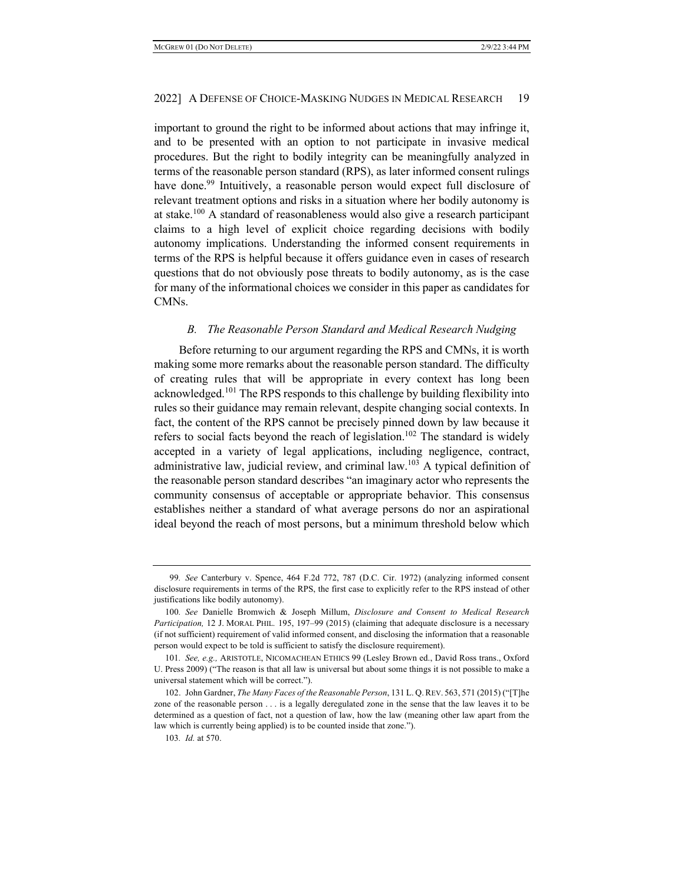important to ground the right to be informed about actions that may infringe it, and to be presented with an option to not participate in invasive medical procedures. But the right to bodily integrity can be meaningfully analyzed in terms of the reasonable person standard (RPS), as later informed consent rulings have done.<sup>99</sup> Intuitively, a reasonable person would expect full disclosure of relevant treatment options and risks in a situation where her bodily autonomy is at stake.<sup>100</sup> A standard of reasonableness would also give a research participant claims to a high level of explicit choice regarding decisions with bodily autonomy implications. Understanding the informed consent requirements in terms of the RPS is helpful because it offers guidance even in cases of research questions that do not obviously pose threats to bodily autonomy, as is the case for many of the informational choices we consider in this paper as candidates for CMNs.

#### *B. The Reasonable Person Standard and Medical Research Nudging*

Before returning to our argument regarding the RPS and CMNs, it is worth making some more remarks about the reasonable person standard. The difficulty of creating rules that will be appropriate in every context has long been acknowledged.<sup>101</sup> The RPS responds to this challenge by building flexibility into rules so their guidance may remain relevant, despite changing social contexts. In fact, the content of the RPS cannot be precisely pinned down by law because it refers to social facts beyond the reach of legislation.<sup>102</sup> The standard is widely accepted in a variety of legal applications, including negligence, contract, administrative law, judicial review, and criminal law.<sup>103</sup> A typical definition of the reasonable person standard describes "an imaginary actor who represents the community consensus of acceptable or appropriate behavior. This consensus establishes neither a standard of what average persons do nor an aspirational ideal beyond the reach of most persons, but a minimum threshold below which

<sup>99</sup>*. See* Canterbury v. Spence, 464 F.2d 772, 787 (D.C. Cir. 1972) (analyzing informed consent disclosure requirements in terms of the RPS, the first case to explicitly refer to the RPS instead of other justifications like bodily autonomy).

<sup>100</sup>*. See* Danielle Bromwich & Joseph Millum, *Disclosure and Consent to Medical Research Participation,* 12 J. MORAL PHIL*.* 195, 197–99 (2015) (claiming that adequate disclosure is a necessary (if not sufficient) requirement of valid informed consent, and disclosing the information that a reasonable person would expect to be told is sufficient to satisfy the disclosure requirement).

<sup>101</sup>*. See, e.g.,* ARISTOTLE, NICOMACHEAN ETHICS 99 (Lesley Brown ed., David Ross trans., Oxford U. Press 2009) ("The reason is that all law is universal but about some things it is not possible to make a universal statement which will be correct.").

<sup>102.</sup> John Gardner, *The Many Faces of the Reasonable Person*, 131 L. Q.REV. 563, 571 (2015) ("[T]he zone of the reasonable person . . . is a legally deregulated zone in the sense that the law leaves it to be determined as a question of fact, not a question of law, how the law (meaning other law apart from the law which is currently being applied) is to be counted inside that zone.").

<sup>103</sup>*. Id.* at 570.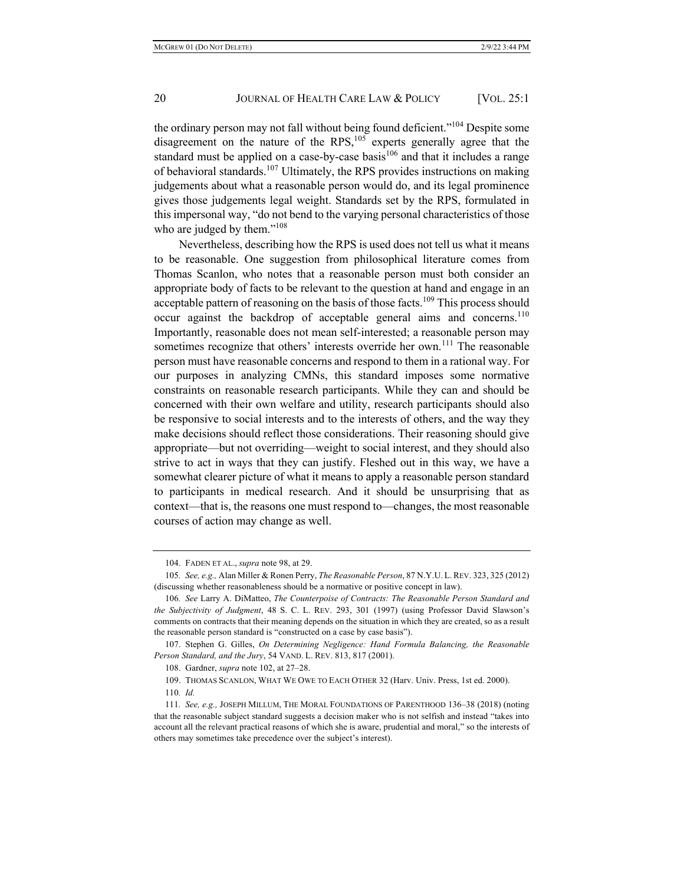the ordinary person may not fall without being found deficient."<sup>104</sup> Despite some disagreement on the nature of the RPS, $105$  experts generally agree that the standard must be applied on a case-by-case basis $106$  and that it includes a range of behavioral standards.107 Ultimately, the RPS provides instructions on making judgements about what a reasonable person would do, and its legal prominence gives those judgements legal weight. Standards set by the RPS, formulated in this impersonal way, "do not bend to the varying personal characteristics of those who are judged by them."<sup>108</sup>

Nevertheless, describing how the RPS is used does not tell us what it means to be reasonable. One suggestion from philosophical literature comes from Thomas Scanlon, who notes that a reasonable person must both consider an appropriate body of facts to be relevant to the question at hand and engage in an acceptable pattern of reasoning on the basis of those facts.<sup>109</sup> This process should occur against the backdrop of acceptable general aims and concerns.<sup>110</sup> Importantly, reasonable does not mean self-interested; a reasonable person may sometimes recognize that others' interests override her own.<sup>111</sup> The reasonable person must have reasonable concerns and respond to them in a rational way. For our purposes in analyzing CMNs, this standard imposes some normative constraints on reasonable research participants. While they can and should be concerned with their own welfare and utility, research participants should also be responsive to social interests and to the interests of others, and the way they make decisions should reflect those considerations. Their reasoning should give appropriate—but not overriding—weight to social interest, and they should also strive to act in ways that they can justify. Fleshed out in this way, we have a somewhat clearer picture of what it means to apply a reasonable person standard to participants in medical research. And it should be unsurprising that as context—that is, the reasons one must respond to—changes, the most reasonable courses of action may change as well.

<sup>104.</sup> FADEN ET AL., *supra* note 98, at 29.

<sup>105</sup>*. See, e.g.,* Alan Miller & Ronen Perry, *The Reasonable Person*, 87 N.Y.U. L.REV. 323, 325 (2012) (discussing whether reasonableness should be a normative or positive concept in law).

<sup>106</sup>*. See* Larry A. DiMatteo, *The Counterpoise of Contracts: The Reasonable Person Standard and the Subjectivity of Judgment*, 48 S. C. L. REV. 293, 301 (1997) (using Professor David Slawson's comments on contracts that their meaning depends on the situation in which they are created, so as a result the reasonable person standard is "constructed on a case by case basis").

<sup>107.</sup> Stephen G. Gilles, *On Determining Negligence: Hand Formula Balancing, the Reasonable Person Standard, and the Jury*, 54 VAND. L. REV. 813, 817 (2001).

<sup>108.</sup> Gardner, *supra* note 102, at 27–28.

<sup>109.</sup> THOMAS SCANLON, WHAT WE OWE TO EACH OTHER 32 (Harv. Univ. Press, 1st ed. 2000).

<sup>110</sup>*. Id.*

<sup>111</sup>*. See, e.g.,* JOSEPH MILLUM, THE MORAL FOUNDATIONS OF PARENTHOOD 136–38 (2018) (noting that the reasonable subject standard suggests a decision maker who is not selfish and instead "takes into account all the relevant practical reasons of which she is aware, prudential and moral," so the interests of others may sometimes take precedence over the subject's interest).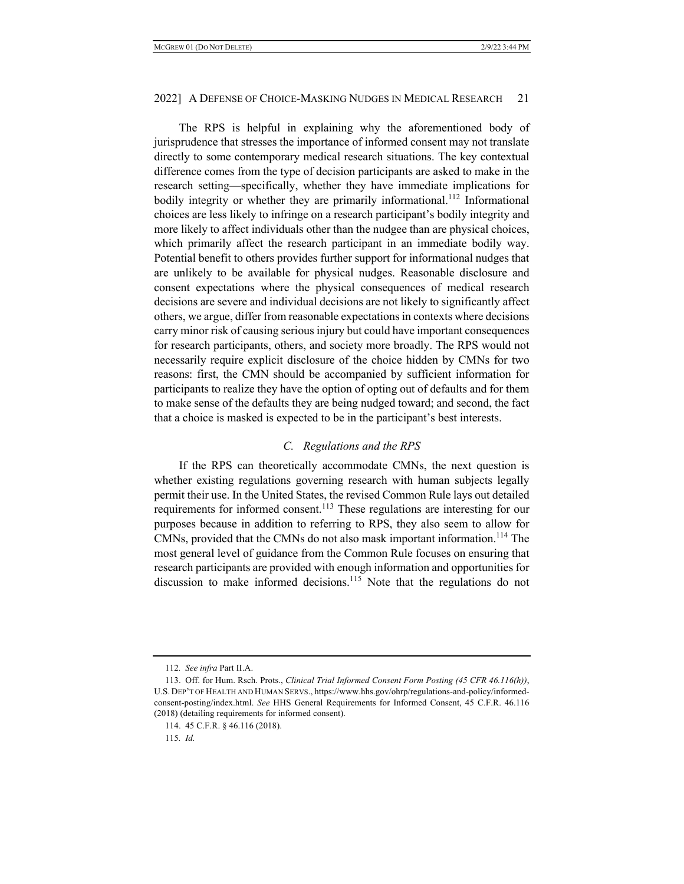The RPS is helpful in explaining why the aforementioned body of jurisprudence that stresses the importance of informed consent may not translate directly to some contemporary medical research situations. The key contextual difference comes from the type of decision participants are asked to make in the research setting—specifically, whether they have immediate implications for bodily integrity or whether they are primarily informational.<sup>112</sup> Informational choices are less likely to infringe on a research participant's bodily integrity and more likely to affect individuals other than the nudgee than are physical choices, which primarily affect the research participant in an immediate bodily way. Potential benefit to others provides further support for informational nudges that are unlikely to be available for physical nudges. Reasonable disclosure and consent expectations where the physical consequences of medical research decisions are severe and individual decisions are not likely to significantly affect others, we argue, differ from reasonable expectations in contexts where decisions carry minor risk of causing serious injury but could have important consequences for research participants, others, and society more broadly. The RPS would not necessarily require explicit disclosure of the choice hidden by CMNs for two reasons: first, the CMN should be accompanied by sufficient information for participants to realize they have the option of opting out of defaults and for them to make sense of the defaults they are being nudged toward; and second, the fact that a choice is masked is expected to be in the participant's best interests.

# *C. Regulations and the RPS*

If the RPS can theoretically accommodate CMNs, the next question is whether existing regulations governing research with human subjects legally permit their use. In the United States, the revised Common Rule lays out detailed requirements for informed consent.<sup>113</sup> These regulations are interesting for our purposes because in addition to referring to RPS, they also seem to allow for CMNs, provided that the CMNs do not also mask important information.<sup>114</sup> The most general level of guidance from the Common Rule focuses on ensuring that research participants are provided with enough information and opportunities for discussion to make informed decisions.<sup>115</sup> Note that the regulations do not

<sup>112</sup>*. See infra* Part II.A.

<sup>113.</sup> Off. for Hum. Rsch. Prots., *Clinical Trial Informed Consent Form Posting (45 CFR 46.116(h))*, U.S. DEP'T OF HEALTH AND HUMAN SERVS., https://www.hhs.gov/ohrp/regulations-and-policy/informedconsent-posting/index.html. *See* HHS General Requirements for Informed Consent, 45 C.F.R. 46.116 (2018) (detailing requirements for informed consent).

<sup>114.</sup> 45 C.F.R. § 46.116 (2018).

<sup>115</sup>*. Id.*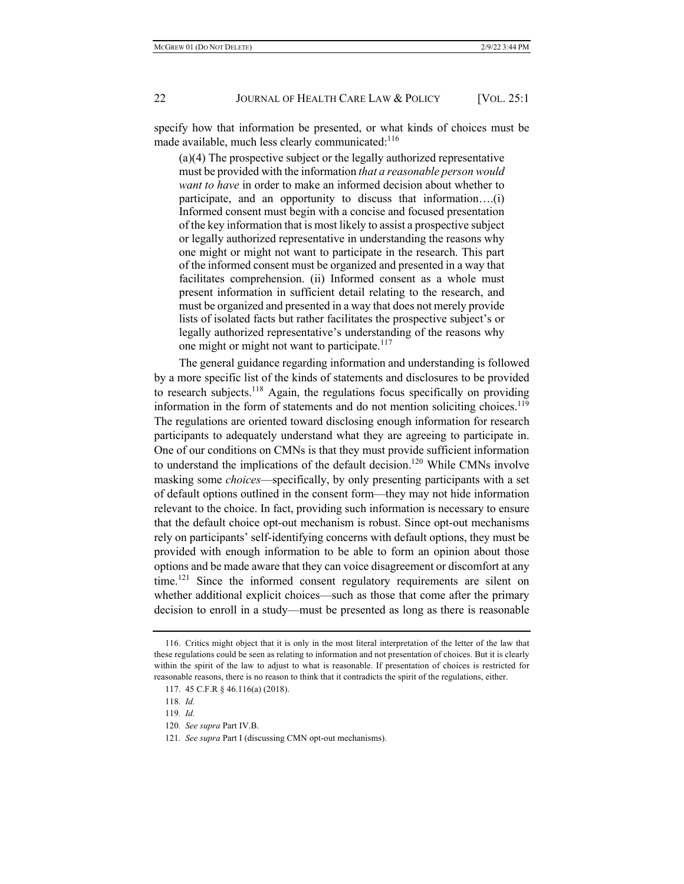specify how that information be presented, or what kinds of choices must be made available, much less clearly communicated:<sup>116</sup>

(a)(4) The prospective subject or the legally authorized representative must be provided with the information *that a reasonable person would want to have* in order to make an informed decision about whether to participate, and an opportunity to discuss that information….(i) Informed consent must begin with a concise and focused presentation of the key information that is most likely to assist a prospective subject or legally authorized representative in understanding the reasons why one might or might not want to participate in the research. This part of the informed consent must be organized and presented in a way that facilitates comprehension. (ii) Informed consent as a whole must present information in sufficient detail relating to the research, and must be organized and presented in a way that does not merely provide lists of isolated facts but rather facilitates the prospective subject's or legally authorized representative's understanding of the reasons why one might or might not want to participate.<sup>117</sup>

The general guidance regarding information and understanding is followed by a more specific list of the kinds of statements and disclosures to be provided to research subjects.<sup>118</sup> Again, the regulations focus specifically on providing information in the form of statements and do not mention soliciting choices.<sup>119</sup> The regulations are oriented toward disclosing enough information for research participants to adequately understand what they are agreeing to participate in. One of our conditions on CMNs is that they must provide sufficient information to understand the implications of the default decision.<sup>120</sup> While CMNs involve masking some *choices*—specifically, by only presenting participants with a set of default options outlined in the consent form—they may not hide information relevant to the choice. In fact, providing such information is necessary to ensure that the default choice opt-out mechanism is robust. Since opt-out mechanisms rely on participants' self-identifying concerns with default options, they must be provided with enough information to be able to form an opinion about those options and be made aware that they can voice disagreement or discomfort at any time.<sup>121</sup> Since the informed consent regulatory requirements are silent on whether additional explicit choices—such as those that come after the primary decision to enroll in a study—must be presented as long as there is reasonable

<sup>116.</sup> Critics might object that it is only in the most literal interpretation of the letter of the law that these regulations could be seen as relating to information and not presentation of choices. But it is clearly within the spirit of the law to adjust to what is reasonable. If presentation of choices is restricted for reasonable reasons, there is no reason to think that it contradicts the spirit of the regulations, either.

<sup>117.</sup> 45 C.F.R § 46.116(a) (2018).

<sup>118</sup>*. Id.*

<sup>119</sup>*. Id.*

<sup>120</sup>*. See supra* Part IV.B.

<sup>121</sup>*. See supra* Part I (discussing CMN opt-out mechanisms).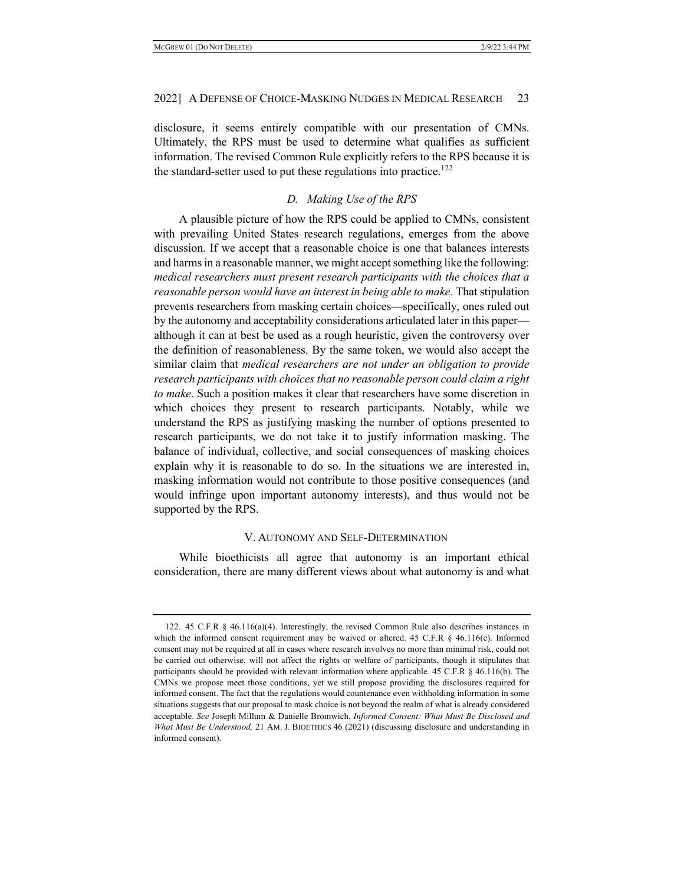disclosure, it seems entirely compatible with our presentation of CMNs. Ultimately, the RPS must be used to determine what qualifies as sufficient information. The revised Common Rule explicitly refers to the RPS because it is the standard-setter used to put these regulations into practice.<sup>122</sup>

# *D. Making Use of the RPS*

A plausible picture of how the RPS could be applied to CMNs, consistent with prevailing United States research regulations, emerges from the above discussion. If we accept that a reasonable choice is one that balances interests and harms in a reasonable manner, we might accept something like the following: *medical researchers must present research participants with the choices that a reasonable person would have an interest in being able to make.* That stipulation prevents researchers from masking certain choices—specifically, ones ruled out by the autonomy and acceptability considerations articulated later in this paper although it can at best be used as a rough heuristic, given the controversy over the definition of reasonableness. By the same token, we would also accept the similar claim that *medical researchers are not under an obligation to provide research participants with choices that no reasonable person could claim a right to make*. Such a position makes it clear that researchers have some discretion in which choices they present to research participants. Notably, while we understand the RPS as justifying masking the number of options presented to research participants, we do not take it to justify information masking. The balance of individual, collective, and social consequences of masking choices explain why it is reasonable to do so. In the situations we are interested in, masking information would not contribute to those positive consequences (and would infringe upon important autonomy interests), and thus would not be supported by the RPS.

#### V. AUTONOMY AND SELF-DETERMINATION

While bioethicists all agree that autonomy is an important ethical consideration, there are many different views about what autonomy is and what

<sup>122.</sup> 45 C.F.R § 46.116(a)(4). Interestingly, the revised Common Rule also describes instances in which the informed consent requirement may be waived or altered. 45 C.F.R § 46.116(e). Informed consent may not be required at all in cases where research involves no more than minimal risk, could not be carried out otherwise, will not affect the rights or welfare of participants, though it stipulates that participants should be provided with relevant information where applicable*.* 45 C.F.R § 46.116(b). The CMNs we propose meet those conditions, yet we still propose providing the disclosures required for informed consent. The fact that the regulations would countenance even withholding information in some situations suggests that our proposal to mask choice is not beyond the realm of what is already considered acceptable. *See* Joseph Millum & Danielle Bromwich, *Informed Consent: What Must Be Disclosed and What Must Be Understood,* 21 AM. J. BIOETHICS 46 (2021) (discussing disclosure and understanding in informed consent).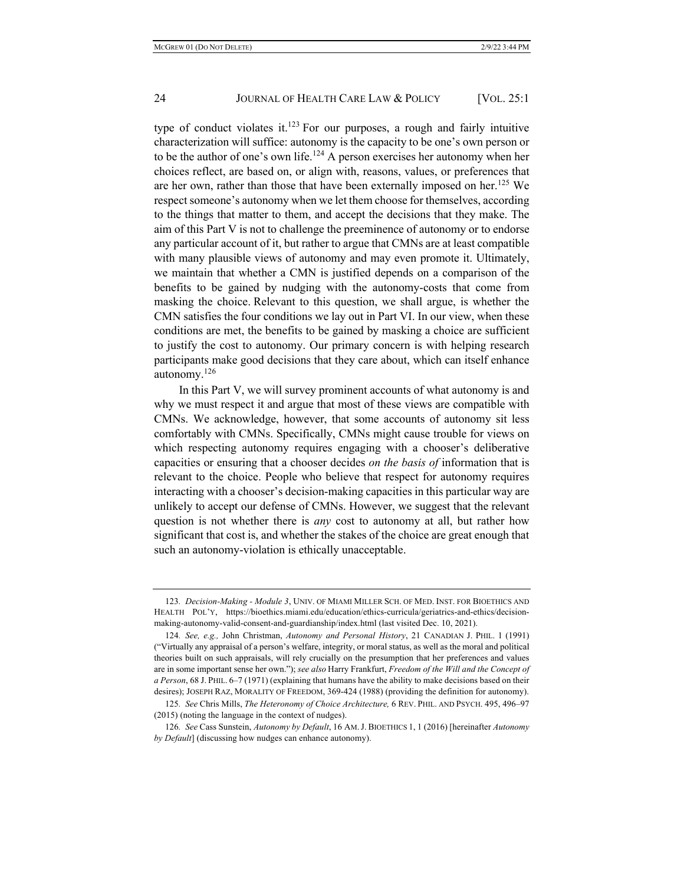type of conduct violates it.<sup>123</sup> For our purposes, a rough and fairly intuitive characterization will suffice: autonomy is the capacity to be one's own person or to be the author of one's own life.<sup>124</sup> A person exercises her autonomy when her choices reflect, are based on, or align with, reasons, values, or preferences that are her own, rather than those that have been externally imposed on her.<sup>125</sup> We respect someone's autonomy when we let them choose for themselves, according to the things that matter to them, and accept the decisions that they make. The aim of this Part V is not to challenge the preeminence of autonomy or to endorse any particular account of it, but rather to argue that CMNs are at least compatible with many plausible views of autonomy and may even promote it. Ultimately, we maintain that whether a CMN is justified depends on a comparison of the benefits to be gained by nudging with the autonomy-costs that come from masking the choice. Relevant to this question, we shall argue, is whether the CMN satisfies the four conditions we lay out in Part VI. In our view, when these conditions are met, the benefits to be gained by masking a choice are sufficient to justify the cost to autonomy. Our primary concern is with helping research participants make good decisions that they care about, which can itself enhance autonomy.126

In this Part V, we will survey prominent accounts of what autonomy is and why we must respect it and argue that most of these views are compatible with CMNs. We acknowledge, however, that some accounts of autonomy sit less comfortably with CMNs. Specifically, CMNs might cause trouble for views on which respecting autonomy requires engaging with a chooser's deliberative capacities or ensuring that a chooser decides *on the basis of* information that is relevant to the choice. People who believe that respect for autonomy requires interacting with a chooser's decision-making capacities in this particular way are unlikely to accept our defense of CMNs. However, we suggest that the relevant question is not whether there is *any* cost to autonomy at all, but rather how significant that cost is, and whether the stakes of the choice are great enough that such an autonomy-violation is ethically unacceptable.

<sup>123</sup>*. Decision-Making - Module 3*, UNIV. OF MIAMI MILLER SCH. OF MED. INST. FOR BIOETHICS AND HEALTH POL'Y, https://bioethics.miami.edu/education/ethics-curricula/geriatrics-and-ethics/decisionmaking-autonomy-valid-consent-and-guardianship/index.html (last visited Dec. 10, 2021).

<sup>124</sup>*. See, e.g.,* John Christman, *Autonomy and Personal History*, 21 CANADIAN J. PHIL. 1 (1991) ("Virtually any appraisal of a person's welfare, integrity, or moral status, as well as the moral and political theories built on such appraisals, will rely crucially on the presumption that her preferences and values are in some important sense her own."); *see also* Harry Frankfurt, *Freedom of the Will and the Concept of a Person*, 68 J. PHIL. 6–7 (1971) (explaining that humans have the ability to make decisions based on their desires); JOSEPH RAZ, MORALITY OF FREEDOM, 369-424 (1988) (providing the definition for autonomy).

<sup>125</sup>*. See* Chris Mills, *The Heteronomy of Choice Architecture,* 6 REV. PHIL. AND PSYCH. 495, 496–97 (2015) (noting the language in the context of nudges).

<sup>126</sup>*. See* Cass Sunstein, *Autonomy by Default*, 16 AM.J. BIOETHICS 1, 1 (2016) [hereinafter *Autonomy by Default*] (discussing how nudges can enhance autonomy).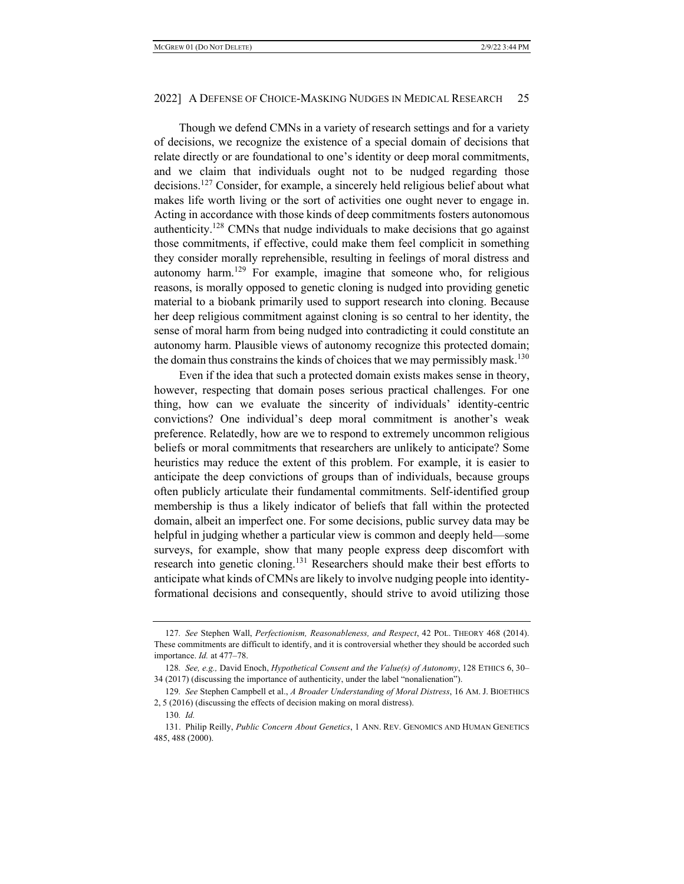Though we defend CMNs in a variety of research settings and for a variety of decisions, we recognize the existence of a special domain of decisions that relate directly or are foundational to one's identity or deep moral commitments, and we claim that individuals ought not to be nudged regarding those decisions.<sup>127</sup> Consider, for example, a sincerely held religious belief about what makes life worth living or the sort of activities one ought never to engage in. Acting in accordance with those kinds of deep commitments fosters autonomous authenticity.128 CMNs that nudge individuals to make decisions that go against those commitments, if effective, could make them feel complicit in something they consider morally reprehensible, resulting in feelings of moral distress and autonomy harm.<sup>129</sup> For example, imagine that someone who, for religious reasons, is morally opposed to genetic cloning is nudged into providing genetic material to a biobank primarily used to support research into cloning. Because her deep religious commitment against cloning is so central to her identity, the sense of moral harm from being nudged into contradicting it could constitute an autonomy harm. Plausible views of autonomy recognize this protected domain; the domain thus constrains the kinds of choices that we may permissibly mask.<sup>130</sup>

Even if the idea that such a protected domain exists makes sense in theory, however, respecting that domain poses serious practical challenges. For one thing, how can we evaluate the sincerity of individuals' identity-centric convictions? One individual's deep moral commitment is another's weak preference. Relatedly, how are we to respond to extremely uncommon religious beliefs or moral commitments that researchers are unlikely to anticipate? Some heuristics may reduce the extent of this problem. For example, it is easier to anticipate the deep convictions of groups than of individuals, because groups often publicly articulate their fundamental commitments. Self-identified group membership is thus a likely indicator of beliefs that fall within the protected domain, albeit an imperfect one. For some decisions, public survey data may be helpful in judging whether a particular view is common and deeply held—some surveys, for example, show that many people express deep discomfort with research into genetic cloning.<sup>131</sup> Researchers should make their best efforts to anticipate what kinds of CMNs are likely to involve nudging people into identityformational decisions and consequently, should strive to avoid utilizing those

<sup>127</sup>*. See* Stephen Wall, *Perfectionism, Reasonableness, and Respect*, 42 POL. THEORY 468 (2014). These commitments are difficult to identify, and it is controversial whether they should be accorded such importance. *Id.* at 477–78.

<sup>128</sup>*. See, e.g.,* David Enoch, *Hypothetical Consent and the Value(s) of Autonomy*, 128 ETHICS 6, 30– 34 (2017) (discussing the importance of authenticity, under the label "nonalienation").

<sup>129</sup>*. See* Stephen Campbell et al., *A Broader Understanding of Moral Distress*, 16 AM. J. BIOETHICS 2, 5 (2016) (discussing the effects of decision making on moral distress).

<sup>130</sup>*. Id.*

<sup>131.</sup> Philip Reilly, *Public Concern About Genetics*, 1 ANN. REV. GENOMICS AND HUMAN GENETICS 485, 488 (2000).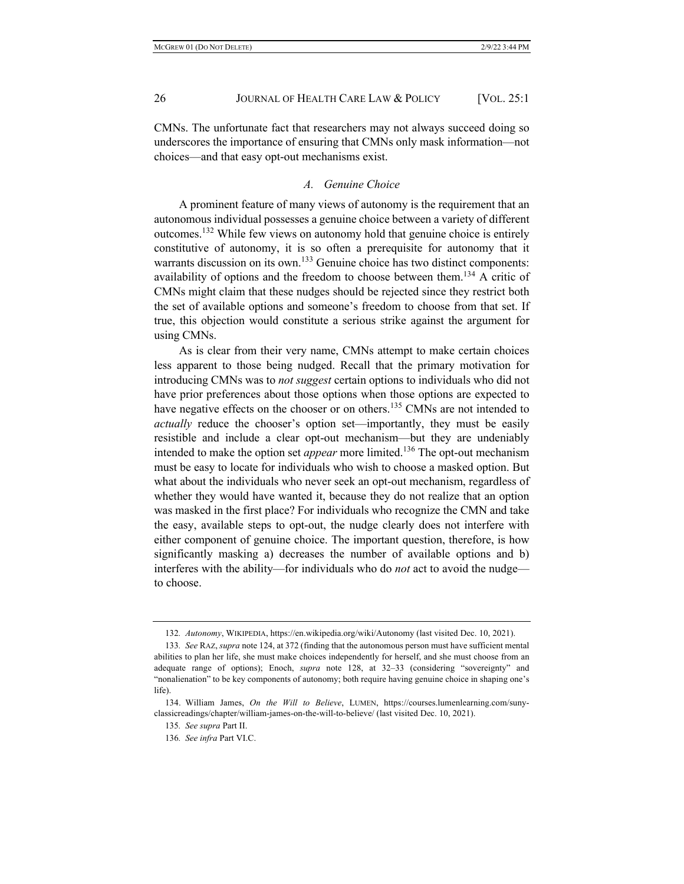CMNs. The unfortunate fact that researchers may not always succeed doing so underscores the importance of ensuring that CMNs only mask information—not choices—and that easy opt-out mechanisms exist.

#### *A. Genuine Choice*

A prominent feature of many views of autonomy is the requirement that an autonomous individual possesses a genuine choice between a variety of different outcomes.<sup>132</sup> While few views on autonomy hold that genuine choice is entirely constitutive of autonomy, it is so often a prerequisite for autonomy that it warrants discussion on its own.<sup>133</sup> Genuine choice has two distinct components: availability of options and the freedom to choose between them.<sup>134</sup> A critic of CMNs might claim that these nudges should be rejected since they restrict both the set of available options and someone's freedom to choose from that set. If true, this objection would constitute a serious strike against the argument for using CMNs.

As is clear from their very name, CMNs attempt to make certain choices less apparent to those being nudged. Recall that the primary motivation for introducing CMNs was to *not suggest* certain options to individuals who did not have prior preferences about those options when those options are expected to have negative effects on the chooser or on others.<sup>135</sup> CMNs are not intended to *actually* reduce the chooser's option set—importantly, they must be easily resistible and include a clear opt-out mechanism—but they are undeniably intended to make the option set *appear* more limited.<sup>136</sup> The opt-out mechanism must be easy to locate for individuals who wish to choose a masked option. But what about the individuals who never seek an opt-out mechanism, regardless of whether they would have wanted it, because they do not realize that an option was masked in the first place? For individuals who recognize the CMN and take the easy, available steps to opt-out, the nudge clearly does not interfere with either component of genuine choice. The important question, therefore, is how significantly masking a) decreases the number of available options and b) interferes with the ability—for individuals who do *not* act to avoid the nudge to choose.

<sup>132</sup>*. Autonomy*, WIKIPEDIA, https://en.wikipedia.org/wiki/Autonomy (last visited Dec. 10, 2021).

<sup>133</sup>*. See* RAZ, *supra* note 124, at 372 (finding that the autonomous person must have sufficient mental abilities to plan her life, she must make choices independently for herself, and she must choose from an adequate range of options); Enoch, *supra* note 128, at 32–33 (considering "sovereignty" and "nonalienation" to be key components of autonomy; both require having genuine choice in shaping one's life).

<sup>134.</sup> William James, *On the Will to Believe*, LUMEN, https://courses.lumenlearning.com/sunyclassicreadings/chapter/william-james-on-the-will-to-believe/ (last visited Dec. 10, 2021).

<sup>135</sup>*. See supra* Part II.

<sup>136</sup>*. See infra* Part VI.C.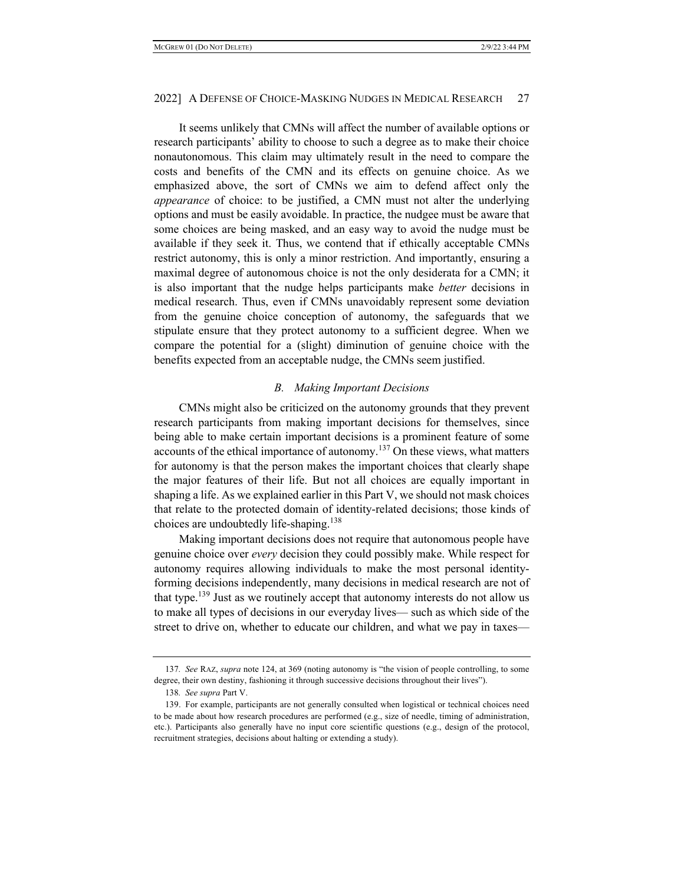It seems unlikely that CMNs will affect the number of available options or research participants' ability to choose to such a degree as to make their choice nonautonomous. This claim may ultimately result in the need to compare the costs and benefits of the CMN and its effects on genuine choice. As we emphasized above, the sort of CMNs we aim to defend affect only the *appearance* of choice: to be justified, a CMN must not alter the underlying options and must be easily avoidable. In practice, the nudgee must be aware that some choices are being masked, and an easy way to avoid the nudge must be available if they seek it. Thus, we contend that if ethically acceptable CMNs restrict autonomy, this is only a minor restriction. And importantly, ensuring a maximal degree of autonomous choice is not the only desiderata for a CMN; it is also important that the nudge helps participants make *better* decisions in medical research. Thus, even if CMNs unavoidably represent some deviation from the genuine choice conception of autonomy, the safeguards that we stipulate ensure that they protect autonomy to a sufficient degree. When we compare the potential for a (slight) diminution of genuine choice with the benefits expected from an acceptable nudge, the CMNs seem justified.

#### *B. Making Important Decisions*

CMNs might also be criticized on the autonomy grounds that they prevent research participants from making important decisions for themselves, since being able to make certain important decisions is a prominent feature of some accounts of the ethical importance of autonomy.<sup>137</sup> On these views, what matters for autonomy is that the person makes the important choices that clearly shape the major features of their life. But not all choices are equally important in shaping a life. As we explained earlier in this Part V, we should not mask choices that relate to the protected domain of identity-related decisions; those kinds of choices are undoubtedly life-shaping.<sup>138</sup>

Making important decisions does not require that autonomous people have genuine choice over *every* decision they could possibly make. While respect for autonomy requires allowing individuals to make the most personal identityforming decisions independently, many decisions in medical research are not of that type.<sup>139</sup> Just as we routinely accept that autonomy interests do not allow us to make all types of decisions in our everyday lives— such as which side of the street to drive on, whether to educate our children, and what we pay in taxes—

<sup>137</sup>*. See* RAZ, *supra* note 124, at 369 (noting autonomy is "the vision of people controlling, to some degree, their own destiny, fashioning it through successive decisions throughout their lives").

<sup>138</sup>*. See supra* Part V.

<sup>139.</sup> For example, participants are not generally consulted when logistical or technical choices need to be made about how research procedures are performed (e.g., size of needle, timing of administration, etc.). Participants also generally have no input core scientific questions (e.g., design of the protocol, recruitment strategies, decisions about halting or extending a study).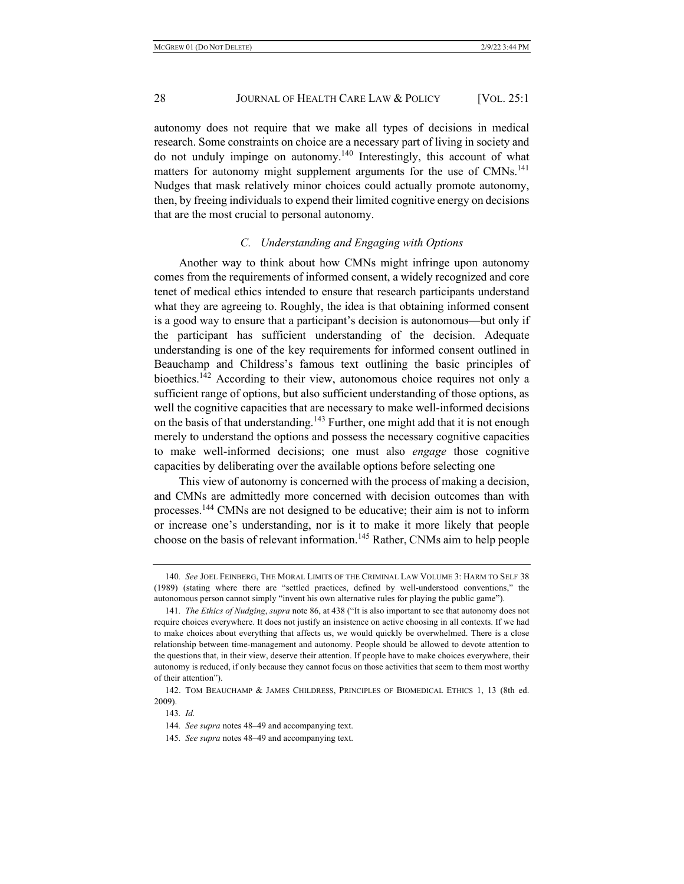autonomy does not require that we make all types of decisions in medical research. Some constraints on choice are a necessary part of living in society and do not unduly impinge on autonomy.140 Interestingly, this account of what matters for autonomy might supplement arguments for the use of CMNs.<sup>141</sup> Nudges that mask relatively minor choices could actually promote autonomy, then, by freeing individuals to expend their limited cognitive energy on decisions that are the most crucial to personal autonomy.

# *C. Understanding and Engaging with Options*

Another way to think about how CMNs might infringe upon autonomy comes from the requirements of informed consent, a widely recognized and core tenet of medical ethics intended to ensure that research participants understand what they are agreeing to. Roughly, the idea is that obtaining informed consent is a good way to ensure that a participant's decision is autonomous—but only if the participant has sufficient understanding of the decision. Adequate understanding is one of the key requirements for informed consent outlined in Beauchamp and Childress's famous text outlining the basic principles of bioethics.<sup>142</sup> According to their view, autonomous choice requires not only a sufficient range of options, but also sufficient understanding of those options, as well the cognitive capacities that are necessary to make well-informed decisions on the basis of that understanding.<sup>143</sup> Further, one might add that it is not enough merely to understand the options and possess the necessary cognitive capacities to make well-informed decisions; one must also *engage* those cognitive capacities by deliberating over the available options before selecting one

This view of autonomy is concerned with the process of making a decision, and CMNs are admittedly more concerned with decision outcomes than with processes.<sup>144</sup> CMNs are not designed to be educative; their aim is not to inform or increase one's understanding, nor is it to make it more likely that people choose on the basis of relevant information.145 Rather, CNMs aim to help people

<sup>140</sup>*. See* JOEL FEINBERG, THE MORAL LIMITS OF THE CRIMINAL LAW VOLUME 3: HARM TO SELF 38 (1989) (stating where there are "settled practices, defined by well-understood conventions," the autonomous person cannot simply "invent his own alternative rules for playing the public game").

<sup>141</sup>*. The Ethics of Nudging*, *supra* note 86, at 438 ("It is also important to see that autonomy does not require choices everywhere. It does not justify an insistence on active choosing in all contexts. If we had to make choices about everything that affects us, we would quickly be overwhelmed. There is a close relationship between time-management and autonomy. People should be allowed to devote attention to the questions that, in their view, deserve their attention. If people have to make choices everywhere, their autonomy is reduced, if only because they cannot focus on those activities that seem to them most worthy of their attention").

<sup>142.</sup> TOM BEAUCHAMP & JAMES CHILDRESS, PRINCIPLES OF BIOMEDICAL ETHICS 1, 13 (8th ed. 2009).

<sup>143</sup>*. Id.*

<sup>144</sup>*. See supra* notes 48–49 and accompanying text.

<sup>145</sup>*. See supra* notes 48–49 and accompanying text.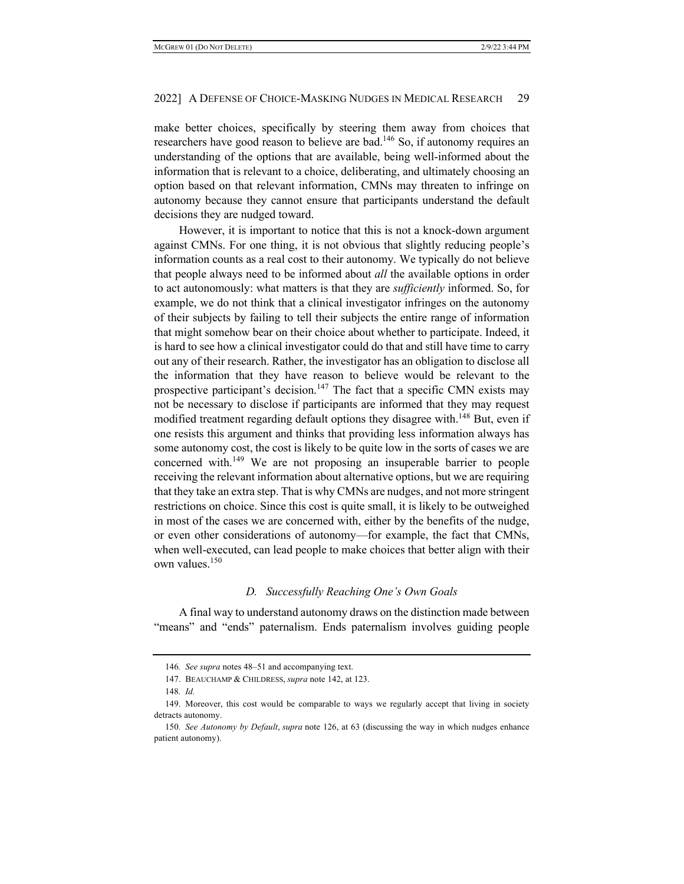make better choices, specifically by steering them away from choices that researchers have good reason to believe are bad.<sup>146</sup> So, if autonomy requires an understanding of the options that are available, being well-informed about the information that is relevant to a choice, deliberating, and ultimately choosing an option based on that relevant information, CMNs may threaten to infringe on autonomy because they cannot ensure that participants understand the default decisions they are nudged toward.

However, it is important to notice that this is not a knock-down argument against CMNs. For one thing, it is not obvious that slightly reducing people's information counts as a real cost to their autonomy. We typically do not believe that people always need to be informed about *all* the available options in order to act autonomously: what matters is that they are *sufficiently* informed. So, for example, we do not think that a clinical investigator infringes on the autonomy of their subjects by failing to tell their subjects the entire range of information that might somehow bear on their choice about whether to participate. Indeed, it is hard to see how a clinical investigator could do that and still have time to carry out any of their research. Rather, the investigator has an obligation to disclose all the information that they have reason to believe would be relevant to the prospective participant's decision.<sup>147</sup> The fact that a specific CMN exists may not be necessary to disclose if participants are informed that they may request modified treatment regarding default options they disagree with.<sup>148</sup> But, even if one resists this argument and thinks that providing less information always has some autonomy cost, the cost is likely to be quite low in the sorts of cases we are concerned with.<sup>149</sup> We are not proposing an insuperable barrier to people receiving the relevant information about alternative options, but we are requiring that they take an extra step. That is why CMNs are nudges, and not more stringent restrictions on choice. Since this cost is quite small, it is likely to be outweighed in most of the cases we are concerned with, either by the benefits of the nudge, or even other considerations of autonomy—for example, the fact that CMNs, when well-executed, can lead people to make choices that better align with their own values.150

#### *D. Successfully Reaching One's Own Goals*

A final way to understand autonomy draws on the distinction made between "means" and "ends" paternalism. Ends paternalism involves guiding people

<sup>146</sup>*. See supra* notes 48–51 and accompanying text.

<sup>147.</sup> BEAUCHAMP & CHILDRESS, *supra* note 142, at 123.

<sup>148</sup>*. Id.*

<sup>149.</sup> Moreover, this cost would be comparable to ways we regularly accept that living in society detracts autonomy.

<sup>150</sup>*. See Autonomy by Default*, *supra* note 126, at 63 (discussing the way in which nudges enhance patient autonomy).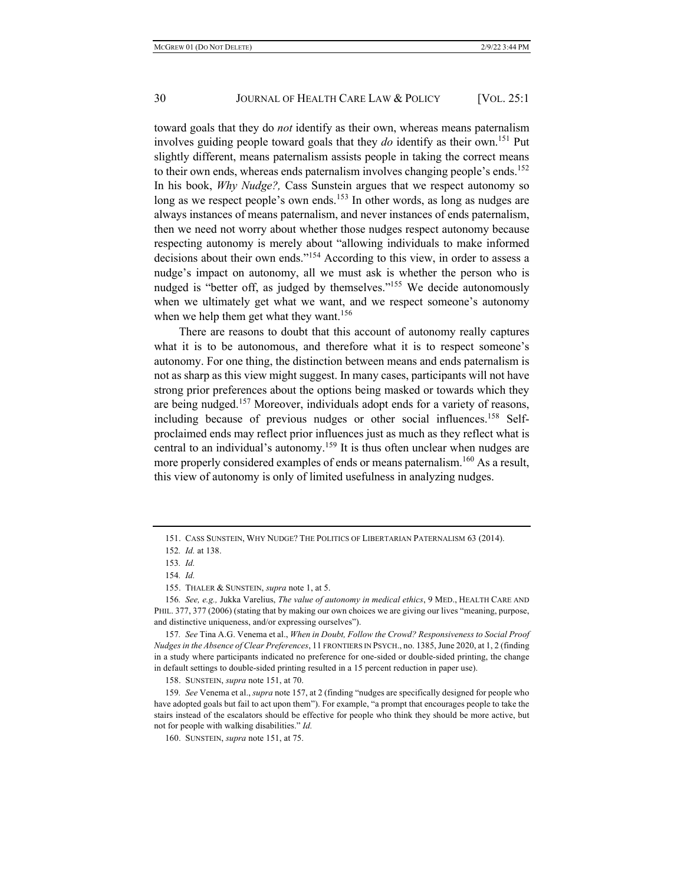toward goals that they do *not* identify as their own, whereas means paternalism involves guiding people toward goals that they *do* identify as their own.<sup>151</sup> Put slightly different, means paternalism assists people in taking the correct means to their own ends, whereas ends paternalism involves changing people's ends.<sup>152</sup> In his book, *Why Nudge?,* Cass Sunstein argues that we respect autonomy so long as we respect people's own ends.<sup>153</sup> In other words, as long as nudges are always instances of means paternalism, and never instances of ends paternalism, then we need not worry about whether those nudges respect autonomy because respecting autonomy is merely about "allowing individuals to make informed decisions about their own ends."<sup>154</sup> According to this view, in order to assess a nudge's impact on autonomy, all we must ask is whether the person who is nudged is "better off, as judged by themselves."<sup>155</sup> We decide autonomously when we ultimately get what we want, and we respect someone's autonomy when we help them get what they want.<sup>156</sup>

There are reasons to doubt that this account of autonomy really captures what it is to be autonomous, and therefore what it is to respect someone's autonomy. For one thing, the distinction between means and ends paternalism is not as sharp as this view might suggest. In many cases, participants will not have strong prior preferences about the options being masked or towards which they are being nudged.<sup>157</sup> Moreover, individuals adopt ends for a variety of reasons, including because of previous nudges or other social influences.<sup>158</sup> Selfproclaimed ends may reflect prior influences just as much as they reflect what is central to an individual's autonomy.159 It is thus often unclear when nudges are more properly considered examples of ends or means paternalism.<sup>160</sup> As a result, this view of autonomy is only of limited usefulness in analyzing nudges.

<sup>151.</sup> CASS SUNSTEIN, WHY NUDGE? THE POLITICS OF LIBERTARIAN PATERNALISM 63 (2014).

<sup>152</sup>*. Id.* at 138.

<sup>153</sup>*. Id.*

<sup>154</sup>*. Id.*

<sup>155.</sup> THALER & SUNSTEIN, *supra* note 1, at 5.

<sup>156</sup>*. See, e.g.,* Jukka Varelius, *The value of autonomy in medical ethics*, 9 MED., HEALTH CARE AND PHIL. 377, 377 (2006) (stating that by making our own choices we are giving our lives "meaning, purpose, and distinctive uniqueness, and/or expressing ourselves").

<sup>157</sup>*. See* Tina A.G. Venema et al., *When in Doubt, Follow the Crowd? Responsiveness to Social Proof Nudges in the Absence of Clear Preferences*, 11 FRONTIERS IN PSYCH., no. 1385, June 2020, at 1, 2 (finding in a study where participants indicated no preference for one-sided or double-sided printing, the change in default settings to double-sided printing resulted in a 15 percent reduction in paper use).

<sup>158.</sup> SUNSTEIN, *supra* note 151, at 70.

<sup>159</sup>*. See* Venema et al., *supra* note 157, at 2 (finding "nudges are specifically designed for people who have adopted goals but fail to act upon them"). For example, "a prompt that encourages people to take the stairs instead of the escalators should be effective for people who think they should be more active, but not for people with walking disabilities." *Id.*

<sup>160.</sup> SUNSTEIN, *supra* note 151, at 75.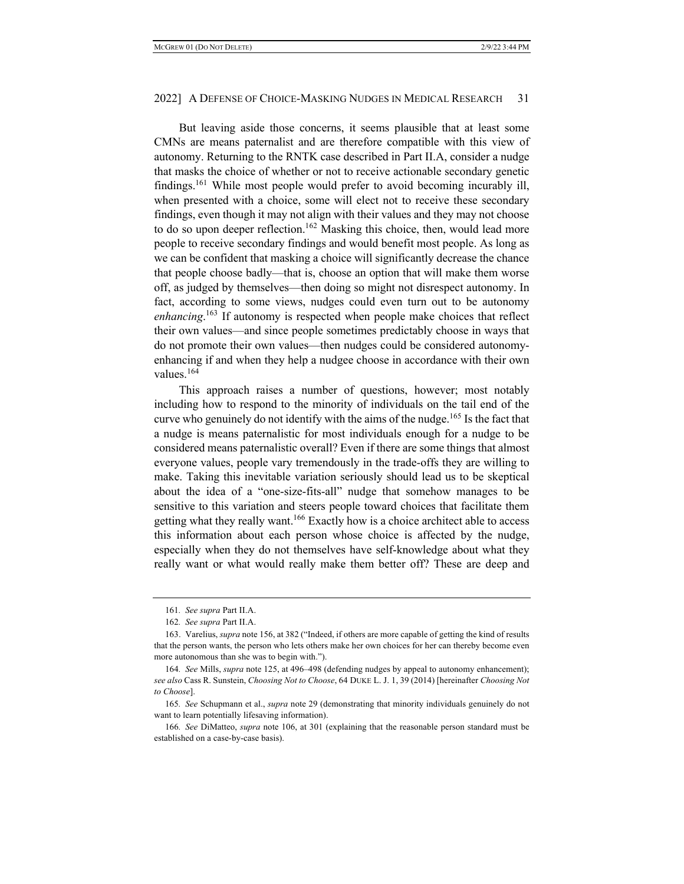But leaving aside those concerns, it seems plausible that at least some CMNs are means paternalist and are therefore compatible with this view of autonomy. Returning to the RNTK case described in Part II.A, consider a nudge that masks the choice of whether or not to receive actionable secondary genetic findings.161 While most people would prefer to avoid becoming incurably ill, when presented with a choice, some will elect not to receive these secondary findings, even though it may not align with their values and they may not choose to do so upon deeper reflection.<sup>162</sup> Masking this choice, then, would lead more people to receive secondary findings and would benefit most people. As long as we can be confident that masking a choice will significantly decrease the chance that people choose badly—that is, choose an option that will make them worse off, as judged by themselves—then doing so might not disrespect autonomy. In fact, according to some views, nudges could even turn out to be autonomy *enhancing*. <sup>163</sup> If autonomy is respected when people make choices that reflect their own values—and since people sometimes predictably choose in ways that do not promote their own values—then nudges could be considered autonomyenhancing if and when they help a nudgee choose in accordance with their own values.<sup>164</sup>

This approach raises a number of questions, however; most notably including how to respond to the minority of individuals on the tail end of the curve who genuinely do not identify with the aims of the nudge.<sup>165</sup> Is the fact that a nudge is means paternalistic for most individuals enough for a nudge to be considered means paternalistic overall? Even if there are some things that almost everyone values, people vary tremendously in the trade-offs they are willing to make. Taking this inevitable variation seriously should lead us to be skeptical about the idea of a "one-size-fits-all" nudge that somehow manages to be sensitive to this variation and steers people toward choices that facilitate them getting what they really want.<sup>166</sup> Exactly how is a choice architect able to access this information about each person whose choice is affected by the nudge, especially when they do not themselves have self-knowledge about what they really want or what would really make them better off? These are deep and

<sup>161</sup>*. See supra* Part II.A.

<sup>162</sup>*. See supra* Part II.A.

<sup>163.</sup> Varelius, *supra* note 156, at 382 ("Indeed, if others are more capable of getting the kind of results that the person wants, the person who lets others make her own choices for her can thereby become even more autonomous than she was to begin with.").

<sup>164</sup>*. See* Mills, *supra* note 125, at 496–498 (defending nudges by appeal to autonomy enhancement); *see also* Cass R. Sunstein, *Choosing Not to Choose*, 64 DUKE L. J. 1, 39 (2014) [hereinafter *Choosing Not to Choose*].

<sup>165</sup>*. See* Schupmann et al., *supra* note 29 (demonstrating that minority individuals genuinely do not want to learn potentially lifesaving information).

<sup>166</sup>*. See* DiMatteo, *supra* note 106, at 301 (explaining that the reasonable person standard must be established on a case-by-case basis).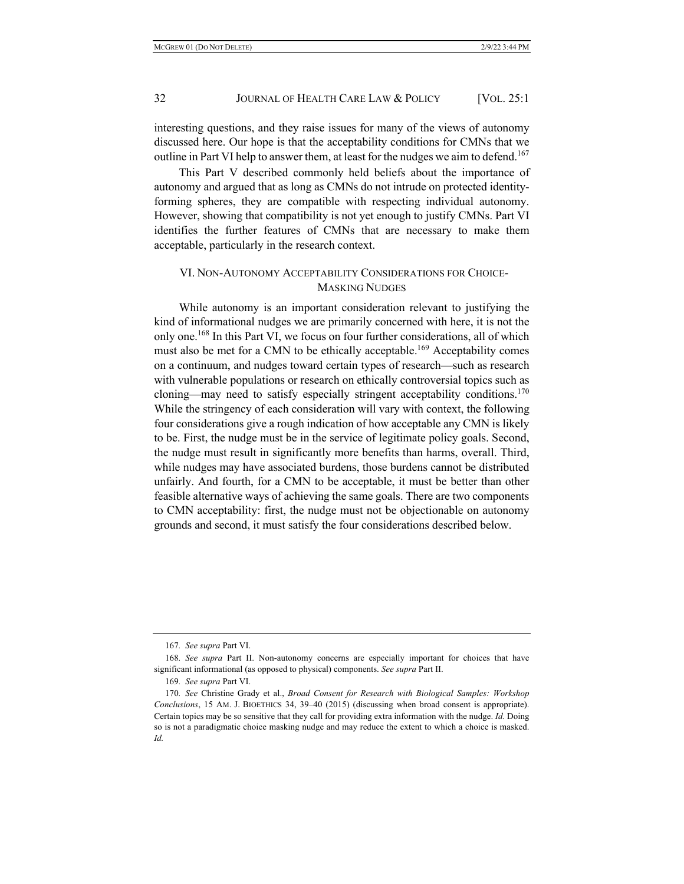interesting questions, and they raise issues for many of the views of autonomy discussed here. Our hope is that the acceptability conditions for CMNs that we outline in Part VI help to answer them, at least for the nudges we aim to defend.<sup>167</sup>

This Part V described commonly held beliefs about the importance of autonomy and argued that as long as CMNs do not intrude on protected identityforming spheres, they are compatible with respecting individual autonomy. However, showing that compatibility is not yet enough to justify CMNs. Part VI identifies the further features of CMNs that are necessary to make them acceptable, particularly in the research context.

# VI. NON-AUTONOMY ACCEPTABILITY CONSIDERATIONS FOR CHOICE-MASKING NUDGES

While autonomy is an important consideration relevant to justifying the kind of informational nudges we are primarily concerned with here, it is not the only one.168 In this Part VI, we focus on four further considerations, all of which must also be met for a CMN to be ethically acceptable.<sup>169</sup> Acceptability comes on a continuum, and nudges toward certain types of research—such as research with vulnerable populations or research on ethically controversial topics such as cloning—may need to satisfy especially stringent acceptability conditions.<sup>170</sup> While the stringency of each consideration will vary with context, the following four considerations give a rough indication of how acceptable any CMN is likely to be. First, the nudge must be in the service of legitimate policy goals. Second, the nudge must result in significantly more benefits than harms, overall. Third, while nudges may have associated burdens, those burdens cannot be distributed unfairly. And fourth, for a CMN to be acceptable, it must be better than other feasible alternative ways of achieving the same goals. There are two components to CMN acceptability: first, the nudge must not be objectionable on autonomy grounds and second, it must satisfy the four considerations described below.

<sup>167</sup>*. See supra* Part VI.

<sup>168</sup>*. See supra* Part II. Non-autonomy concerns are especially important for choices that have significant informational (as opposed to physical) components. *See supra* Part II.

<sup>169</sup>*. See supra* Part VI.

<sup>170</sup>*. See* Christine Grady et al., *Broad Consent for Research with Biological Samples: Workshop Conclusions*, 15 AM. J. BIOETHICS 34, 39–40 (2015) (discussing when broad consent is appropriate). Certain topics may be so sensitive that they call for providing extra information with the nudge. *Id.* Doing so is not a paradigmatic choice masking nudge and may reduce the extent to which a choice is masked. *Id.*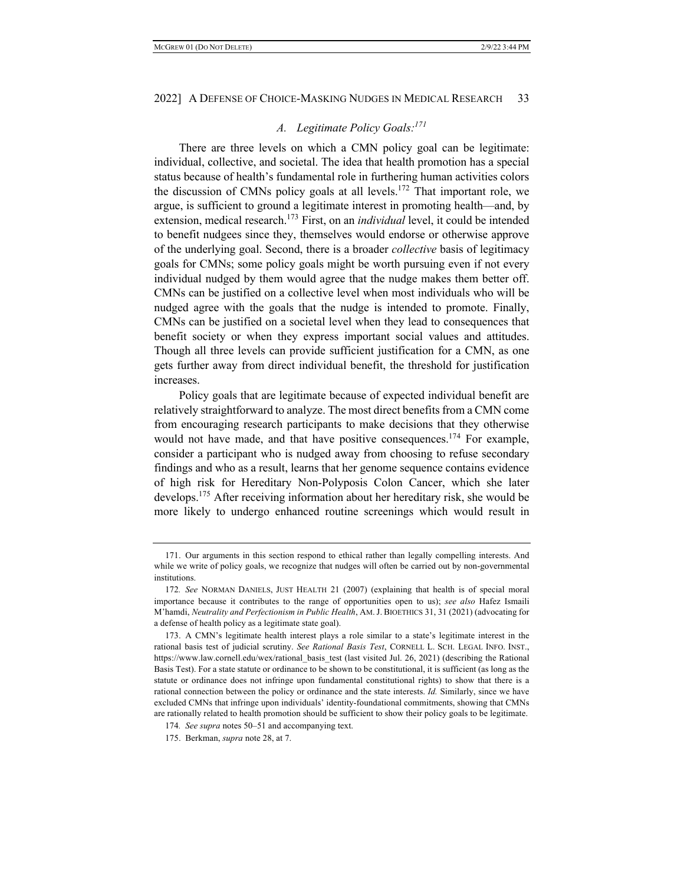# *A. Legitimate Policy Goals:171*

There are three levels on which a CMN policy goal can be legitimate: individual, collective, and societal. The idea that health promotion has a special status because of health's fundamental role in furthering human activities colors the discussion of CMNs policy goals at all levels.172 That important role, we argue, is sufficient to ground a legitimate interest in promoting health—and, by extension, medical research.173 First, on an *individual* level, it could be intended to benefit nudgees since they, themselves would endorse or otherwise approve of the underlying goal. Second, there is a broader *collective* basis of legitimacy goals for CMNs; some policy goals might be worth pursuing even if not every individual nudged by them would agree that the nudge makes them better off. CMNs can be justified on a collective level when most individuals who will be nudged agree with the goals that the nudge is intended to promote. Finally, CMNs can be justified on a societal level when they lead to consequences that benefit society or when they express important social values and attitudes. Though all three levels can provide sufficient justification for a CMN, as one gets further away from direct individual benefit, the threshold for justification increases.

Policy goals that are legitimate because of expected individual benefit are relatively straightforward to analyze. The most direct benefits from a CMN come from encouraging research participants to make decisions that they otherwise would not have made, and that have positive consequences.<sup>174</sup> For example, consider a participant who is nudged away from choosing to refuse secondary findings and who as a result, learns that her genome sequence contains evidence of high risk for Hereditary Non-Polyposis Colon Cancer, which she later develops.175 After receiving information about her hereditary risk, she would be more likely to undergo enhanced routine screenings which would result in

<sup>171.</sup> Our arguments in this section respond to ethical rather than legally compelling interests. And while we write of policy goals, we recognize that nudges will often be carried out by non-governmental institutions.

<sup>172</sup>*. See* NORMAN DANIELS, JUST HEALTH 21 (2007) (explaining that health is of special moral importance because it contributes to the range of opportunities open to us); *see also* Hafez Ismaili M'hamdi, *Neutrality and Perfectionism in Public Health*, AM.J. BIOETHICS 31, 31 (2021) (advocating for a defense of health policy as a legitimate state goal).

<sup>173.</sup> A CMN's legitimate health interest plays a role similar to a state's legitimate interest in the rational basis test of judicial scrutiny. *See Rational Basis Test*, CORNELL L. SCH. LEGAL INFO. INST., https://www.law.cornell.edu/wex/rational\_basis\_test (last visited Jul. 26, 2021) (describing the Rational Basis Test). For a state statute or ordinance to be shown to be constitutional, it is sufficient (as long as the statute or ordinance does not infringe upon fundamental constitutional rights) to show that there is a rational connection between the policy or ordinance and the state interests. *Id.* Similarly, since we have excluded CMNs that infringe upon individuals' identity-foundational commitments, showing that CMNs are rationally related to health promotion should be sufficient to show their policy goals to be legitimate.

<sup>174</sup>*. See supra* notes 50–51 and accompanying text.

<sup>175.</sup> Berkman, *supra* note 28, at 7.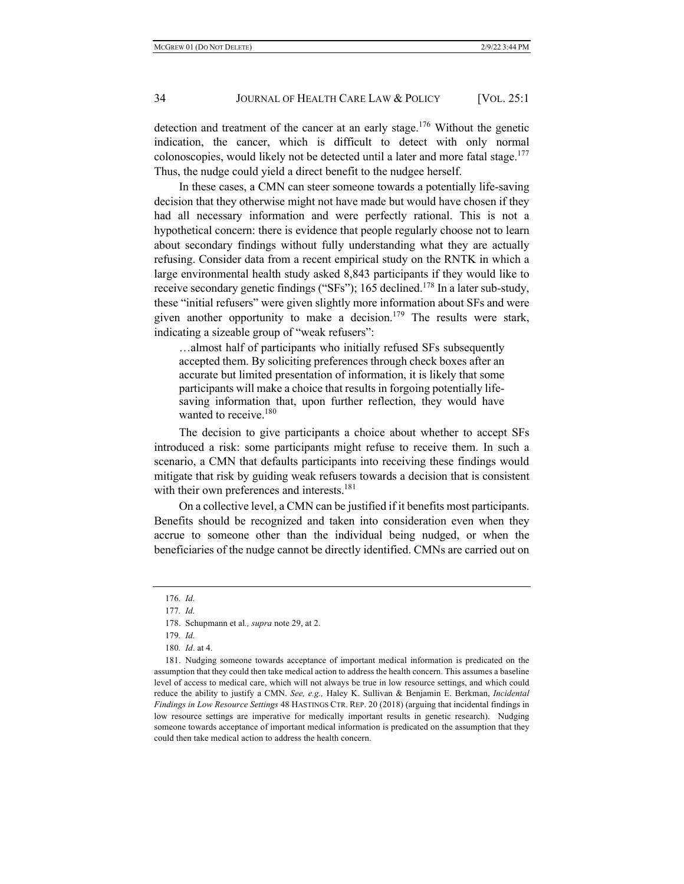detection and treatment of the cancer at an early stage.<sup>176</sup> Without the genetic indication, the cancer, which is difficult to detect with only normal colonoscopies, would likely not be detected until a later and more fatal stage.<sup>177</sup> Thus, the nudge could yield a direct benefit to the nudgee herself.

In these cases, a CMN can steer someone towards a potentially life-saving decision that they otherwise might not have made but would have chosen if they had all necessary information and were perfectly rational. This is not a hypothetical concern: there is evidence that people regularly choose not to learn about secondary findings without fully understanding what they are actually refusing. Consider data from a recent empirical study on the RNTK in which a large environmental health study asked 8,843 participants if they would like to receive secondary genetic findings ("SFs"); 165 declined.<sup>178</sup> In a later sub-study, these "initial refusers" were given slightly more information about SFs and were given another opportunity to make a decision.<sup>179</sup> The results were stark, indicating a sizeable group of "weak refusers":

…almost half of participants who initially refused SFs subsequently accepted them. By soliciting preferences through check boxes after an accurate but limited presentation of information, it is likely that some participants will make a choice that results in forgoing potentially lifesaving information that, upon further reflection, they would have wanted to receive.<sup>180</sup>

The decision to give participants a choice about whether to accept SFs introduced a risk: some participants might refuse to receive them. In such a scenario, a CMN that defaults participants into receiving these findings would mitigate that risk by guiding weak refusers towards a decision that is consistent with their own preferences and interests.<sup>181</sup>

On a collective level, a CMN can be justified if it benefits most participants. Benefits should be recognized and taken into consideration even when they accrue to someone other than the individual being nudged, or when the beneficiaries of the nudge cannot be directly identified. CMNs are carried out on

<sup>176</sup>*. Id.*

<sup>177</sup>*. Id.*

<sup>178.</sup> Schupmann et al*., supra* note 29, at 2.

<sup>179</sup>*. Id.*

<sup>180</sup>*. Id*. at 4.

<sup>181.</sup> Nudging someone towards acceptance of important medical information is predicated on the assumption that they could then take medical action to address the health concern. This assumes a baseline level of access to medical care, which will not always be true in low resource settings, and which could reduce the ability to justify a CMN. *See, e.g.,* Haley K. Sullivan & Benjamin E. Berkman, *Incidental Findings in Low Resource Settings* 48 HASTINGS CTR. REP. 20 (2018) (arguing that incidental findings in low resource settings are imperative for medically important results in genetic research). Nudging someone towards acceptance of important medical information is predicated on the assumption that they could then take medical action to address the health concern.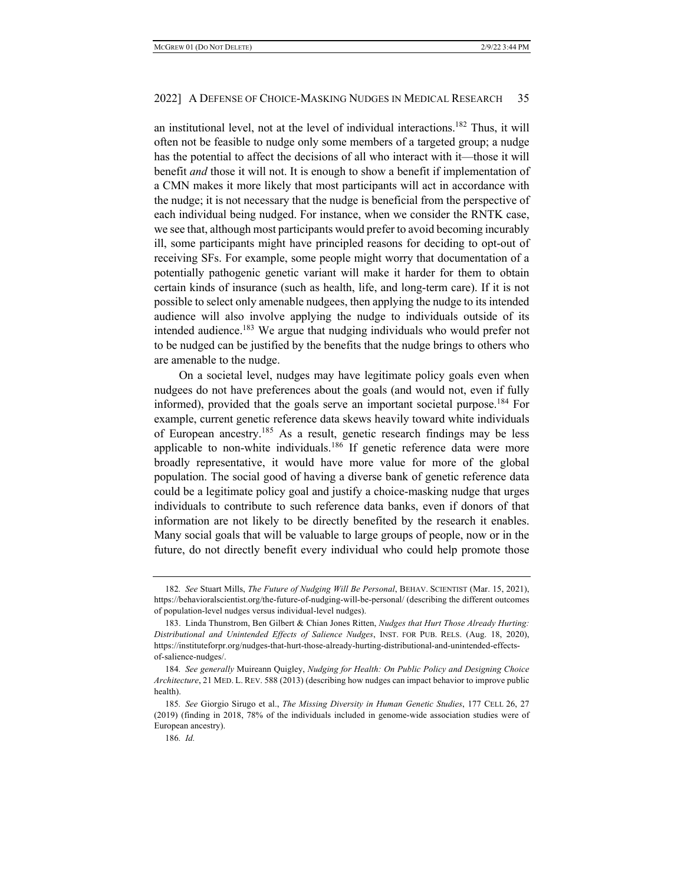an institutional level, not at the level of individual interactions.<sup>182</sup> Thus, it will often not be feasible to nudge only some members of a targeted group; a nudge has the potential to affect the decisions of all who interact with it—those it will benefit *and* those it will not. It is enough to show a benefit if implementation of a CMN makes it more likely that most participants will act in accordance with the nudge; it is not necessary that the nudge is beneficial from the perspective of each individual being nudged. For instance, when we consider the RNTK case, we see that, although most participants would prefer to avoid becoming incurably ill, some participants might have principled reasons for deciding to opt-out of receiving SFs. For example, some people might worry that documentation of a potentially pathogenic genetic variant will make it harder for them to obtain certain kinds of insurance (such as health, life, and long-term care). If it is not possible to select only amenable nudgees, then applying the nudge to its intended audience will also involve applying the nudge to individuals outside of its intended audience.<sup>183</sup> We argue that nudging individuals who would prefer not to be nudged can be justified by the benefits that the nudge brings to others who are amenable to the nudge.

On a societal level, nudges may have legitimate policy goals even when nudgees do not have preferences about the goals (and would not, even if fully informed), provided that the goals serve an important societal purpose.<sup>184</sup> For example, current genetic reference data skews heavily toward white individuals of European ancestry.<sup>185</sup> As a result, genetic research findings may be less applicable to non-white individuals.<sup>186</sup> If genetic reference data were more broadly representative, it would have more value for more of the global population. The social good of having a diverse bank of genetic reference data could be a legitimate policy goal and justify a choice-masking nudge that urges individuals to contribute to such reference data banks, even if donors of that information are not likely to be directly benefited by the research it enables. Many social goals that will be valuable to large groups of people, now or in the future, do not directly benefit every individual who could help promote those

<sup>182</sup>*. See* Stuart Mills, *The Future of Nudging Will Be Personal*, BEHAV. SCIENTIST (Mar. 15, 2021), https://behavioralscientist.org/the-future-of-nudging-will-be-personal/ (describing the different outcomes of population-level nudges versus individual-level nudges).

<sup>183.</sup> Linda Thunstrom, Ben Gilbert & Chian Jones Ritten, *Nudges that Hurt Those Already Hurting: Distributional and Unintended Effects of Salience Nudges*, INST. FOR PUB. RELS. (Aug. 18, 2020), https://instituteforpr.org/nudges-that-hurt-those-already-hurting-distributional-and-unintended-effectsof-salience-nudges/.

<sup>184</sup>*. See generally* Muireann Quigley, *Nudging for Health: On Public Policy and Designing Choice Architecture*, 21 MED. L. REV. 588 (2013) (describing how nudges can impact behavior to improve public health).

<sup>185</sup>*. See* Giorgio Sirugo et al., *The Missing Diversity in Human Genetic Studies*, 177 CELL 26, 27 (2019) (finding in 2018, 78% of the individuals included in genome-wide association studies were of European ancestry).

<sup>186</sup>*. Id.*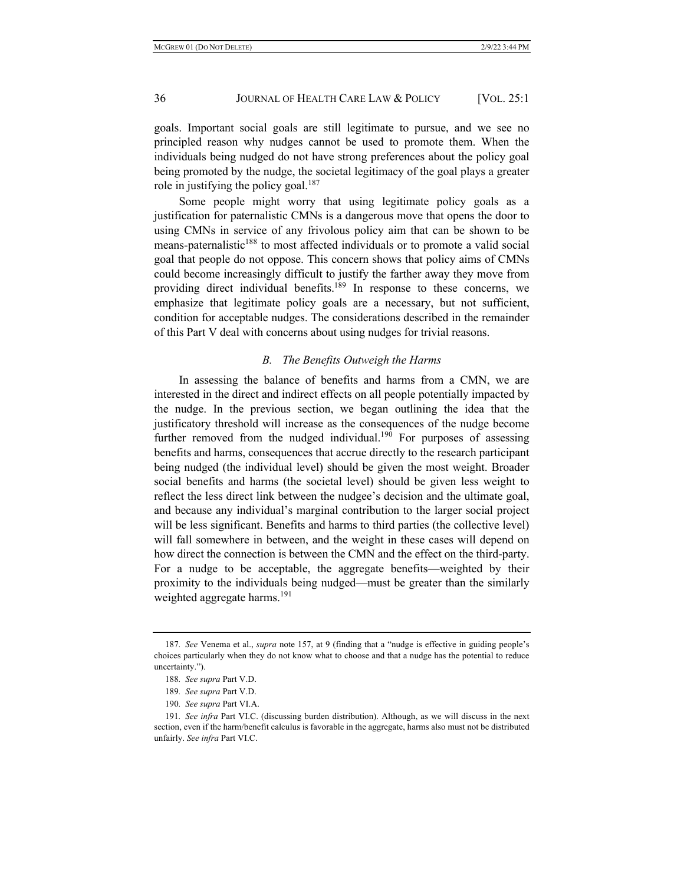goals. Important social goals are still legitimate to pursue, and we see no principled reason why nudges cannot be used to promote them. When the individuals being nudged do not have strong preferences about the policy goal being promoted by the nudge, the societal legitimacy of the goal plays a greater role in justifying the policy goal. $187$ 

Some people might worry that using legitimate policy goals as a justification for paternalistic CMNs is a dangerous move that opens the door to using CMNs in service of any frivolous policy aim that can be shown to be means-paternalistic<sup>188</sup> to most affected individuals or to promote a valid social goal that people do not oppose. This concern shows that policy aims of CMNs could become increasingly difficult to justify the farther away they move from providing direct individual benefits.<sup>189</sup> In response to these concerns, we emphasize that legitimate policy goals are a necessary, but not sufficient, condition for acceptable nudges. The considerations described in the remainder of this Part V deal with concerns about using nudges for trivial reasons.

#### *B. The Benefits Outweigh the Harms*

In assessing the balance of benefits and harms from a CMN, we are interested in the direct and indirect effects on all people potentially impacted by the nudge. In the previous section, we began outlining the idea that the justificatory threshold will increase as the consequences of the nudge become further removed from the nudged individual.<sup>190</sup> For purposes of assessing benefits and harms, consequences that accrue directly to the research participant being nudged (the individual level) should be given the most weight. Broader social benefits and harms (the societal level) should be given less weight to reflect the less direct link between the nudgee's decision and the ultimate goal, and because any individual's marginal contribution to the larger social project will be less significant. Benefits and harms to third parties (the collective level) will fall somewhere in between, and the weight in these cases will depend on how direct the connection is between the CMN and the effect on the third-party. For a nudge to be acceptable, the aggregate benefits—weighted by their proximity to the individuals being nudged—must be greater than the similarly weighted aggregate harms.<sup>191</sup>

<sup>187</sup>*. See* Venema et al., *supra* note 157, at 9 (finding that a "nudge is effective in guiding people's choices particularly when they do not know what to choose and that a nudge has the potential to reduce uncertainty.").

<sup>188</sup>*. See supra* Part V.D.

<sup>189</sup>*. See supra* Part V.D.

<sup>190</sup>*. See supra* Part VI.A.

<sup>191</sup>*. See infra* Part VI.C. (discussing burden distribution). Although, as we will discuss in the next section, even if the harm/benefit calculus is favorable in the aggregate, harms also must not be distributed unfairly. *See infra* Part VI.C.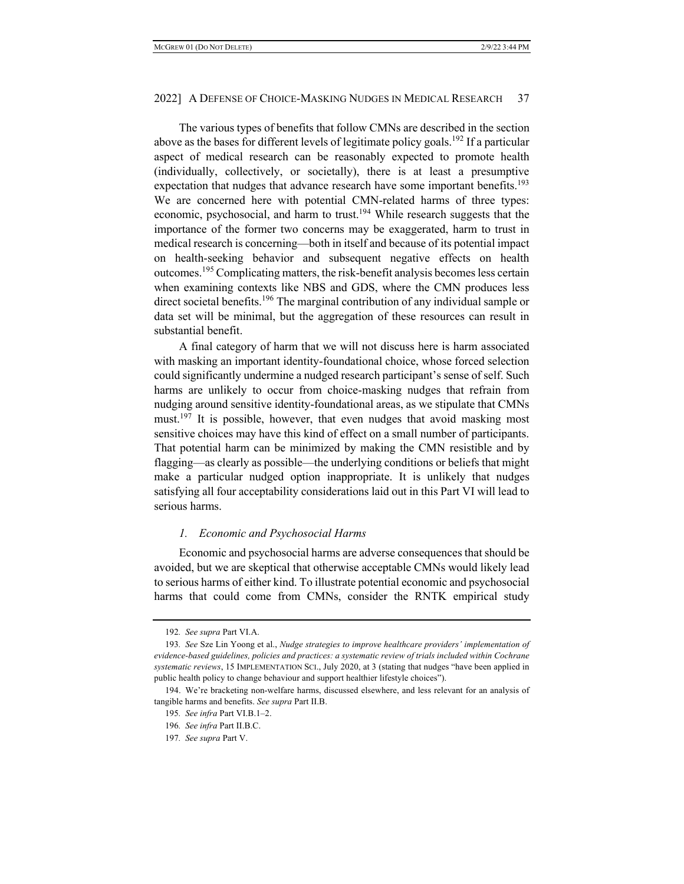The various types of benefits that follow CMNs are described in the section above as the bases for different levels of legitimate policy goals.<sup>192</sup> If a particular aspect of medical research can be reasonably expected to promote health (individually, collectively, or societally), there is at least a presumptive expectation that nudges that advance research have some important benefits.<sup>193</sup> We are concerned here with potential CMN-related harms of three types: economic, psychosocial, and harm to trust.<sup>194</sup> While research suggests that the importance of the former two concerns may be exaggerated, harm to trust in medical research is concerning—both in itself and because of its potential impact on health-seeking behavior and subsequent negative effects on health outcomes.<sup>195</sup> Complicating matters, the risk-benefit analysis becomes less certain when examining contexts like NBS and GDS, where the CMN produces less direct societal benefits.<sup>196</sup> The marginal contribution of any individual sample or data set will be minimal, but the aggregation of these resources can result in substantial benefit.

A final category of harm that we will not discuss here is harm associated with masking an important identity-foundational choice, whose forced selection could significantly undermine a nudged research participant's sense of self. Such harms are unlikely to occur from choice-masking nudges that refrain from nudging around sensitive identity-foundational areas, as we stipulate that CMNs must.<sup>197</sup> It is possible, however, that even nudges that avoid masking most sensitive choices may have this kind of effect on a small number of participants. That potential harm can be minimized by making the CMN resistible and by flagging—as clearly as possible—the underlying conditions or beliefs that might make a particular nudged option inappropriate. It is unlikely that nudges satisfying all four acceptability considerations laid out in this Part VI will lead to serious harms.

#### *1. Economic and Psychosocial Harms*

Economic and psychosocial harms are adverse consequences that should be avoided, but we are skeptical that otherwise acceptable CMNs would likely lead to serious harms of either kind. To illustrate potential economic and psychosocial harms that could come from CMNs, consider the RNTK empirical study

<sup>192</sup>*. See supra* Part VI.A.

<sup>193</sup>*. See* Sze Lin Yoong et al., *Nudge strategies to improve healthcare providers' implementation of evidence-based guidelines, policies and practices: a systematic review of trials included within Cochrane systematic reviews*, 15 IMPLEMENTATION SCI., July 2020, at 3 (stating that nudges "have been applied in public health policy to change behaviour and support healthier lifestyle choices").

<sup>194.</sup> We're bracketing non-welfare harms, discussed elsewhere, and less relevant for an analysis of tangible harms and benefits. *See supra* Part II.B.

<sup>195</sup>*. See infra* Part VI.B.1–2.

<sup>196</sup>*. See infra* Part II.B.C.

<sup>197</sup>*. See supra* Part V.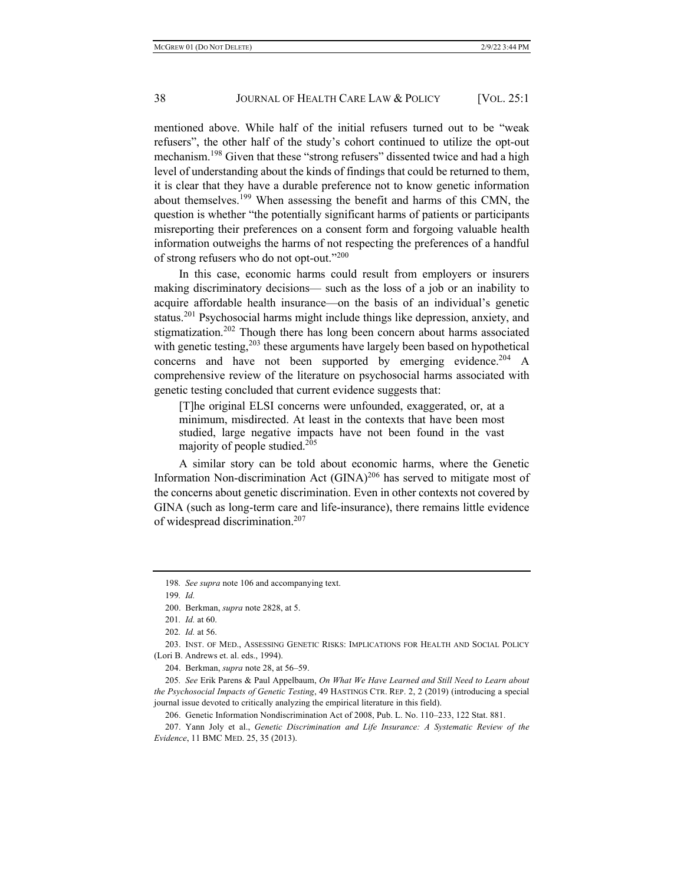mentioned above. While half of the initial refusers turned out to be "weak refusers", the other half of the study's cohort continued to utilize the opt-out mechanism.<sup>198</sup> Given that these "strong refusers" dissented twice and had a high level of understanding about the kinds of findings that could be returned to them, it is clear that they have a durable preference not to know genetic information about themselves.<sup>199</sup> When assessing the benefit and harms of this CMN, the question is whether "the potentially significant harms of patients or participants misreporting their preferences on a consent form and forgoing valuable health information outweighs the harms of not respecting the preferences of a handful of strong refusers who do not opt-out."<sup>200</sup>

In this case, economic harms could result from employers or insurers making discriminatory decisions— such as the loss of a job or an inability to acquire affordable health insurance—on the basis of an individual's genetic status.<sup>201</sup> Psychosocial harms might include things like depression, anxiety, and stigmatization.<sup>202</sup> Though there has long been concern about harms associated with genetic testing, $2^{03}$  these arguments have largely been based on hypothetical concerns and have not been supported by emerging evidence.<sup>204</sup> A comprehensive review of the literature on psychosocial harms associated with genetic testing concluded that current evidence suggests that:

[T]he original ELSI concerns were unfounded, exaggerated, or, at a minimum, misdirected. At least in the contexts that have been most studied, large negative impacts have not been found in the vast majority of people studied.205

A similar story can be told about economic harms, where the Genetic Information Non-discrimination Act  $(GINA)^{206}$  has served to mitigate most of the concerns about genetic discrimination. Even in other contexts not covered by GINA (such as long-term care and life-insurance), there remains little evidence of widespread discrimination.207

<sup>198</sup>*. See supra* note 106 and accompanying text.

<sup>199</sup>*. Id.*

<sup>200.</sup> Berkman, *supra* note 2828, at 5.

<sup>201</sup>*. Id.* at 60.

<sup>202</sup>*. Id.* at 56.

<sup>203.</sup> INST. OF MED., ASSESSING GENETIC RISKS: IMPLICATIONS FOR HEALTH AND SOCIAL POLICY (Lori B. Andrews et. al. eds., 1994).

<sup>204.</sup> Berkman, *supra* note 28, at 56–59.

<sup>205</sup>*. See* Erik Parens & Paul Appelbaum, *On What We Have Learned and Still Need to Learn about the Psychosocial Impacts of Genetic Testing*, 49 HASTINGS CTR. REP. 2, 2 (2019) (introducing a special journal issue devoted to critically analyzing the empirical literature in this field).

<sup>206.</sup> Genetic Information Nondiscrimination Act of 2008, Pub. L. No. 110–233, 122 Stat. 881.

<sup>207.</sup> Yann Joly et al., *Genetic Discrimination and Life Insurance: A Systematic Review of the Evidence*, 11 BMC MED. 25, 35 (2013).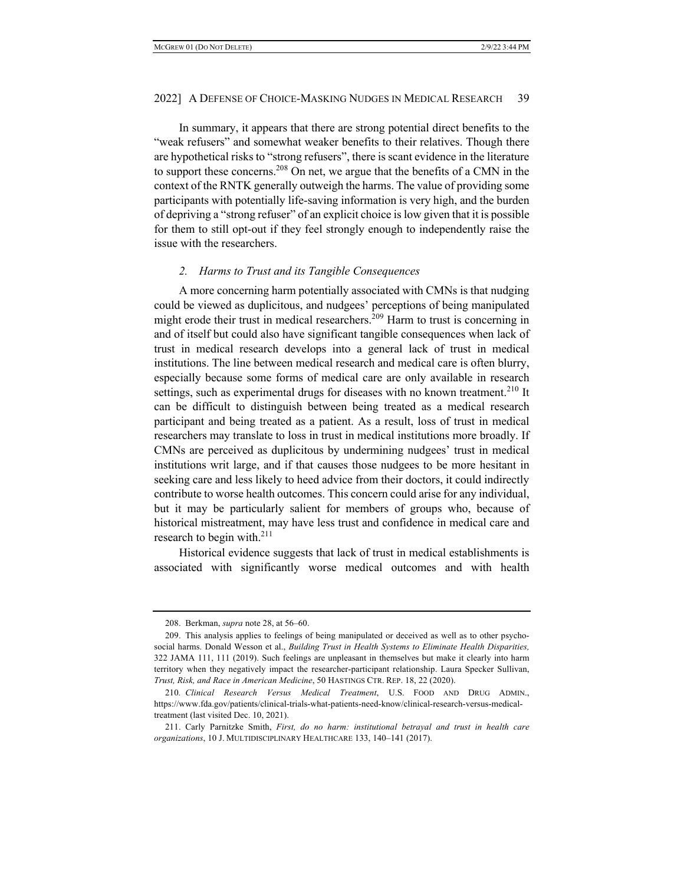In summary, it appears that there are strong potential direct benefits to the "weak refusers" and somewhat weaker benefits to their relatives. Though there are hypothetical risks to "strong refusers", there is scant evidence in the literature to support these concerns.208 On net, we argue that the benefits of a CMN in the context of the RNTK generally outweigh the harms. The value of providing some participants with potentially life-saving information is very high, and the burden of depriving a "strong refuser" of an explicit choice is low given that it is possible for them to still opt-out if they feel strongly enough to independently raise the issue with the researchers.

#### *2. Harms to Trust and its Tangible Consequences*

A more concerning harm potentially associated with CMNs is that nudging could be viewed as duplicitous, and nudgees' perceptions of being manipulated might erode their trust in medical researchers.<sup>209</sup> Harm to trust is concerning in and of itself but could also have significant tangible consequences when lack of trust in medical research develops into a general lack of trust in medical institutions. The line between medical research and medical care is often blurry, especially because some forms of medical care are only available in research settings, such as experimental drugs for diseases with no known treatment.<sup>210</sup> It can be difficult to distinguish between being treated as a medical research participant and being treated as a patient. As a result, loss of trust in medical researchers may translate to loss in trust in medical institutions more broadly. If CMNs are perceived as duplicitous by undermining nudgees' trust in medical institutions writ large, and if that causes those nudgees to be more hesitant in seeking care and less likely to heed advice from their doctors, it could indirectly contribute to worse health outcomes. This concern could arise for any individual, but it may be particularly salient for members of groups who, because of historical mistreatment, may have less trust and confidence in medical care and research to begin with. $^{211}$ 

Historical evidence suggests that lack of trust in medical establishments is associated with significantly worse medical outcomes and with health

<sup>208.</sup> Berkman, *supra* note 28, at 56–60.

<sup>209.</sup> This analysis applies to feelings of being manipulated or deceived as well as to other psychosocial harms. Donald Wesson et al., *Building Trust in Health Systems to Eliminate Health Disparities,*  322 JAMA 111, 111 (2019). Such feelings are unpleasant in themselves but make it clearly into harm territory when they negatively impact the researcher-participant relationship. Laura Specker Sullivan, *Trust, Risk, and Race in American Medicine*, 50 HASTINGS CTR. REP. 18, 22 (2020).

<sup>210</sup>*. Clinical Research Versus Medical Treatment*, U.S. FOOD AND DRUG ADMIN., https://www.fda.gov/patients/clinical-trials-what-patients-need-know/clinical-research-versus-medicaltreatment (last visited Dec. 10, 2021).

<sup>211.</sup> Carly Parnitzke Smith, *First, do no harm: institutional betrayal and trust in health care organizations*, 10 J. MULTIDISCIPLINARY HEALTHCARE 133, 140–141 (2017).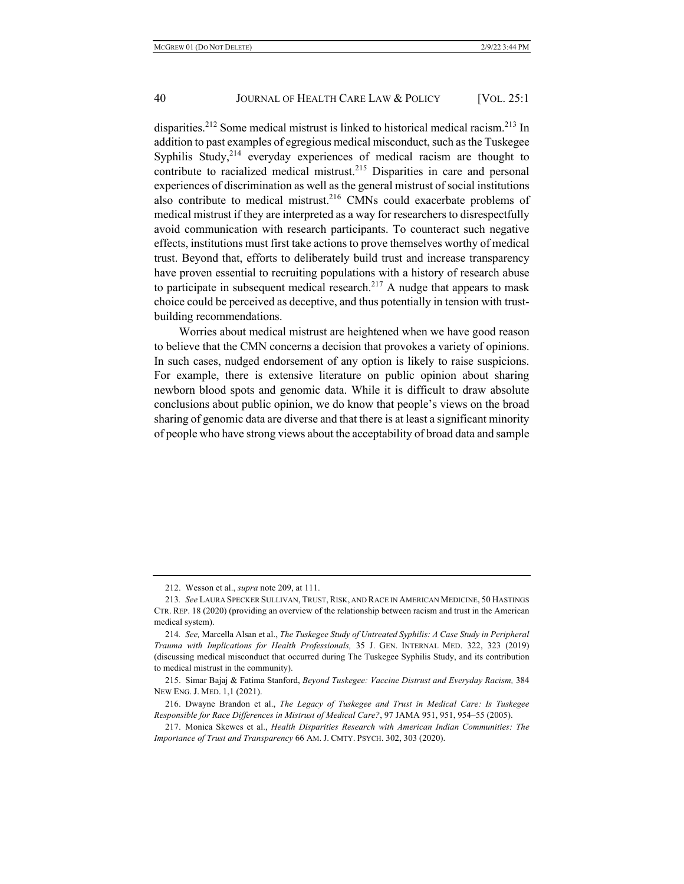disparities.<sup>212</sup> Some medical mistrust is linked to historical medical racism.<sup>213</sup> In addition to past examples of egregious medical misconduct, such as the Tuskegee Syphilis Study, $2^{14}$  everyday experiences of medical racism are thought to contribute to racialized medical mistrust.<sup>215</sup> Disparities in care and personal experiences of discrimination as well as the general mistrust of social institutions also contribute to medical mistrust.216 CMNs could exacerbate problems of medical mistrust if they are interpreted as a way for researchers to disrespectfully avoid communication with research participants. To counteract such negative effects, institutions must first take actions to prove themselves worthy of medical trust. Beyond that, efforts to deliberately build trust and increase transparency have proven essential to recruiting populations with a history of research abuse to participate in subsequent medical research. $217$  A nudge that appears to mask choice could be perceived as deceptive, and thus potentially in tension with trustbuilding recommendations.

Worries about medical mistrust are heightened when we have good reason to believe that the CMN concerns a decision that provokes a variety of opinions. In such cases, nudged endorsement of any option is likely to raise suspicions. For example, there is extensive literature on public opinion about sharing newborn blood spots and genomic data. While it is difficult to draw absolute conclusions about public opinion, we do know that people's views on the broad sharing of genomic data are diverse and that there is at least a significant minority of people who have strong views about the acceptability of broad data and sample

<sup>212.</sup> Wesson et al., *supra* note 209, at 111.

<sup>213</sup>*. See* LAURA SPECKER SULLIVAN, TRUST,RISK, AND RACE IN AMERICAN MEDICINE, 50 HASTINGS CTR. REP. 18 (2020) (providing an overview of the relationship between racism and trust in the American medical system).

<sup>214</sup>*. See,* Marcella Alsan et al., *The Tuskegee Study of Untreated Syphilis: A Case Study in Peripheral Trauma with Implications for Health Professionals,* 35 J. GEN. INTERNAL MED. 322, 323 (2019) (discussing medical misconduct that occurred during The Tuskegee Syphilis Study, and its contribution to medical mistrust in the community).

<sup>215.</sup> Simar Bajaj & Fatima Stanford, *Beyond Tuskegee: Vaccine Distrust and Everyday Racism,* 384 NEW ENG. J. MED. 1,1 (2021).

<sup>216.</sup> Dwayne Brandon et al., *The Legacy of Tuskegee and Trust in Medical Care: Is Tuskegee Responsible for Race Differences in Mistrust of Medical Care?*, 97 JAMA 951, 951, 954–55 (2005).

<sup>217.</sup> Monica Skewes et al., *Health Disparities Research with American Indian Communities: The Importance of Trust and Transparency* 66 AM. J. CMTY. PSYCH. 302, 303 (2020).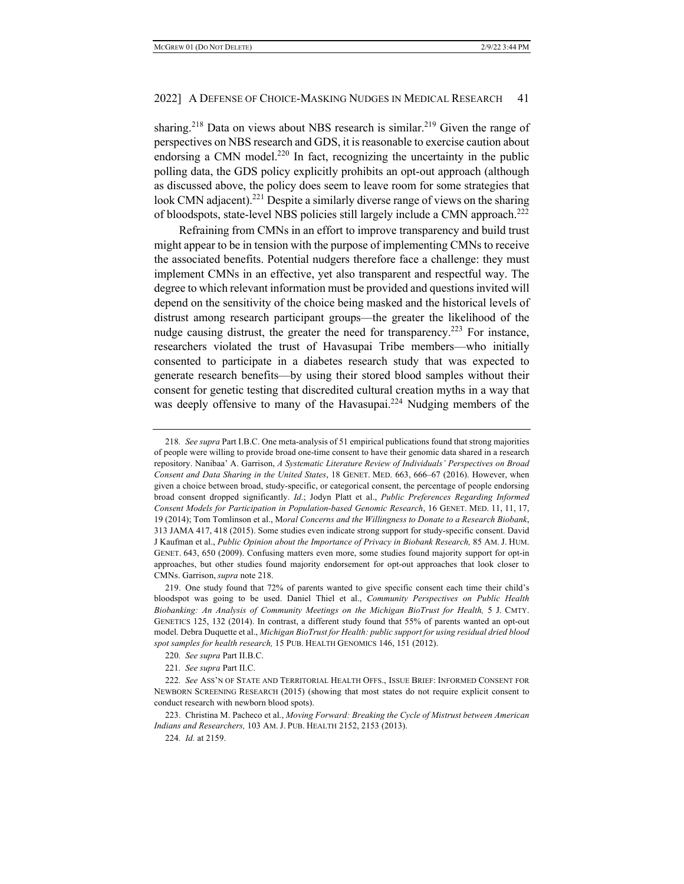sharing.<sup>218</sup> Data on views about NBS research is similar.<sup>219</sup> Given the range of perspectives on NBS research and GDS, it is reasonable to exercise caution about endorsing a CMN model.<sup>220</sup> In fact, recognizing the uncertainty in the public polling data, the GDS policy explicitly prohibits an opt-out approach (although as discussed above, the policy does seem to leave room for some strategies that look CMN adjacent).<sup>221</sup> Despite a similarly diverse range of views on the sharing of bloodspots, state-level NBS policies still largely include a CMN approach.<sup>222</sup>

Refraining from CMNs in an effort to improve transparency and build trust might appear to be in tension with the purpose of implementing CMNs to receive the associated benefits. Potential nudgers therefore face a challenge: they must implement CMNs in an effective, yet also transparent and respectful way. The degree to which relevant information must be provided and questions invited will depend on the sensitivity of the choice being masked and the historical levels of distrust among research participant groups—the greater the likelihood of the nudge causing distrust, the greater the need for transparency.<sup>223</sup> For instance, researchers violated the trust of Havasupai Tribe members—who initially consented to participate in a diabetes research study that was expected to generate research benefits—by using their stored blood samples without their consent for genetic testing that discredited cultural creation myths in a way that was deeply offensive to many of the Havasupai.<sup>224</sup> Nudging members of the

<sup>218</sup>*. See supra* Part I.B.C. One meta-analysis of 51 empirical publications found that strong majorities of people were willing to provide broad one-time consent to have their genomic data shared in a research repository. Nanibaa' A. Garrison, *A Systematic Literature Review of Individuals' Perspectives on Broad Consent and Data Sharing in the United States*, 18 GENET. MED. 663, 666–67 (2016). However, when given a choice between broad, study-specific, or categorical consent, the percentage of people endorsing broad consent dropped significantly. *Id*.; Jodyn Platt et al., *Public Preferences Regarding Informed Consent Models for Participation in Population-based Genomic Research*, 16 GENET. MED. 11, 11, 17, 19 (2014); Tom Tomlinson et al., M*oral Concerns and the Willingness to Donate to a Research Biobank*, 313 JAMA 417, 418 (2015). Some studies even indicate strong support for study-specific consent. David J Kaufman et al., *Public Opinion about the Importance of Privacy in Biobank Research,* 85 AM. J. HUM. GENET. 643, 650 (2009). Confusing matters even more, some studies found majority support for opt-in approaches, but other studies found majority endorsement for opt-out approaches that look closer to CMNs. Garrison, *supra* note 218.

<sup>219.</sup> One study found that 72% of parents wanted to give specific consent each time their child's bloodspot was going to be used. Daniel Thiel et al., *Community Perspectives on Public Health Biobanking: An Analysis of Community Meetings on the Michigan BioTrust for Health,* 5 J. CMTY. GENETICS 125, 132 (2014). In contrast, a different study found that 55% of parents wanted an opt-out model. Debra Duquette et al., *Michigan BioTrust for Health: public support for using residual dried blood spot samples for health research,* 15 PUB. HEALTH GENOMICS 146, 151 (2012).

<sup>220</sup>*. See supra* Part II.B.C.

<sup>221</sup>*. See supra* Part II.C.

<sup>222</sup>*. See* ASS'N OF STATE AND TERRITORIAL HEALTH OFFS., ISSUE BRIEF: INFORMED CONSENT FOR NEWBORN SCREENING RESEARCH (2015) (showing that most states do not require explicit consent to conduct research with newborn blood spots).

<sup>223.</sup> Christina M. Pacheco et al., *Moving Forward: Breaking the Cycle of Mistrust between American Indians and Researchers,* 103 AM. J. PUB. HEALTH 2152, 2153 (2013).

<sup>224</sup>*. Id.* at 2159.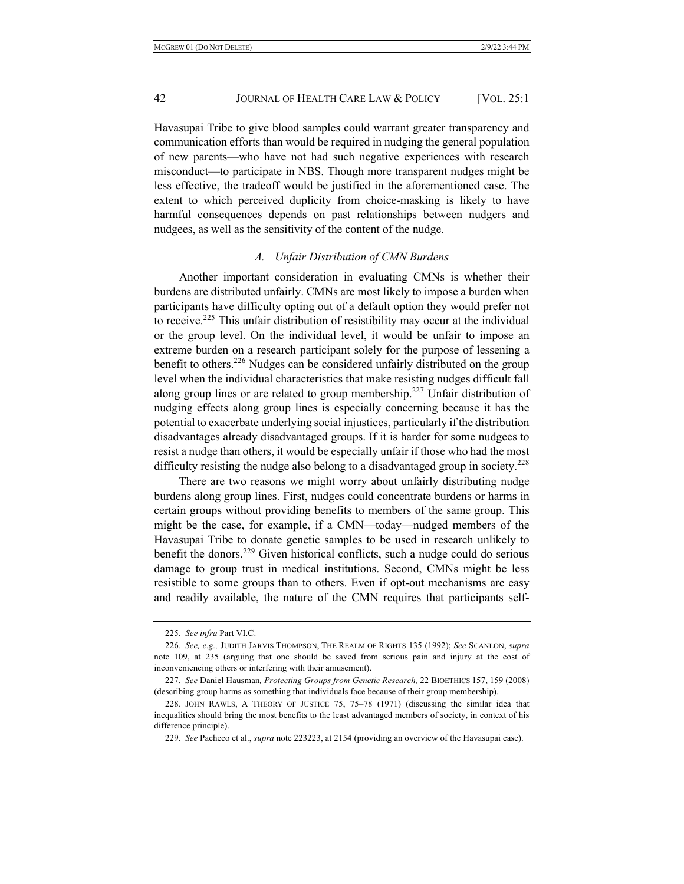Havasupai Tribe to give blood samples could warrant greater transparency and communication efforts than would be required in nudging the general population of new parents—who have not had such negative experiences with research misconduct—to participate in NBS. Though more transparent nudges might be less effective, the tradeoff would be justified in the aforementioned case. The extent to which perceived duplicity from choice-masking is likely to have harmful consequences depends on past relationships between nudgers and nudgees, as well as the sensitivity of the content of the nudge.

#### *A. Unfair Distribution of CMN Burdens*

Another important consideration in evaluating CMNs is whether their burdens are distributed unfairly. CMNs are most likely to impose a burden when participants have difficulty opting out of a default option they would prefer not to receive.225 This unfair distribution of resistibility may occur at the individual or the group level. On the individual level, it would be unfair to impose an extreme burden on a research participant solely for the purpose of lessening a benefit to others.<sup>226</sup> Nudges can be considered unfairly distributed on the group level when the individual characteristics that make resisting nudges difficult fall along group lines or are related to group membership.<sup>227</sup> Unfair distribution of nudging effects along group lines is especially concerning because it has the potential to exacerbate underlying social injustices, particularly if the distribution disadvantages already disadvantaged groups. If it is harder for some nudgees to resist a nudge than others, it would be especially unfair if those who had the most difficulty resisting the nudge also belong to a disadvantaged group in society.<sup>228</sup>

There are two reasons we might worry about unfairly distributing nudge burdens along group lines. First, nudges could concentrate burdens or harms in certain groups without providing benefits to members of the same group. This might be the case, for example, if a CMN—today—nudged members of the Havasupai Tribe to donate genetic samples to be used in research unlikely to benefit the donors.<sup>229</sup> Given historical conflicts, such a nudge could do serious damage to group trust in medical institutions. Second, CMNs might be less resistible to some groups than to others. Even if opt-out mechanisms are easy and readily available, the nature of the CMN requires that participants self-

<sup>225</sup>*. See infra* Part VI.C.

<sup>226</sup>*. See, e.g.,* JUDITH JARVIS THOMPSON, THE REALM OF RIGHTS 135 (1992); *See* SCANLON, *supra*  note 109, at 235 (arguing that one should be saved from serious pain and injury at the cost of inconveniencing others or interfering with their amusement).

<sup>227</sup>*. See* Daniel Hausman*, Protecting Groups from Genetic Research,* 22 BIOETHICS 157, 159 (2008) (describing group harms as something that individuals face because of their group membership).

<sup>228.</sup> JOHN RAWLS, A THEORY OF JUSTICE 75, 75–78 (1971) (discussing the similar idea that inequalities should bring the most benefits to the least advantaged members of society, in context of his difference principle).

<sup>229</sup>*. See* Pacheco et al., *supra* note 223223, at 2154 (providing an overview of the Havasupai case).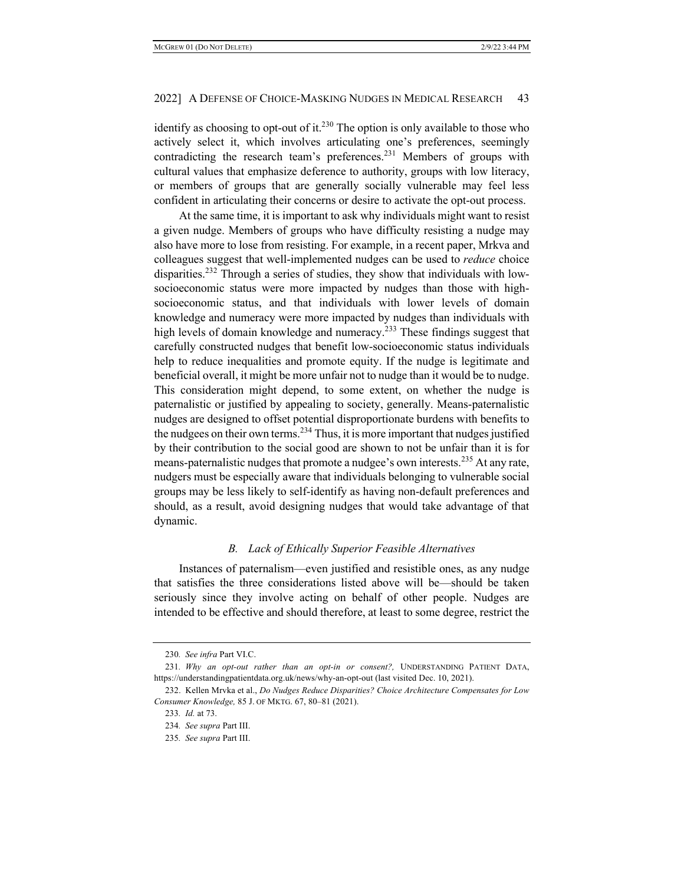identify as choosing to opt-out of it.<sup>230</sup> The option is only available to those who actively select it, which involves articulating one's preferences, seemingly contradicting the research team's preferences.<sup>231</sup> Members of groups with cultural values that emphasize deference to authority, groups with low literacy, or members of groups that are generally socially vulnerable may feel less confident in articulating their concerns or desire to activate the opt-out process.

At the same time, it is important to ask why individuals might want to resist a given nudge. Members of groups who have difficulty resisting a nudge may also have more to lose from resisting. For example, in a recent paper, Mrkva and colleagues suggest that well-implemented nudges can be used to *reduce* choice disparities.<sup>232</sup> Through a series of studies, they show that individuals with lowsocioeconomic status were more impacted by nudges than those with highsocioeconomic status, and that individuals with lower levels of domain knowledge and numeracy were more impacted by nudges than individuals with high levels of domain knowledge and numeracy.<sup>233</sup> These findings suggest that carefully constructed nudges that benefit low-socioeconomic status individuals help to reduce inequalities and promote equity. If the nudge is legitimate and beneficial overall, it might be more unfair not to nudge than it would be to nudge. This consideration might depend, to some extent, on whether the nudge is paternalistic or justified by appealing to society, generally. Means-paternalistic nudges are designed to offset potential disproportionate burdens with benefits to the nudgees on their own terms.234 Thus, it is more important that nudges justified by their contribution to the social good are shown to not be unfair than it is for means-paternalistic nudges that promote a nudgee's own interests.<sup>235</sup> At any rate, nudgers must be especially aware that individuals belonging to vulnerable social groups may be less likely to self-identify as having non-default preferences and should, as a result, avoid designing nudges that would take advantage of that dynamic.

# *B. Lack of Ethically Superior Feasible Alternatives*

Instances of paternalism—even justified and resistible ones, as any nudge that satisfies the three considerations listed above will be—should be taken seriously since they involve acting on behalf of other people. Nudges are intended to be effective and should therefore, at least to some degree, restrict the

<sup>230</sup>*. See infra* Part VI.C.

<sup>231</sup>*. Why an opt-out rather than an opt-in or consent?,* UNDERSTANDING PATIENT DATA, https://understandingpatientdata.org.uk/news/why-an-opt-out (last visited Dec. 10, 2021).

<sup>232.</sup> Kellen Mrvka et al., *Do Nudges Reduce Disparities? Choice Architecture Compensates for Low Consumer Knowledge,* 85 J. OF MKTG. 67, 80–81 (2021).

<sup>233</sup>*. Id.* at 73.

<sup>234</sup>*. See supra* Part III.

<sup>235</sup>*. See supra* Part III.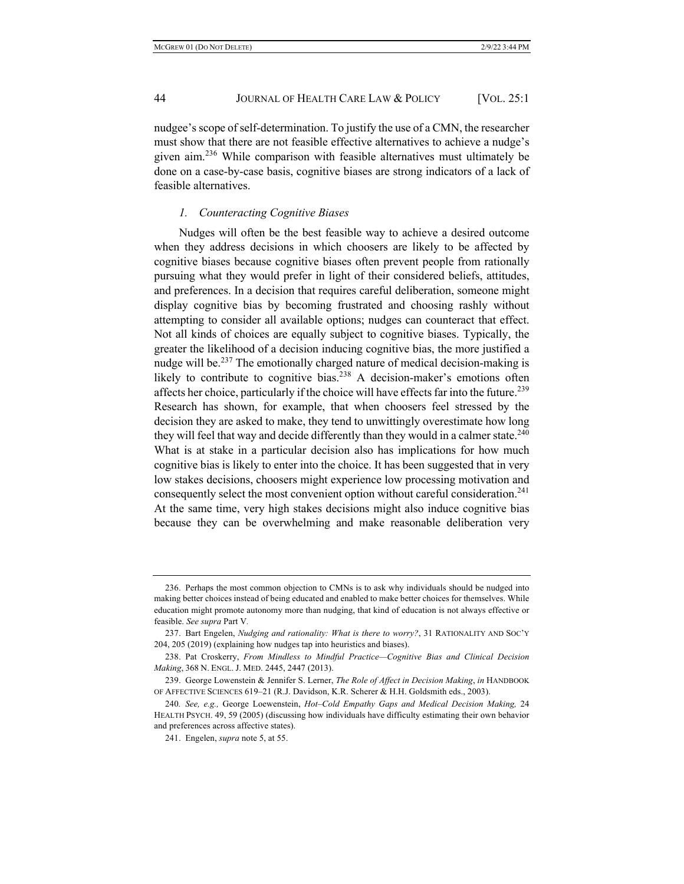nudgee's scope of self-determination. To justify the use of a CMN, the researcher must show that there are not feasible effective alternatives to achieve a nudge's given aim.<sup>236</sup> While comparison with feasible alternatives must ultimately be done on a case-by-case basis, cognitive biases are strong indicators of a lack of feasible alternatives.

### *1. Counteracting Cognitive Biases*

Nudges will often be the best feasible way to achieve a desired outcome when they address decisions in which choosers are likely to be affected by cognitive biases because cognitive biases often prevent people from rationally pursuing what they would prefer in light of their considered beliefs, attitudes, and preferences. In a decision that requires careful deliberation, someone might display cognitive bias by becoming frustrated and choosing rashly without attempting to consider all available options; nudges can counteract that effect. Not all kinds of choices are equally subject to cognitive biases. Typically, the greater the likelihood of a decision inducing cognitive bias, the more justified a nudge will be.<sup>237</sup> The emotionally charged nature of medical decision-making is likely to contribute to cognitive bias.<sup>238</sup> A decision-maker's emotions often affects her choice, particularly if the choice will have effects far into the future.<sup>239</sup> Research has shown, for example, that when choosers feel stressed by the decision they are asked to make, they tend to unwittingly overestimate how long they will feel that way and decide differently than they would in a calmer state.<sup>240</sup> What is at stake in a particular decision also has implications for how much cognitive bias is likely to enter into the choice. It has been suggested that in very low stakes decisions, choosers might experience low processing motivation and consequently select the most convenient option without careful consideration.<sup>241</sup> At the same time, very high stakes decisions might also induce cognitive bias because they can be overwhelming and make reasonable deliberation very

<sup>236.</sup> Perhaps the most common objection to CMNs is to ask why individuals should be nudged into making better choices instead of being educated and enabled to make better choices for themselves. While education might promote autonomy more than nudging, that kind of education is not always effective or feasible. *See supra* Part V*.*

<sup>237.</sup> Bart Engelen, *Nudging and rationality: What is there to worry?*, 31 RATIONALITY AND SOC'Y 204, 205 (2019) (explaining how nudges tap into heuristics and biases).

<sup>238.</sup> Pat Croskerry, *From Mindless to Mindful Practice—Cognitive Bias and Clinical Decision Making*, 368 N. ENGL. J. MED. 2445, 2447 (2013).

<sup>239.</sup> George Lowenstein & Jennifer S. Lerner, *The Role of Affect in Decision Making*, *in* HANDBOOK OF AFFECTIVE SCIENCES 619–21 (R.J. Davidson, K.R. Scherer & H.H. Goldsmith eds., 2003).

<sup>240</sup>*. See, e.g.,* George Loewenstein, *Hot–Cold Empathy Gaps and Medical Decision Making,* 24 HEALTH PSYCH. 49, 59 (2005) (discussing how individuals have difficulty estimating their own behavior and preferences across affective states).

<sup>241.</sup> Engelen, *supra* note 5, at 55.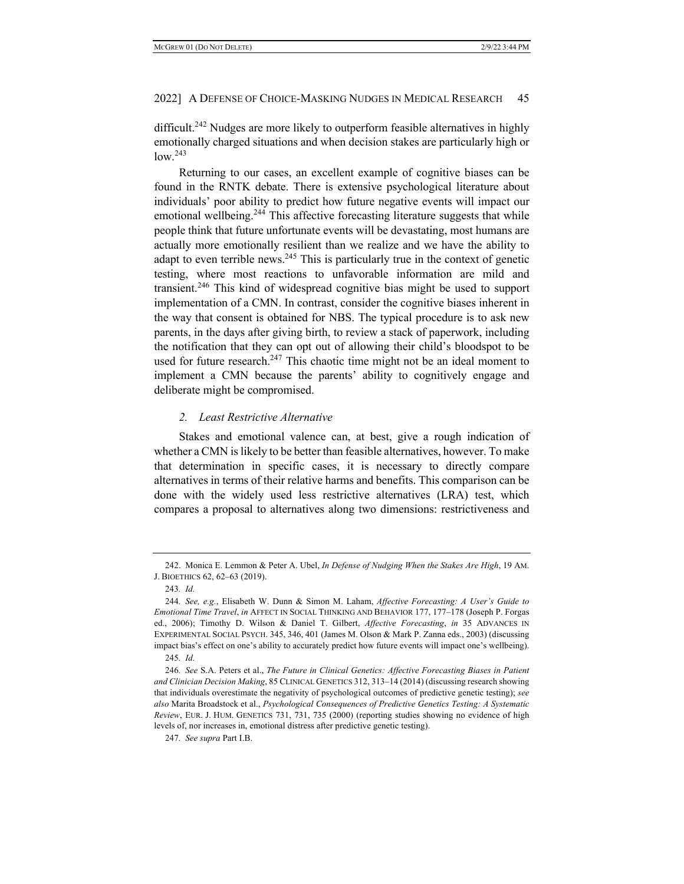difficult.<sup>242</sup> Nudges are more likely to outperform feasible alternatives in highly emotionally charged situations and when decision stakes are particularly high or  $low.<sup>243</sup>$ 

Returning to our cases, an excellent example of cognitive biases can be found in the RNTK debate. There is extensive psychological literature about individuals' poor ability to predict how future negative events will impact our emotional wellbeing.<sup>244</sup> This affective forecasting literature suggests that while people think that future unfortunate events will be devastating, most humans are actually more emotionally resilient than we realize and we have the ability to adapt to even terrible news.<sup>245</sup> This is particularly true in the context of genetic testing, where most reactions to unfavorable information are mild and transient.<sup>246</sup> This kind of widespread cognitive bias might be used to support implementation of a CMN. In contrast, consider the cognitive biases inherent in the way that consent is obtained for NBS. The typical procedure is to ask new parents, in the days after giving birth, to review a stack of paperwork, including the notification that they can opt out of allowing their child's bloodspot to be used for future research.<sup>247</sup> This chaotic time might not be an ideal moment to implement a CMN because the parents' ability to cognitively engage and deliberate might be compromised.

#### *2. Least Restrictive Alternative*

Stakes and emotional valence can, at best, give a rough indication of whether a CMN is likely to be better than feasible alternatives, however. To make that determination in specific cases, it is necessary to directly compare alternatives in terms of their relative harms and benefits. This comparison can be done with the widely used less restrictive alternatives (LRA) test, which compares a proposal to alternatives along two dimensions: restrictiveness and

<sup>242.</sup> Monica E. Lemmon & Peter A. Ubel, *In Defense of Nudging When the Stakes Are High*, 19 AM. J. BIOETHICS 62, 62–63 (2019).

<sup>243</sup>*. Id.*

<sup>244</sup>*. See, e.g.*, Elisabeth W. Dunn & Simon M. Laham, *Affective Forecasting: A User's Guide to Emotional Time Travel*, *in* AFFECT IN SOCIAL THINKING AND BEHAVIOR 177, 177–178 (Joseph P. Forgas ed., 2006); Timothy D. Wilson & Daniel T. Gilbert, *Affective Forecasting*, *in* 35 ADVANCES IN EXPERIMENTAL SOCIAL PSYCH. 345, 346, 401 (James M. Olson & Mark P. Zanna eds., 2003) (discussing impact bias's effect on one's ability to accurately predict how future events will impact one's wellbeing). 245*. Id.*

<sup>246</sup>*. See* S.A. Peters et al., *The Future in Clinical Genetics: Affective Forecasting Biases in Patient and Clinician Decision Making*, 85 CLINICAL GENETICS 312, 313–14 (2014) (discussing research showing that individuals overestimate the negativity of psychological outcomes of predictive genetic testing); *see also* Marita Broadstock et al., *Psychological Consequences of Predictive Genetics Testing: A Systematic Review*, EUR. J. HUM. GENETICS 731, 731, 735 (2000) (reporting studies showing no evidence of high levels of, nor increases in, emotional distress after predictive genetic testing).

<sup>247</sup>*. See supra* Part I.B.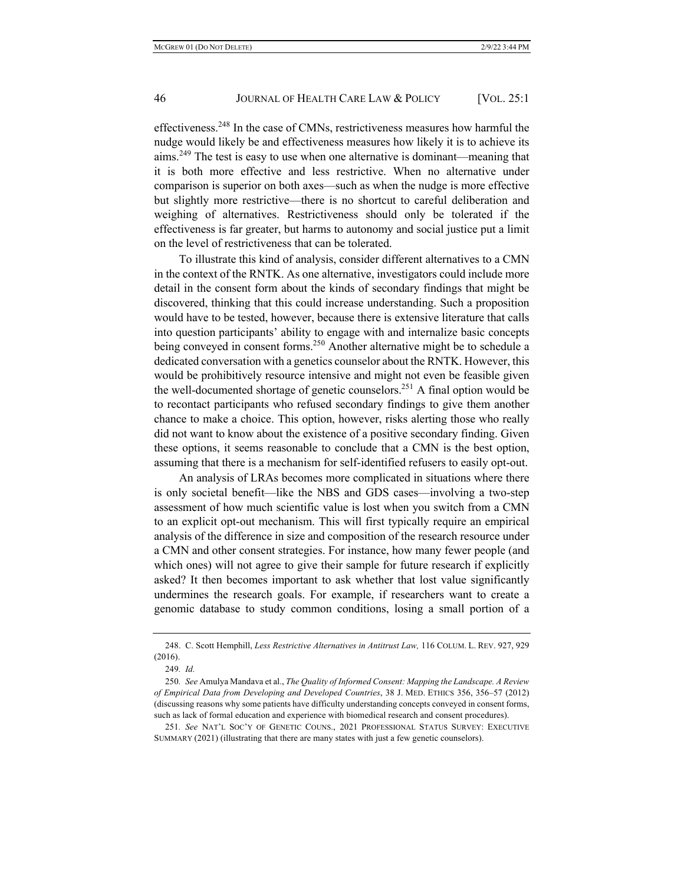effectiveness.248 In the case of CMNs, restrictiveness measures how harmful the nudge would likely be and effectiveness measures how likely it is to achieve its aims.<sup>249</sup> The test is easy to use when one alternative is dominant—meaning that it is both more effective and less restrictive. When no alternative under comparison is superior on both axes—such as when the nudge is more effective but slightly more restrictive—there is no shortcut to careful deliberation and weighing of alternatives. Restrictiveness should only be tolerated if the effectiveness is far greater, but harms to autonomy and social justice put a limit on the level of restrictiveness that can be tolerated.

To illustrate this kind of analysis, consider different alternatives to a CMN in the context of the RNTK. As one alternative, investigators could include more detail in the consent form about the kinds of secondary findings that might be discovered, thinking that this could increase understanding. Such a proposition would have to be tested, however, because there is extensive literature that calls into question participants' ability to engage with and internalize basic concepts being conveyed in consent forms.<sup>250</sup> Another alternative might be to schedule a dedicated conversation with a genetics counselor about the RNTK. However, this would be prohibitively resource intensive and might not even be feasible given the well-documented shortage of genetic counselors.251 A final option would be to recontact participants who refused secondary findings to give them another chance to make a choice. This option, however, risks alerting those who really did not want to know about the existence of a positive secondary finding. Given these options, it seems reasonable to conclude that a CMN is the best option, assuming that there is a mechanism for self-identified refusers to easily opt-out.

An analysis of LRAs becomes more complicated in situations where there is only societal benefit—like the NBS and GDS cases—involving a two-step assessment of how much scientific value is lost when you switch from a CMN to an explicit opt-out mechanism. This will first typically require an empirical analysis of the difference in size and composition of the research resource under a CMN and other consent strategies. For instance, how many fewer people (and which ones) will not agree to give their sample for future research if explicitly asked? It then becomes important to ask whether that lost value significantly undermines the research goals. For example, if researchers want to create a genomic database to study common conditions, losing a small portion of a

<sup>248.</sup> C. Scott Hemphill, *Less Restrictive Alternatives in Antitrust Law,* 116 COLUM. L. REV. 927, 929 (2016).

<sup>249</sup>*. Id.*

<sup>250</sup>*. See* Amulya Mandava et al., *The Quality of Informed Consent: Mapping the Landscape. A Review of Empirical Data from Developing and Developed Countries*, 38 J. MED. ETHICS 356, 356–57 (2012) (discussing reasons why some patients have difficulty understanding concepts conveyed in consent forms, such as lack of formal education and experience with biomedical research and consent procedures).

<sup>251</sup>*. See* NAT'L SOC'Y OF GENETIC COUNS., 2021 PROFESSIONAL STATUS SURVEY: EXECUTIVE SUMMARY (2021) (illustrating that there are many states with just a few genetic counselors).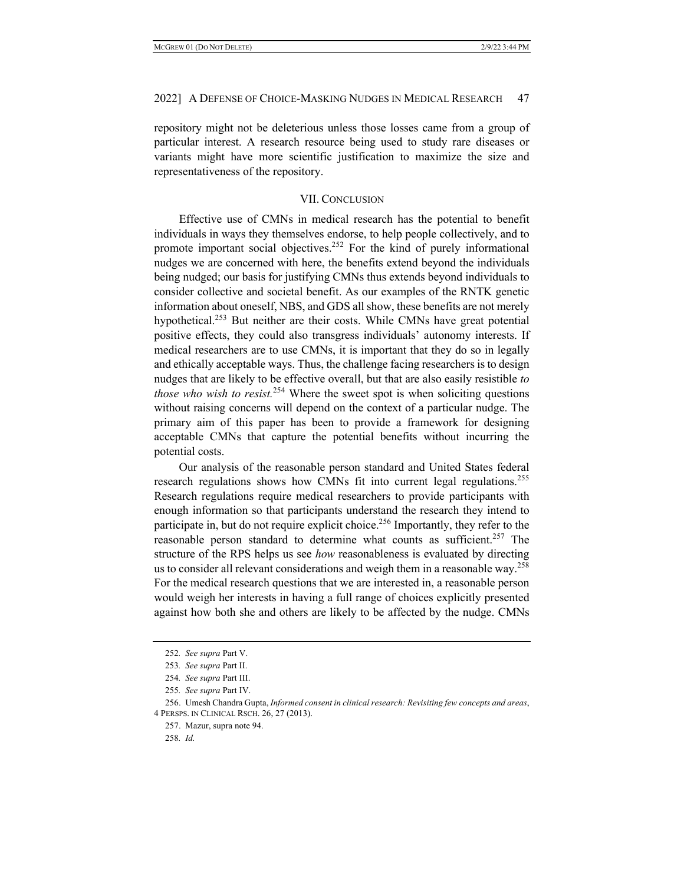repository might not be deleterious unless those losses came from a group of particular interest. A research resource being used to study rare diseases or variants might have more scientific justification to maximize the size and representativeness of the repository.

#### VII. CONCLUSION

Effective use of CMNs in medical research has the potential to benefit individuals in ways they themselves endorse, to help people collectively, and to promote important social objectives.<sup>252</sup> For the kind of purely informational nudges we are concerned with here, the benefits extend beyond the individuals being nudged; our basis for justifying CMNs thus extends beyond individuals to consider collective and societal benefit. As our examples of the RNTK genetic information about oneself, NBS, and GDS all show, these benefits are not merely hypothetical.<sup>253</sup> But neither are their costs. While CMNs have great potential positive effects, they could also transgress individuals' autonomy interests. If medical researchers are to use CMNs, it is important that they do so in legally and ethically acceptable ways. Thus, the challenge facing researchers is to design nudges that are likely to be effective overall, but that are also easily resistible *to those who wish to resist.*<sup>254</sup> Where the sweet spot is when soliciting questions without raising concerns will depend on the context of a particular nudge. The primary aim of this paper has been to provide a framework for designing acceptable CMNs that capture the potential benefits without incurring the potential costs.

Our analysis of the reasonable person standard and United States federal research regulations shows how CMNs fit into current legal regulations.<sup>255</sup> Research regulations require medical researchers to provide participants with enough information so that participants understand the research they intend to participate in, but do not require explicit choice.<sup>256</sup> Importantly, they refer to the reasonable person standard to determine what counts as sufficient.<sup>257</sup> The structure of the RPS helps us see *how* reasonableness is evaluated by directing us to consider all relevant considerations and weigh them in a reasonable way.<sup>258</sup> For the medical research questions that we are interested in, a reasonable person would weigh her interests in having a full range of choices explicitly presented against how both she and others are likely to be affected by the nudge. CMNs

<sup>252</sup>*. See supra* Part V.

<sup>253</sup>*. See supra* Part II.

<sup>254</sup>*. See supra* Part III.

<sup>255</sup>*. See supra* Part IV.

<sup>256.</sup> Umesh Chandra Gupta, *Informed consent in clinical research: Revisiting few concepts and areas*, 4 PERSPS. IN CLINICAL RSCH. 26, 27 (2013).

<sup>257.</sup> Mazur, supra note 94.

<sup>258</sup>*. Id.*